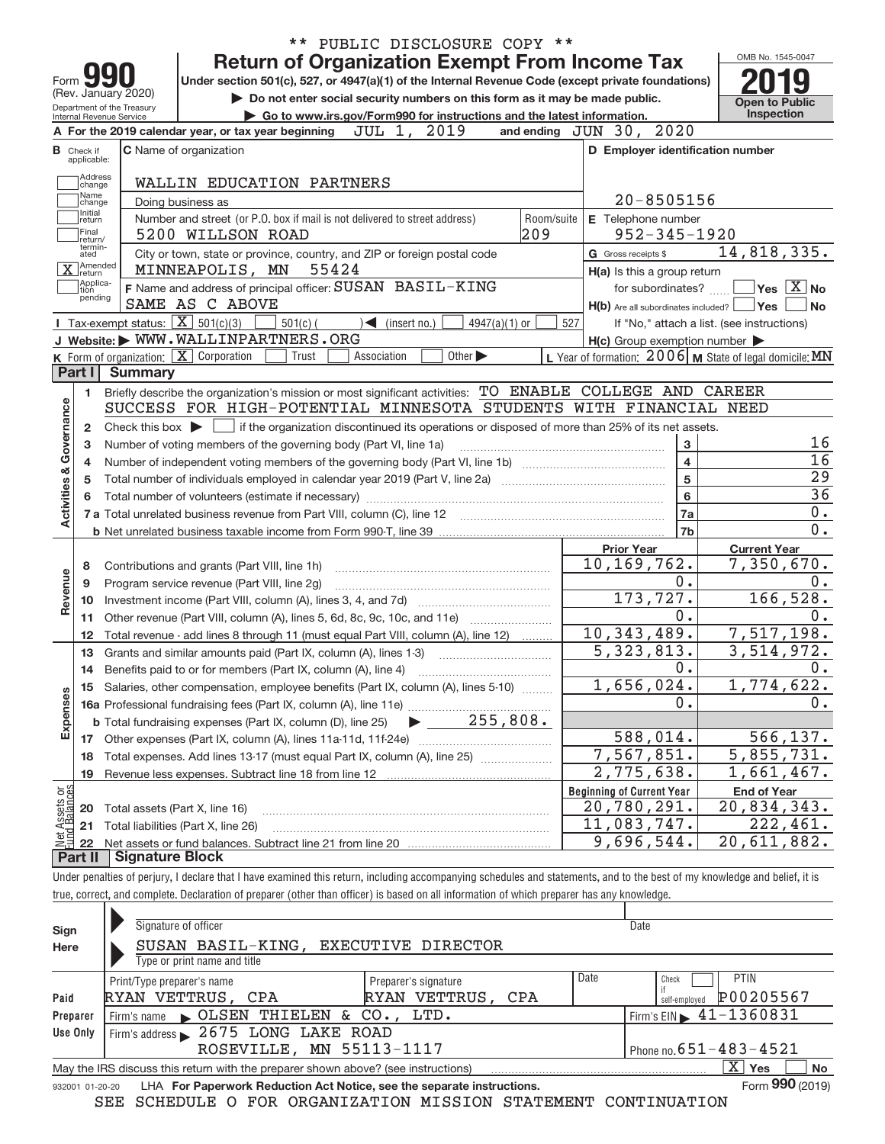|                                |                                                   |                                                        | ** PUBLIC DISCLOSURE COPY **                                                                                                                                               |     |                                                     |                                                           |
|--------------------------------|---------------------------------------------------|--------------------------------------------------------|----------------------------------------------------------------------------------------------------------------------------------------------------------------------------|-----|-----------------------------------------------------|-----------------------------------------------------------|
|                                |                                                   |                                                        | <b>Return of Organization Exempt From Income Tax</b>                                                                                                                       |     |                                                     | OMB No. 1545-0047                                         |
| Form                           |                                                   |                                                        | Under section 501(c), 527, or 4947(a)(1) of the Internal Revenue Code (except private foundations)                                                                         |     |                                                     |                                                           |
| (Rev. January 2020)            | <b>Open to Public</b>                             |                                                        |                                                                                                                                                                            |     |                                                     |                                                           |
|                                |                                                   | Department of the Treasury<br>Internal Revenue Service | Do not enter social security numbers on this form as it may be made public.<br>Go to www.irs.gov/Form990 for instructions and the latest information.                      |     |                                                     | <b>Inspection</b>                                         |
|                                |                                                   |                                                        | JUL 1, 2019<br>A For the 2019 calendar year, or tax year beginning                                                                                                         |     | and ending $JUN$ 30, $2020$                         |                                                           |
|                                | <b>B</b> Check if                                 |                                                        | <b>C</b> Name of organization                                                                                                                                              |     | D Employer identification number                    |                                                           |
|                                | applicable:<br>Address                            |                                                        |                                                                                                                                                                            |     |                                                     |                                                           |
|                                | change<br>Name                                    |                                                        | WALLIN EDUCATION PARTNERS                                                                                                                                                  |     |                                                     |                                                           |
|                                | change<br>Initial                                 |                                                        | Doing business as                                                                                                                                                          |     | $20 - 8505156$                                      |                                                           |
|                                | return<br>Final                                   |                                                        | Number and street (or P.O. box if mail is not delivered to street address)<br>Room/suite                                                                                   |     | E Telephone number                                  |                                                           |
|                                | return/<br>termin-                                |                                                        | 209<br>5200 WILLSON ROAD                                                                                                                                                   |     | $952 - 345 - 1920$                                  |                                                           |
|                                | ated<br>1Amended                                  |                                                        | City or town, state or province, country, and ZIP or foreign postal code<br>55424<br>MINNEAPOLIS, MN                                                                       |     | G Gross receipts \$                                 | 14,818,335.                                               |
|                                | $\overline{\mathbf{X}}$ <i>Rivers</i><br>Applica- |                                                        |                                                                                                                                                                            |     | H(a) Is this a group return                         |                                                           |
|                                | tion<br>pending                                   |                                                        | F Name and address of principal officer: SUSAN BASIL-KING<br>SAME AS C ABOVE                                                                                               |     | for subordinates?                                   | $\sqrt{}$ Yes $\sqrt{}$ X $\sqrt{}$ No                    |
|                                |                                                   | Tax-exempt status: $\boxed{\mathbf{X}}$ 501(c)(3)      | $501(c)$ (<br>$4947(a)(1)$ or                                                                                                                                              | 527 | $H(b)$ Are all subordinates included? $\Box$ Yes    | No                                                        |
|                                |                                                   |                                                        | $\sum$ (insert no.)<br>J Website: WWW.WALLINPARTNERS.ORG                                                                                                                   |     |                                                     | If "No," attach a list. (see instructions)                |
|                                |                                                   |                                                        | K Form of organization:   X Corporation<br>Trust<br>Association<br>Other $\blacktriangleright$                                                                             |     | $H(c)$ Group exemption number $\blacktriangleright$ | L Year of formation: $2006$ M State of legal domicile: MN |
|                                | Part I                                            | <b>Summary</b>                                         |                                                                                                                                                                            |     |                                                     |                                                           |
|                                | 1.                                                |                                                        | Briefly describe the organization's mission or most significant activities: TO ENABLE COLLEGE AND CAREER                                                                   |     |                                                     |                                                           |
|                                |                                                   |                                                        | SUCCESS FOR HIGH-POTENTIAL MINNESOTA STUDENTS WITH FINANCIAL NEED                                                                                                          |     |                                                     |                                                           |
| Governance                     | 2                                                 |                                                        | Check this box $\blacktriangleright$ $\Box$ if the organization discontinued its operations or disposed of more than 25% of its net assets.                                |     |                                                     |                                                           |
|                                | з                                                 |                                                        | Number of voting members of the governing body (Part VI, line 1a)                                                                                                          |     | 3                                                   | 16                                                        |
|                                | 4                                                 |                                                        |                                                                                                                                                                            |     | $\overline{\mathbf{4}}$                             | 16                                                        |
|                                | 5                                                 |                                                        |                                                                                                                                                                            |     | 5                                                   | 29                                                        |
| <b>Activities &amp;</b>        | 6                                                 |                                                        |                                                                                                                                                                            |     | $\bf 6$                                             | $\overline{36}$                                           |
|                                |                                                   |                                                        |                                                                                                                                                                            |     | 7a                                                  | 0.                                                        |
|                                |                                                   |                                                        |                                                                                                                                                                            |     | 7b                                                  | 0.                                                        |
|                                |                                                   |                                                        |                                                                                                                                                                            |     | <b>Prior Year</b>                                   | <b>Current Year</b>                                       |
|                                | 8                                                 |                                                        | Contributions and grants (Part VIII, line 1h)                                                                                                                              |     | 10, 169, 762.                                       | 7,350,670.                                                |
| Revenue                        | 9                                                 |                                                        | Program service revenue (Part VIII, line 2g)                                                                                                                               |     | 0.                                                  | 0.                                                        |
|                                | 10                                                |                                                        |                                                                                                                                                                            |     | 173,727.                                            | 166, 528.                                                 |
|                                | 11                                                |                                                        |                                                                                                                                                                            |     | 0.                                                  | $0$ .                                                     |
|                                | 12                                                |                                                        | Total revenue - add lines 8 through 11 (must equal Part VIII, column (A), line 12)                                                                                         |     | 10, 343, 489.                                       | 7,517,198.                                                |
|                                | 13                                                |                                                        | Grants and similar amounts paid (Part IX, column (A), lines 1-3)                                                                                                           |     | $\overline{5,323},813.$                             | 3,514,972.                                                |
|                                |                                                   |                                                        |                                                                                                                                                                            |     | 0.                                                  | 0.                                                        |
|                                |                                                   |                                                        | Salaries, other compensation, employee benefits (Part IX, column (A), lines 5-10)                                                                                          |     | 1,656,024.                                          | 1,774,622.                                                |
| Expenses                       |                                                   |                                                        |                                                                                                                                                                            |     | 0.                                                  | 0.                                                        |
|                                |                                                   |                                                        | 255,808.<br><b>b</b> Total fundraising expenses (Part IX, column (D), line 25)                                                                                             |     |                                                     |                                                           |
|                                |                                                   |                                                        |                                                                                                                                                                            |     | 588,014.                                            | 566, 137.                                                 |
|                                | 18                                                |                                                        | Total expenses. Add lines 13-17 (must equal Part IX, column (A), line 25) [                                                                                                |     | 7,567,851.                                          | 5,855,731.                                                |
|                                | 19                                                |                                                        |                                                                                                                                                                            |     | 2,775,638.                                          | 1,661,467.                                                |
| Net Assets or<br>Fund Balances |                                                   |                                                        |                                                                                                                                                                            |     | <b>Beginning of Current Year</b>                    | <b>End of Year</b>                                        |
|                                | 20                                                | Total assets (Part X, line 16)                         |                                                                                                                                                                            |     | 20,780,291.                                         | 20,834,343.                                               |
|                                | 21                                                |                                                        | Total liabilities (Part X, line 26)                                                                                                                                        |     | 11,083,747.                                         | 222,461.                                                  |
|                                | 22                                                | <b>Signature Block</b>                                 |                                                                                                                                                                            |     | 9,696,544.                                          | 20,611,882.                                               |
|                                | Part II                                           |                                                        |                                                                                                                                                                            |     |                                                     |                                                           |
|                                |                                                   |                                                        | Under penalties of perjury, I declare that I have examined this return, including accompanying schedules and statements, and to the best of my knowledge and belief, it is |     |                                                     |                                                           |

true, correct, and complete. Declaration of preparer (other than officer) is based on all information of which preparer has any knowledge.

| Sign     | Signature of officer                                                                                         | Date                                                       |  |  |  |  |  |  |  |  |  |  |
|----------|--------------------------------------------------------------------------------------------------------------|------------------------------------------------------------|--|--|--|--|--|--|--|--|--|--|
| Here     | SUSAN BASIL-KING, EXECUTIVE DIRECTOR<br>Type or print name and title                                         |                                                            |  |  |  |  |  |  |  |  |  |  |
| Paid     | Print/Type preparer's name<br>Preparer's signature<br>RYAN VETTRUS, CPA<br>RYAN VETTRUS, CPA                 | Date<br><b>PTIN</b><br>Check<br>P00205567<br>self-emploved |  |  |  |  |  |  |  |  |  |  |
| Preparer | Firm's name CLSEN THIELEN & CO., LTD.                                                                        | Firm's EIN $\blacktriangleright$ 41-1360831                |  |  |  |  |  |  |  |  |  |  |
| Use Only | Firm's address 2675 LONG LAKE ROAD                                                                           |                                                            |  |  |  |  |  |  |  |  |  |  |
|          | ROSEVILLE, MN 55113-1117                                                                                     | Phone no. $651 - 483 - 4521$                               |  |  |  |  |  |  |  |  |  |  |
|          | х<br>No<br><b>Yes</b><br>May the IRS discuss this return with the preparer shown above? (see instructions)   |                                                            |  |  |  |  |  |  |  |  |  |  |
|          | Form 990 (2019)<br>LHA For Paperwork Reduction Act Notice, see the separate instructions.<br>932001 01-20-20 |                                                            |  |  |  |  |  |  |  |  |  |  |

SEE SCHEDULE O FOR ORGANIZATION MISSION STATEMENT CONTINUATION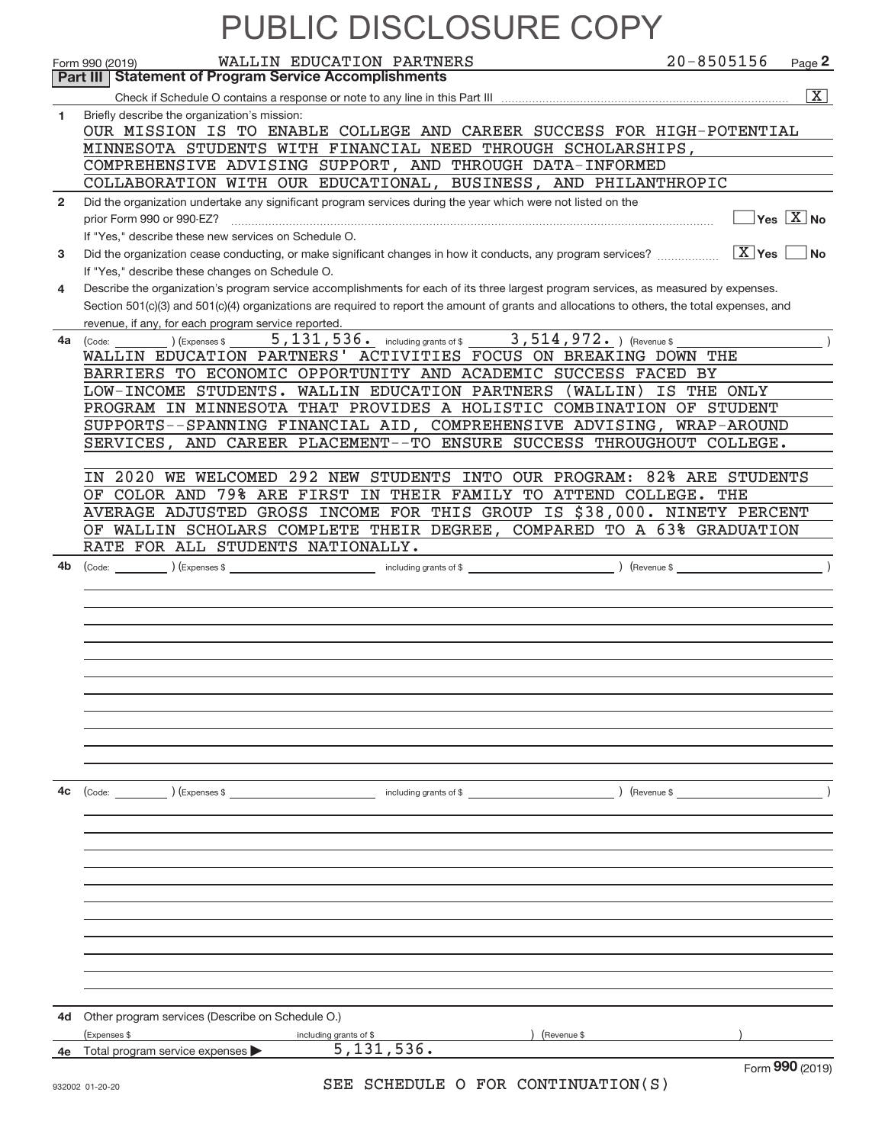|              | <b>PUBLIC DISCLOSURE COPT</b>                                                                                                                                                                                                                                                        |                |                                     |  |  |  |  |  |  |  |
|--------------|--------------------------------------------------------------------------------------------------------------------------------------------------------------------------------------------------------------------------------------------------------------------------------------|----------------|-------------------------------------|--|--|--|--|--|--|--|
|              | WALLIN EDUCATION PARTNERS<br>Form 990 (2019)                                                                                                                                                                                                                                         | $20 - 8505156$ | Page 2                              |  |  |  |  |  |  |  |
|              | Part III   Statement of Program Service Accomplishments                                                                                                                                                                                                                              |                |                                     |  |  |  |  |  |  |  |
|              |                                                                                                                                                                                                                                                                                      |                | $\overline{\mathbf{X}}$             |  |  |  |  |  |  |  |
| 1            | Briefly describe the organization's mission:                                                                                                                                                                                                                                         |                |                                     |  |  |  |  |  |  |  |
|              | OUR MISSION IS TO ENABLE COLLEGE AND CAREER SUCCESS FOR HIGH-POTENTIAL                                                                                                                                                                                                               |                |                                     |  |  |  |  |  |  |  |
|              | MINNESOTA STUDENTS WITH FINANCIAL NEED THROUGH SCHOLARSHIPS,<br>COMPREHENSIVE ADVISING SUPPORT, AND THROUGH DATA-INFORMED                                                                                                                                                            |                |                                     |  |  |  |  |  |  |  |
|              | COLLABORATION WITH OUR EDUCATIONAL, BUSINESS, AND PHILANTHROPIC                                                                                                                                                                                                                      |                |                                     |  |  |  |  |  |  |  |
| $\mathbf{2}$ | Did the organization undertake any significant program services during the year which were not listed on the                                                                                                                                                                         |                |                                     |  |  |  |  |  |  |  |
|              | prior Form 990 or 990-EZ?                                                                                                                                                                                                                                                            |                | $\overline{Y}$ es $\overline{X}$ No |  |  |  |  |  |  |  |
|              | If "Yes," describe these new services on Schedule O.                                                                                                                                                                                                                                 |                |                                     |  |  |  |  |  |  |  |
| 3            | Did the organization cease conducting, or make significant changes in how it conducts, any program services?                                                                                                                                                                         | $X$ Yes        | <b>No</b>                           |  |  |  |  |  |  |  |
|              | If "Yes," describe these changes on Schedule O.                                                                                                                                                                                                                                      |                |                                     |  |  |  |  |  |  |  |
| 4            | Describe the organization's program service accomplishments for each of its three largest program services, as measured by expenses.<br>Section 501(c)(3) and 501(c)(4) organizations are required to report the amount of grants and allocations to others, the total expenses, and |                |                                     |  |  |  |  |  |  |  |
|              | revenue, if any, for each program service reported.                                                                                                                                                                                                                                  |                |                                     |  |  |  |  |  |  |  |
|              | 5, 131, 536. including grants of \$ 3, 514, 972. ) (Revenue \$<br>4a (Code:<br>Expenses \$                                                                                                                                                                                           |                |                                     |  |  |  |  |  |  |  |
|              | WALLIN EDUCATION PARTNERS' ACTIVITIES FOCUS ON BREAKING DOWN THE                                                                                                                                                                                                                     |                |                                     |  |  |  |  |  |  |  |
|              | BARRIERS TO ECONOMIC OPPORTUNITY AND ACADEMIC SUCCESS FACED BY                                                                                                                                                                                                                       |                |                                     |  |  |  |  |  |  |  |
|              | LOW-INCOME STUDENTS. WALLIN EDUCATION PARTNERS (WALLIN)<br>PROGRAM IN MINNESOTA THAT PROVIDES A HOLISTIC COMBINATION OF STUDENT                                                                                                                                                      | IS THE ONLY    |                                     |  |  |  |  |  |  |  |
|              | SUPPORTS--SPANNING FINANCIAL AID, COMPREHENSIVE ADVISING, WRAP-AROUND                                                                                                                                                                                                                |                |                                     |  |  |  |  |  |  |  |
|              | SERVICES, AND CAREER PLACEMENT--TO ENSURE SUCCESS THROUGHOUT COLLEGE.                                                                                                                                                                                                                |                |                                     |  |  |  |  |  |  |  |
|              |                                                                                                                                                                                                                                                                                      |                |                                     |  |  |  |  |  |  |  |
|              | 2020 WE WELCOMED 292 NEW STUDENTS INTO OUR PROGRAM: 82% ARE STUDENTS<br>IN.                                                                                                                                                                                                          |                |                                     |  |  |  |  |  |  |  |
|              | OF COLOR AND 79% ARE FIRST IN THEIR FAMILY TO ATTEND COLLEGE. THE                                                                                                                                                                                                                    |                |                                     |  |  |  |  |  |  |  |
|              | AVERAGE ADJUSTED GROSS INCOME FOR THIS GROUP IS \$38,000. NINETY PERCENT                                                                                                                                                                                                             |                |                                     |  |  |  |  |  |  |  |
|              | OF WALLIN SCHOLARS COMPLETE THEIR DEGREE, COMPARED TO A 63% GRADUATION                                                                                                                                                                                                               |                |                                     |  |  |  |  |  |  |  |
|              | RATE FOR ALL STUDENTS NATIONALLY.                                                                                                                                                                                                                                                    |                |                                     |  |  |  |  |  |  |  |
| 4b           | (Code:                                                                                                                                                                                                                                                                               |                |                                     |  |  |  |  |  |  |  |
|              |                                                                                                                                                                                                                                                                                      |                |                                     |  |  |  |  |  |  |  |
|              |                                                                                                                                                                                                                                                                                      |                |                                     |  |  |  |  |  |  |  |
|              |                                                                                                                                                                                                                                                                                      |                |                                     |  |  |  |  |  |  |  |
|              |                                                                                                                                                                                                                                                                                      |                |                                     |  |  |  |  |  |  |  |
|              |                                                                                                                                                                                                                                                                                      |                |                                     |  |  |  |  |  |  |  |
|              |                                                                                                                                                                                                                                                                                      |                |                                     |  |  |  |  |  |  |  |
|              |                                                                                                                                                                                                                                                                                      |                |                                     |  |  |  |  |  |  |  |
|              |                                                                                                                                                                                                                                                                                      |                |                                     |  |  |  |  |  |  |  |
|              |                                                                                                                                                                                                                                                                                      |                |                                     |  |  |  |  |  |  |  |
|              |                                                                                                                                                                                                                                                                                      |                |                                     |  |  |  |  |  |  |  |
| 4c           | $\begin{pmatrix} \text{Code:} & \text{________} \end{pmatrix}$ (Expenses \$                                                                                                                                                                                                          | $($ Revenue \$ |                                     |  |  |  |  |  |  |  |
|              |                                                                                                                                                                                                                                                                                      |                |                                     |  |  |  |  |  |  |  |
|              |                                                                                                                                                                                                                                                                                      |                |                                     |  |  |  |  |  |  |  |
|              |                                                                                                                                                                                                                                                                                      |                |                                     |  |  |  |  |  |  |  |
|              |                                                                                                                                                                                                                                                                                      |                |                                     |  |  |  |  |  |  |  |
|              |                                                                                                                                                                                                                                                                                      |                |                                     |  |  |  |  |  |  |  |
|              |                                                                                                                                                                                                                                                                                      |                |                                     |  |  |  |  |  |  |  |
|              |                                                                                                                                                                                                                                                                                      |                |                                     |  |  |  |  |  |  |  |
|              |                                                                                                                                                                                                                                                                                      |                |                                     |  |  |  |  |  |  |  |
|              |                                                                                                                                                                                                                                                                                      |                |                                     |  |  |  |  |  |  |  |
|              |                                                                                                                                                                                                                                                                                      |                |                                     |  |  |  |  |  |  |  |
|              |                                                                                                                                                                                                                                                                                      |                |                                     |  |  |  |  |  |  |  |
| 4d           | Other program services (Describe on Schedule O.)                                                                                                                                                                                                                                     |                |                                     |  |  |  |  |  |  |  |
|              | (Expenses \$<br>including grants of \$<br>(Revenue \$                                                                                                                                                                                                                                |                |                                     |  |  |  |  |  |  |  |
|              | 5, 131, 536.<br>4e Total program service expenses                                                                                                                                                                                                                                    |                |                                     |  |  |  |  |  |  |  |
|              | $\bigcap \mathcal{M}$<br>$\alpha$ ottrapitt ri<br>$\sim$ pon                                                                                                                                                                                                                         |                | Form 990 (2019)                     |  |  |  |  |  |  |  |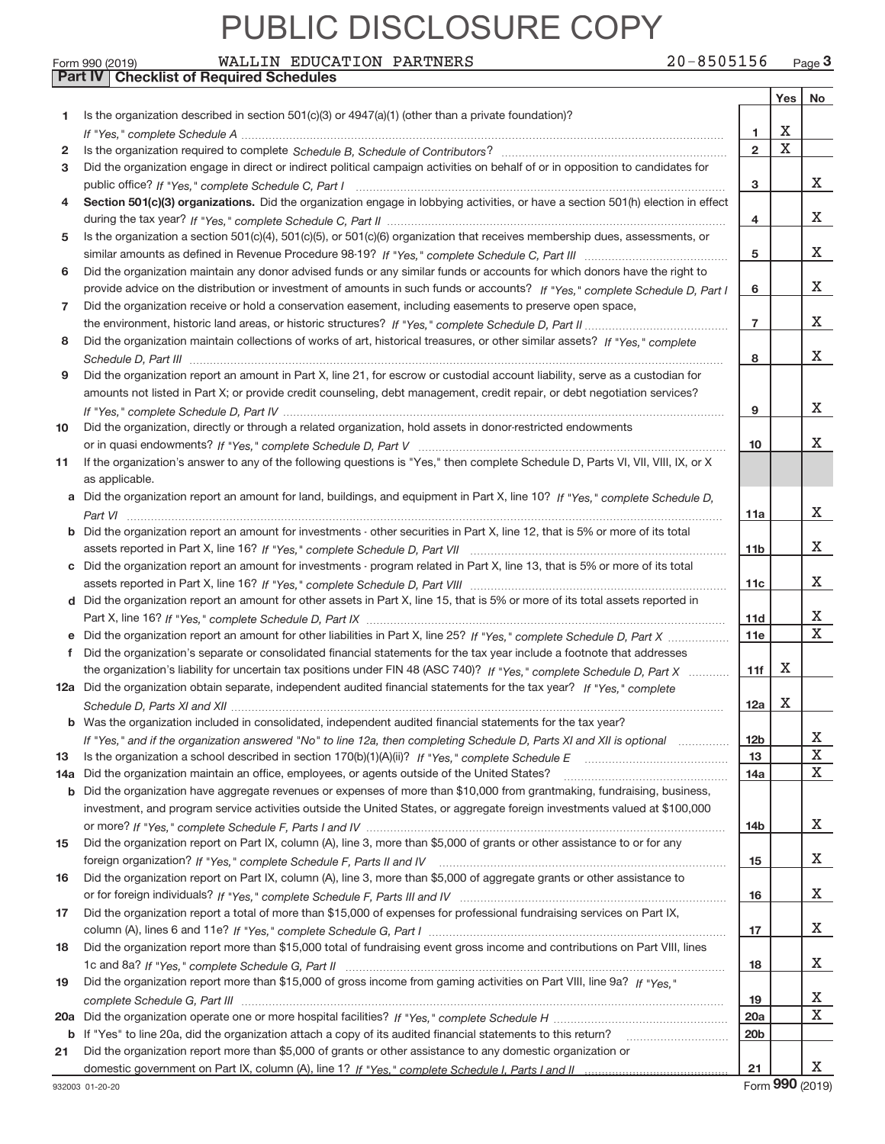**Part IV Checklist of Required Schedules**

| Form 990 (2019) | WALLIN EDUCATION PARTNERS |  |  | $20 - 8505156$ | Page 3 |
|-----------------|---------------------------|--|--|----------------|--------|
|-----------------|---------------------------|--|--|----------------|--------|

|     |                                                                                                                                                                                                                                                   |                 | Yes         | No                      |
|-----|---------------------------------------------------------------------------------------------------------------------------------------------------------------------------------------------------------------------------------------------------|-----------------|-------------|-------------------------|
| 1   | Is the organization described in section $501(c)(3)$ or $4947(a)(1)$ (other than a private foundation)?                                                                                                                                           |                 |             |                         |
|     |                                                                                                                                                                                                                                                   | 1               | х           |                         |
| 2   |                                                                                                                                                                                                                                                   | $\overline{2}$  | $\mathbf X$ |                         |
| 3   | Did the organization engage in direct or indirect political campaign activities on behalf of or in opposition to candidates for                                                                                                                   |                 |             |                         |
|     |                                                                                                                                                                                                                                                   | 3               |             | X.                      |
| 4   | Section 501(c)(3) organizations. Did the organization engage in lobbying activities, or have a section 501(h) election in effect                                                                                                                  |                 |             |                         |
|     |                                                                                                                                                                                                                                                   | 4               |             | X                       |
| 5   | Is the organization a section 501(c)(4), 501(c)(5), or 501(c)(6) organization that receives membership dues, assessments, or                                                                                                                      |                 |             |                         |
|     |                                                                                                                                                                                                                                                   | 5               |             | X                       |
| 6   | Did the organization maintain any donor advised funds or any similar funds or accounts for which donors have the right to                                                                                                                         |                 |             |                         |
|     | provide advice on the distribution or investment of amounts in such funds or accounts? If "Yes," complete Schedule D, Part I                                                                                                                      | 6               |             | X                       |
| 7   | Did the organization receive or hold a conservation easement, including easements to preserve open space,                                                                                                                                         |                 |             |                         |
|     |                                                                                                                                                                                                                                                   | $\overline{7}$  |             | X                       |
| 8   | Did the organization maintain collections of works of art, historical treasures, or other similar assets? If "Yes," complete                                                                                                                      |                 |             |                         |
|     |                                                                                                                                                                                                                                                   | 8               |             | X                       |
| 9   | Did the organization report an amount in Part X, line 21, for escrow or custodial account liability, serve as a custodian for                                                                                                                     |                 |             |                         |
|     | amounts not listed in Part X; or provide credit counseling, debt management, credit repair, or debt negotiation services?                                                                                                                         |                 |             |                         |
|     |                                                                                                                                                                                                                                                   | 9               |             | X                       |
| 10  | Did the organization, directly or through a related organization, hold assets in donor-restricted endowments                                                                                                                                      |                 |             |                         |
|     |                                                                                                                                                                                                                                                   | 10              |             | X.                      |
| 11  | If the organization's answer to any of the following questions is "Yes," then complete Schedule D, Parts VI, VII, VIII, IX, or X                                                                                                                  |                 |             |                         |
|     | as applicable.                                                                                                                                                                                                                                    |                 |             |                         |
|     | Did the organization report an amount for land, buildings, and equipment in Part X, line 10? If "Yes," complete Schedule D,                                                                                                                       |                 |             |                         |
|     |                                                                                                                                                                                                                                                   | 11a             |             | X.                      |
| b   | Did the organization report an amount for investments - other securities in Part X, line 12, that is 5% or more of its total                                                                                                                      |                 |             |                         |
|     |                                                                                                                                                                                                                                                   | 11b             |             | X.                      |
| c   | Did the organization report an amount for investments - program related in Part X, line 13, that is 5% or more of its total                                                                                                                       |                 |             | X.                      |
|     |                                                                                                                                                                                                                                                   | 11c             |             |                         |
|     | d Did the organization report an amount for other assets in Part X, line 15, that is 5% or more of its total assets reported in                                                                                                                   |                 |             | x                       |
|     |                                                                                                                                                                                                                                                   | 11d             |             | $\overline{\mathbf{x}}$ |
|     | Did the organization report an amount for other liabilities in Part X, line 25? If "Yes," complete Schedule D, Part X                                                                                                                             | 11e             |             |                         |
| f   | Did the organization's separate or consolidated financial statements for the tax year include a footnote that addresses                                                                                                                           |                 | х           |                         |
|     | the organization's liability for uncertain tax positions under FIN 48 (ASC 740)? If "Yes," complete Schedule D, Part X<br>12a Did the organization obtain separate, independent audited financial statements for the tax year? If "Yes," complete | 11f             |             |                         |
|     |                                                                                                                                                                                                                                                   | 12a             | х           |                         |
|     | <b>b</b> Was the organization included in consolidated, independent audited financial statements for the tax year?                                                                                                                                |                 |             |                         |
|     |                                                                                                                                                                                                                                                   | 12 <sub>b</sub> |             | х                       |
| 13  | If "Yes," and if the organization answered "No" to line 12a, then completing Schedule D, Parts XI and XII is optional                                                                                                                             | 13              |             | X                       |
| 14a | Did the organization maintain an office, employees, or agents outside of the United States?                                                                                                                                                       | 14a             |             | X                       |
| b   | Did the organization have aggregate revenues or expenses of more than \$10,000 from grantmaking, fundraising, business,                                                                                                                           |                 |             |                         |
|     | investment, and program service activities outside the United States, or aggregate foreign investments valued at \$100,000                                                                                                                        |                 |             |                         |
|     |                                                                                                                                                                                                                                                   | 14b             |             | X                       |
| 15  | Did the organization report on Part IX, column (A), line 3, more than \$5,000 of grants or other assistance to or for any                                                                                                                         |                 |             |                         |
|     |                                                                                                                                                                                                                                                   | 15              |             | X.                      |
| 16  | Did the organization report on Part IX, column (A), line 3, more than \$5,000 of aggregate grants or other assistance to                                                                                                                          |                 |             |                         |
|     |                                                                                                                                                                                                                                                   | 16              |             | X.                      |
| 17  | Did the organization report a total of more than \$15,000 of expenses for professional fundraising services on Part IX,                                                                                                                           |                 |             |                         |
|     |                                                                                                                                                                                                                                                   | 17              |             | X.                      |
| 18  | Did the organization report more than \$15,000 total of fundraising event gross income and contributions on Part VIII, lines                                                                                                                      |                 |             |                         |
|     |                                                                                                                                                                                                                                                   | 18              |             | X.                      |
| 19  | Did the organization report more than \$15,000 of gross income from gaming activities on Part VIII, line 9a? If "Yes."                                                                                                                            |                 |             |                         |
|     |                                                                                                                                                                                                                                                   | 19              |             | X                       |
| 20a |                                                                                                                                                                                                                                                   | 20a             |             | X                       |
| b   | If "Yes" to line 20a, did the organization attach a copy of its audited financial statements to this return?                                                                                                                                      | 20b             |             |                         |
| 21  | Did the organization report more than \$5,000 of grants or other assistance to any domestic organization or                                                                                                                                       |                 |             |                         |
|     |                                                                                                                                                                                                                                                   | 21              |             | x.                      |
|     |                                                                                                                                                                                                                                                   |                 |             |                         |

Form **990** (2019)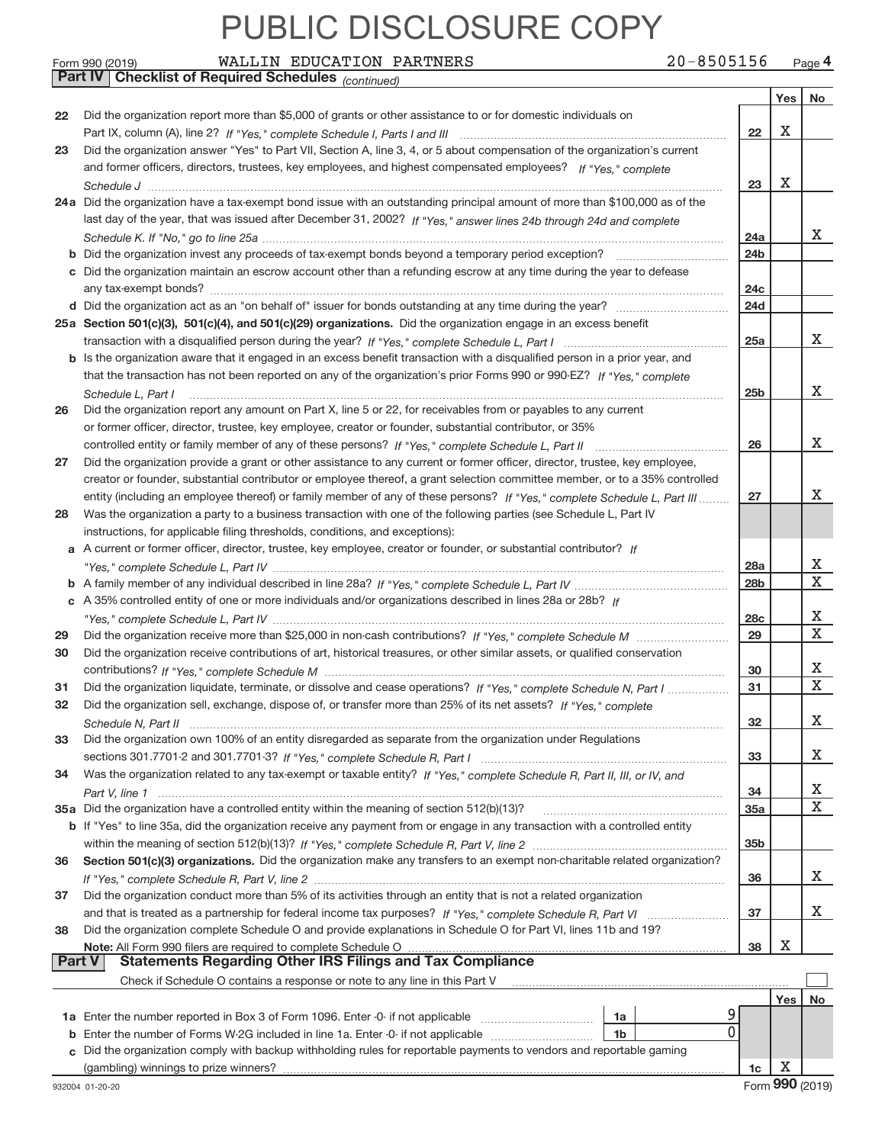|               | <b>Part IV   Checklist of Required Schedules</b> (continued)                                                                 |                 |     |    |
|---------------|------------------------------------------------------------------------------------------------------------------------------|-----------------|-----|----|
|               |                                                                                                                              |                 | Yes | No |
| 22            | Did the organization report more than \$5,000 of grants or other assistance to or for domestic individuals on                |                 |     |    |
|               |                                                                                                                              | 22              | X   |    |
| 23            | Did the organization answer "Yes" to Part VII, Section A, line 3, 4, or 5 about compensation of the organization's current   |                 |     |    |
|               | and former officers, directors, trustees, key employees, and highest compensated employees? If "Yes," complete               |                 |     |    |
|               |                                                                                                                              | 23              | X   |    |
|               |                                                                                                                              |                 |     |    |
|               | 24a Did the organization have a tax-exempt bond issue with an outstanding principal amount of more than \$100,000 as of the  |                 |     |    |
|               | last day of the year, that was issued after December 31, 2002? If "Yes," answer lines 24b through 24d and complete           |                 |     |    |
|               |                                                                                                                              | 24a             |     | X. |
|               |                                                                                                                              | 24 <sub>b</sub> |     |    |
|               | c Did the organization maintain an escrow account other than a refunding escrow at any time during the year to defease       |                 |     |    |
|               |                                                                                                                              | 24c             |     |    |
|               |                                                                                                                              | 24d             |     |    |
|               | 25a Section 501(c)(3), 501(c)(4), and 501(c)(29) organizations. Did the organization engage in an excess benefit             |                 |     |    |
|               |                                                                                                                              | 25a             |     | X  |
|               | b Is the organization aware that it engaged in an excess benefit transaction with a disqualified person in a prior year, and |                 |     |    |
|               | that the transaction has not been reported on any of the organization's prior Forms 990 or 990-EZ? If "Yes," complete        |                 |     |    |
|               | Schedule L. Part I                                                                                                           | 25 <sub>b</sub> |     | x  |
| 26            | Did the organization report any amount on Part X, line 5 or 22, for receivables from or payables to any current              |                 |     |    |
|               | or former officer, director, trustee, key employee, creator or founder, substantial contributor, or 35%                      |                 |     |    |
|               |                                                                                                                              | 26              |     | X  |
| 27            | Did the organization provide a grant or other assistance to any current or former officer, director, trustee, key employee,  |                 |     |    |
|               | creator or founder, substantial contributor or employee thereof, a grant selection committee member, or to a 35% controlled  |                 |     |    |
|               | entity (including an employee thereof) or family member of any of these persons? If "Yes," complete Schedule L, Part III     | 27              |     | X. |
| 28            | Was the organization a party to a business transaction with one of the following parties (see Schedule L, Part IV            |                 |     |    |
|               | instructions, for applicable filing thresholds, conditions, and exceptions):                                                 |                 |     |    |
|               | a A current or former officer, director, trustee, key employee, creator or founder, or substantial contributor? If           |                 |     |    |
|               |                                                                                                                              | 28a             |     | х  |
|               |                                                                                                                              | 28 <sub>b</sub> |     | X  |
|               | c A 35% controlled entity of one or more individuals and/or organizations described in lines 28a or 28b? If                  |                 |     |    |
|               |                                                                                                                              | 28c             |     | х  |
| 29            |                                                                                                                              | 29              |     | X  |
| 30            | Did the organization receive contributions of art, historical treasures, or other similar assets, or qualified conservation  |                 |     |    |
|               |                                                                                                                              | 30              |     | X  |
| 31            | Did the organization liquidate, terminate, or dissolve and cease operations? If "Yes," complete Schedule N, Part I           | 31              |     | X  |
| 32            | Did the organization sell, exchange, dispose of, or transfer more than 25% of its net assets? If "Yes," complete             |                 |     |    |
|               | Schedule N. Part II www.communication.com/news/communications/communications/communications/communications/com               | 32              |     | x  |
| 33            | Did the organization own 100% of an entity disregarded as separate from the organization under Regulations                   |                 |     |    |
|               |                                                                                                                              | 33              |     | X  |
| 34            | Was the organization related to any tax-exempt or taxable entity? If "Yes," complete Schedule R, Part II, III, or IV, and    |                 |     |    |
|               |                                                                                                                              | 34              |     | х  |
|               |                                                                                                                              | 35a             |     | X  |
|               | b If "Yes" to line 35a, did the organization receive any payment from or engage in any transaction with a controlled entity  |                 |     |    |
|               |                                                                                                                              | 35 <sub>b</sub> |     |    |
| 36            | Section 501(c)(3) organizations. Did the organization make any transfers to an exempt non-charitable related organization?   |                 |     |    |
|               |                                                                                                                              | 36              |     | X  |
| 37            | Did the organization conduct more than 5% of its activities through an entity that is not a related organization             |                 |     |    |
|               |                                                                                                                              | 37              |     | X  |
| 38            | Did the organization complete Schedule O and provide explanations in Schedule O for Part VI, lines 11b and 19?               |                 |     |    |
|               | Note: All Form 990 filers are required to complete Schedule O                                                                | 38              | х   |    |
| <b>Part V</b> | <b>Statements Regarding Other IRS Filings and Tax Compliance</b>                                                             |                 |     |    |
|               | Check if Schedule O contains a response or note to any line in this Part V                                                   |                 |     |    |
|               |                                                                                                                              |                 | Yes | No |
|               | 1a                                                                                                                           |                 |     |    |
|               | 0<br>1 <sub>b</sub>                                                                                                          |                 |     |    |
|               | Did the organization comply with backup withholding rules for reportable payments to vendors and reportable gaming           |                 |     |    |
|               |                                                                                                                              | 1c              | X   |    |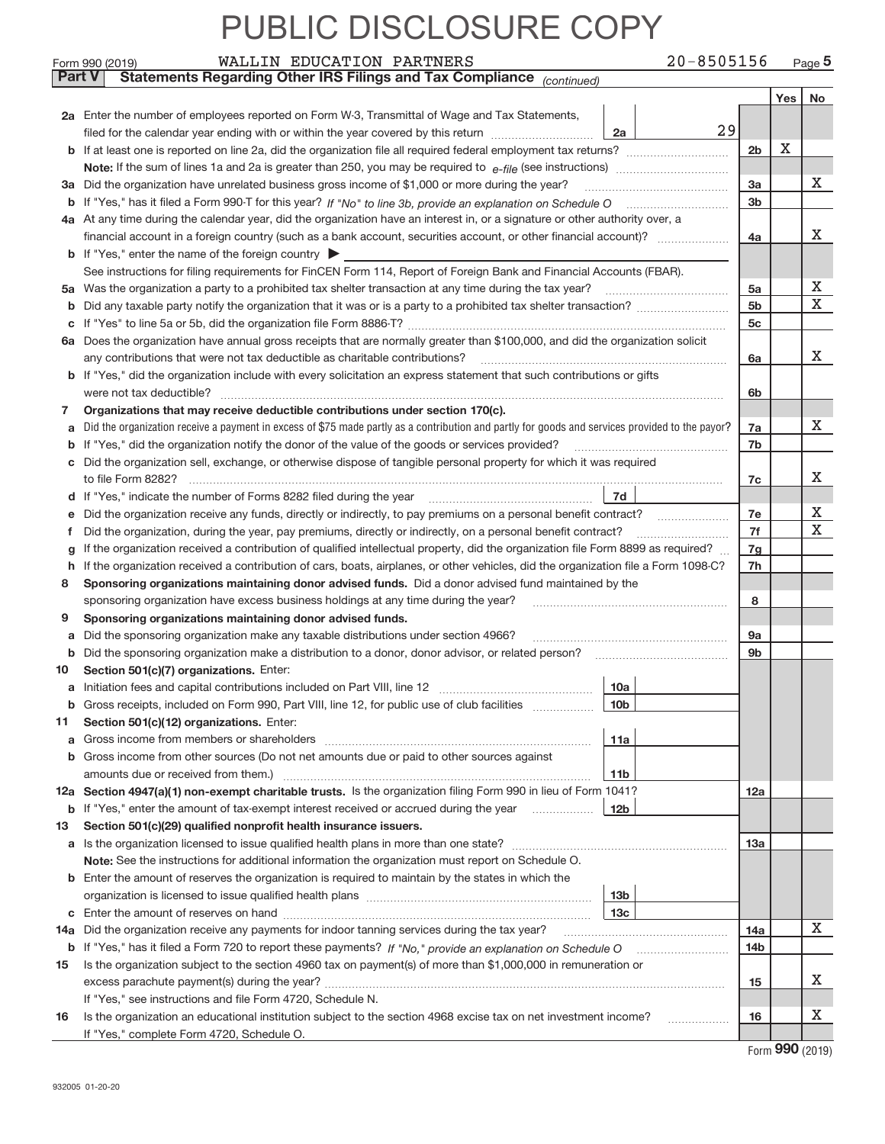Form 990 (2019) WALLIN EDUCATION PARTNERS 2 U-8 5 U5 I 5 6 Page

WALLIN EDUCATION PARTNERS 20‐8505156

| <b>Part V</b> | Statements Regarding Other IRS Filings and Tax Compliance (continued)                                                                                                                     |                 |            |        |  |  |  |  |  |  |
|---------------|-------------------------------------------------------------------------------------------------------------------------------------------------------------------------------------------|-----------------|------------|--------|--|--|--|--|--|--|
|               |                                                                                                                                                                                           |                 | <b>Yes</b> | No     |  |  |  |  |  |  |
|               | 2a Enter the number of employees reported on Form W-3, Transmittal of Wage and Tax Statements,                                                                                            |                 |            |        |  |  |  |  |  |  |
|               | 29<br>filed for the calendar year ending with or within the year covered by this return [11] [11] filed for the calendar year ending with or within the year covered by this return<br>2a |                 | X          |        |  |  |  |  |  |  |
|               |                                                                                                                                                                                           |                 |            |        |  |  |  |  |  |  |
|               |                                                                                                                                                                                           |                 |            |        |  |  |  |  |  |  |
|               | 3a Did the organization have unrelated business gross income of \$1,000 or more during the year?                                                                                          |                 |            |        |  |  |  |  |  |  |
| b             |                                                                                                                                                                                           |                 |            |        |  |  |  |  |  |  |
|               | 4a At any time during the calendar year, did the organization have an interest in, or a signature or other authority over, a                                                              |                 |            |        |  |  |  |  |  |  |
|               | financial account in a foreign country (such as a bank account, securities account, or other financial account)?                                                                          | 4a              |            | х      |  |  |  |  |  |  |
|               | <b>b</b> If "Yes," enter the name of the foreign country                                                                                                                                  |                 |            |        |  |  |  |  |  |  |
|               | See instructions for filing requirements for FinCEN Form 114, Report of Foreign Bank and Financial Accounts (FBAR).                                                                       |                 |            |        |  |  |  |  |  |  |
|               | 5a Was the organization a party to a prohibited tax shelter transaction at any time during the tax year?                                                                                  | 5a              |            | Х      |  |  |  |  |  |  |
| b             |                                                                                                                                                                                           | 5 <sub>b</sub>  |            | X      |  |  |  |  |  |  |
| С             |                                                                                                                                                                                           | 5 <sub>c</sub>  |            |        |  |  |  |  |  |  |
|               | 6a Does the organization have annual gross receipts that are normally greater than \$100,000, and did the organization solicit                                                            |                 |            |        |  |  |  |  |  |  |
|               | any contributions that were not tax deductible as charitable contributions?                                                                                                               | 6a              |            | x      |  |  |  |  |  |  |
| b             | If "Yes," did the organization include with every solicitation an express statement that such contributions or gifts                                                                      |                 |            |        |  |  |  |  |  |  |
|               | were not tax deductible?                                                                                                                                                                  | 6b              |            |        |  |  |  |  |  |  |
| 7             | Organizations that may receive deductible contributions under section 170(c).                                                                                                             |                 |            |        |  |  |  |  |  |  |
| а             | Did the organization receive a payment in excess of \$75 made partly as a contribution and partly for goods and services provided to the payor?                                           | 7a              |            | x      |  |  |  |  |  |  |
| b             |                                                                                                                                                                                           | 7b              |            |        |  |  |  |  |  |  |
| c             | Did the organization sell, exchange, or otherwise dispose of tangible personal property for which it was required                                                                         |                 |            |        |  |  |  |  |  |  |
|               |                                                                                                                                                                                           | 7c              |            | х      |  |  |  |  |  |  |
|               | 7d                                                                                                                                                                                        |                 |            |        |  |  |  |  |  |  |
| е             | Did the organization receive any funds, directly or indirectly, to pay premiums on a personal benefit contract?                                                                           | 7e<br>7f        |            | Х<br>X |  |  |  |  |  |  |
| Ť.            | Did the organization, during the year, pay premiums, directly or indirectly, on a personal benefit contract?                                                                              |                 |            |        |  |  |  |  |  |  |
| g             | If the organization received a contribution of qualified intellectual property, did the organization file Form 8899 as required?                                                          |                 |            |        |  |  |  |  |  |  |
| h             | If the organization received a contribution of cars, boats, airplanes, or other vehicles, did the organization file a Form 1098-C?                                                        | 7h              |            |        |  |  |  |  |  |  |
| 8             | Sponsoring organizations maintaining donor advised funds. Did a donor advised fund maintained by the                                                                                      |                 |            |        |  |  |  |  |  |  |
|               | sponsoring organization have excess business holdings at any time during the year?                                                                                                        | 8               |            |        |  |  |  |  |  |  |
| 9             | Sponsoring organizations maintaining donor advised funds.                                                                                                                                 |                 |            |        |  |  |  |  |  |  |
| а             | Did the sponsoring organization make any taxable distributions under section 4966?                                                                                                        | 9a              |            |        |  |  |  |  |  |  |
| b             | Did the sponsoring organization make a distribution to a donor, donor advisor, or related person?                                                                                         | 9 <sub>b</sub>  |            |        |  |  |  |  |  |  |
| 10            | Section 501(c)(7) organizations. Enter:                                                                                                                                                   |                 |            |        |  |  |  |  |  |  |
| а             | 10a                                                                                                                                                                                       |                 |            |        |  |  |  |  |  |  |
|               | 10 <sub>b</sub><br><b>b</b> Gross receipts, included on Form 990, Part VIII, line 12, for public use of club facilities <i>manumum</i>                                                    |                 |            |        |  |  |  |  |  |  |
| 11            | Section 501(c)(12) organizations. Enter:                                                                                                                                                  |                 |            |        |  |  |  |  |  |  |
|               | 11a<br>Gross income from members or shareholders<br>b Gross income from other sources (Do not net amounts due or paid to other sources against                                            |                 |            |        |  |  |  |  |  |  |
|               | amounts due or received from them.)<br>11 <sub>b</sub>                                                                                                                                    |                 |            |        |  |  |  |  |  |  |
|               | 12a Section 4947(a)(1) non-exempt charitable trusts. Is the organization filing Form 990 in lieu of Form 1041?                                                                            | 12a             |            |        |  |  |  |  |  |  |
|               | <b>b</b> If "Yes," enter the amount of tax-exempt interest received or accrued during the year<br>12 <sub>b</sub><br>.                                                                    |                 |            |        |  |  |  |  |  |  |
| 13            | Section 501(c)(29) qualified nonprofit health insurance issuers.                                                                                                                          |                 |            |        |  |  |  |  |  |  |
|               | a Is the organization licensed to issue qualified health plans in more than one state?                                                                                                    | 13a             |            |        |  |  |  |  |  |  |
|               | Note: See the instructions for additional information the organization must report on Schedule O.                                                                                         |                 |            |        |  |  |  |  |  |  |
|               | <b>b</b> Enter the amount of reserves the organization is required to maintain by the states in which the                                                                                 |                 |            |        |  |  |  |  |  |  |
|               | 13 <sub>b</sub>                                                                                                                                                                           |                 |            |        |  |  |  |  |  |  |
|               | 13 <sub>c</sub>                                                                                                                                                                           |                 |            |        |  |  |  |  |  |  |
|               | 14a Did the organization receive any payments for indoor tanning services during the tax year?                                                                                            | 14a             |            | X      |  |  |  |  |  |  |
|               | <b>b</b> If "Yes," has it filed a Form 720 to report these payments? If "No," provide an explanation on Schedule O                                                                        | 14 <sub>b</sub> |            |        |  |  |  |  |  |  |
| 15            | Is the organization subject to the section 4960 tax on payment(s) of more than \$1,000,000 in remuneration or                                                                             |                 |            |        |  |  |  |  |  |  |
|               |                                                                                                                                                                                           |                 |            |        |  |  |  |  |  |  |
|               | If "Yes," see instructions and file Form 4720, Schedule N.                                                                                                                                | 15              |            |        |  |  |  |  |  |  |
| 16            | Is the organization an educational institution subject to the section 4968 excise tax on net investment income?                                                                           | 16              |            | х      |  |  |  |  |  |  |
|               | If "Yes," complete Form 4720, Schedule O.                                                                                                                                                 |                 |            |        |  |  |  |  |  |  |

Form (2019) **990**

**5**

**10**

**11**

**12 a**

**13**

**14 a**

**15**

**16**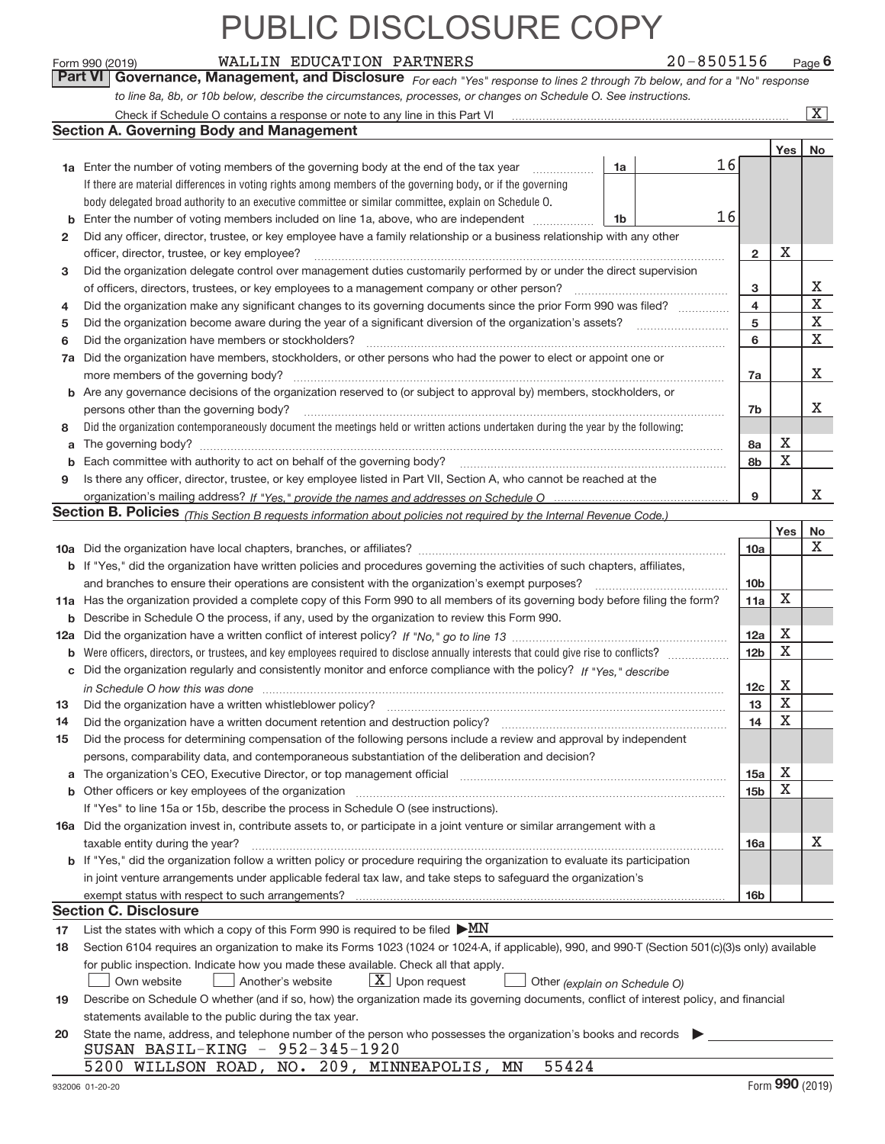Form 990 (2019) WALLIN EDUCATION PARTNERS 2 U-8 5 U5 I 5 6 Page **6** WALLIN EDUCATION PARTNERS 20‐8505156

*For each "Yes" response to lines 2 through 7b below, and for a "No" response to line 8a, 8b, or 10b below, describe the circumstances, processes, or changes on Schedule O. See instructions.* **Part VI Governance, Management, and Disclosure** 

|                                                                                                                       | Check if Schedule O contains a response or note to any line in this Part VI                                                                                           |    |  |    |                 |             | $\overline{\mathbf{X}}$ |  |
|-----------------------------------------------------------------------------------------------------------------------|-----------------------------------------------------------------------------------------------------------------------------------------------------------------------|----|--|----|-----------------|-------------|-------------------------|--|
|                                                                                                                       | <b>Section A. Governing Body and Management</b>                                                                                                                       |    |  |    |                 |             |                         |  |
|                                                                                                                       |                                                                                                                                                                       |    |  |    |                 | Yes         | No                      |  |
|                                                                                                                       | <b>1a</b> Enter the number of voting members of the governing body at the end of the tax year                                                                         | 1a |  | 16 |                 |             |                         |  |
|                                                                                                                       | If there are material differences in voting rights among members of the governing body, or if the governing                                                           |    |  |    |                 |             |                         |  |
|                                                                                                                       | body delegated broad authority to an executive committee or similar committee, explain on Schedule O.                                                                 |    |  |    |                 |             |                         |  |
| b                                                                                                                     | Enter the number of voting members included on line 1a, above, who are independent                                                                                    | 1b |  | 16 |                 |             |                         |  |
| 2                                                                                                                     | Did any officer, director, trustee, or key employee have a family relationship or a business relationship with any other                                              |    |  |    |                 |             |                         |  |
|                                                                                                                       | officer, director, trustee, or key employee?                                                                                                                          |    |  |    | $\overline{2}$  | X           |                         |  |
| 3                                                                                                                     | Did the organization delegate control over management duties customarily performed by or under the direct supervision                                                 |    |  |    |                 |             |                         |  |
|                                                                                                                       | of officers, directors, trustees, or key employees to a management company or other person?                                                                           |    |  |    | з               |             | Х<br>$\mathbf X$        |  |
| Did the organization make any significant changes to its governing documents since the prior Form 990 was filed?<br>4 |                                                                                                                                                                       |    |  |    |                 |             |                         |  |
| 5                                                                                                                     |                                                                                                                                                                       |    |  |    | 5               |             | $\mathbf X$             |  |
| 6                                                                                                                     | Did the organization have members or stockholders?                                                                                                                    |    |  |    | 6               |             | X                       |  |
| 7a                                                                                                                    | Did the organization have members, stockholders, or other persons who had the power to elect or appoint one or                                                        |    |  |    |                 |             |                         |  |
|                                                                                                                       | more members of the governing body?                                                                                                                                   |    |  |    | 7a              |             | х                       |  |
| b                                                                                                                     | Are any governance decisions of the organization reserved to (or subject to approval by) members, stockholders, or                                                    |    |  |    |                 |             |                         |  |
|                                                                                                                       | persons other than the governing body?                                                                                                                                |    |  |    | 7b              |             | х                       |  |
| 8                                                                                                                     | Did the organization contemporaneously document the meetings held or written actions undertaken during the year by the following:                                     |    |  |    |                 |             |                         |  |
| a                                                                                                                     |                                                                                                                                                                       |    |  |    | 8a              | х           |                         |  |
|                                                                                                                       |                                                                                                                                                                       |    |  |    | 8b              | X           |                         |  |
| 9                                                                                                                     | Is there any officer, director, trustee, or key employee listed in Part VII, Section A, who cannot be reached at the                                                  |    |  |    |                 |             |                         |  |
|                                                                                                                       |                                                                                                                                                                       |    |  |    | 9               |             | x                       |  |
|                                                                                                                       | <b>Section B. Policies</b> (This Section B requests information about policies not required by the Internal Revenue Code.)                                            |    |  |    |                 |             |                         |  |
|                                                                                                                       |                                                                                                                                                                       |    |  |    |                 | Yes         | No                      |  |
|                                                                                                                       |                                                                                                                                                                       |    |  |    | 10a             |             | х                       |  |
|                                                                                                                       | If "Yes," did the organization have written policies and procedures governing the activities of such chapters, affiliates,                                            |    |  |    |                 |             |                         |  |
|                                                                                                                       | and branches to ensure their operations are consistent with the organization's exempt purposes?                                                                       |    |  |    | 10 <sub>b</sub> | X           |                         |  |
| 11a                                                                                                                   | Has the organization provided a complete copy of this Form 990 to all members of its governing body before filing the form?                                           |    |  |    |                 |             |                         |  |
| b                                                                                                                     | Describe in Schedule O the process, if any, used by the organization to review this Form 990.                                                                         |    |  |    |                 |             |                         |  |
| 12a                                                                                                                   |                                                                                                                                                                       |    |  |    |                 |             |                         |  |
| b                                                                                                                     | Were officers, directors, or trustees, and key employees required to disclose annually interests that could give rise to conflicts?                                   |    |  |    | 12 <sub>b</sub> | X           |                         |  |
| с                                                                                                                     | Did the organization regularly and consistently monitor and enforce compliance with the policy? If "Yes," describe                                                    |    |  |    |                 |             |                         |  |
|                                                                                                                       | in Schedule O how this was done encourance and an array and a strategies of the strategies of the strategies o                                                        |    |  |    | 12 <sub>c</sub> | X           |                         |  |
| 13                                                                                                                    | Did the organization have a written whistleblower policy?                                                                                                             |    |  |    | 13              | $\mathbf X$ |                         |  |
| 14                                                                                                                    | Did the organization have a written document retention and destruction policy?                                                                                        |    |  |    | 14              | $\mathbf X$ |                         |  |
| 15                                                                                                                    | Did the process for determining compensation of the following persons include a review and approval by independent                                                    |    |  |    |                 |             |                         |  |
|                                                                                                                       | persons, comparability data, and contemporaneous substantiation of the deliberation and decision?                                                                     |    |  |    |                 |             |                         |  |
| а                                                                                                                     | The organization's CEO, Executive Director, or top management official manufactured content of the organization's CEO, Executive Director, or top management official |    |  |    | 15a             | х           |                         |  |
|                                                                                                                       | Other officers or key employees of the organization                                                                                                                   |    |  |    | 15 <sub>b</sub> | X           |                         |  |
|                                                                                                                       | If "Yes" to line 15a or 15b, describe the process in Schedule O (see instructions).                                                                                   |    |  |    |                 |             |                         |  |
|                                                                                                                       | 16a Did the organization invest in, contribute assets to, or participate in a joint venture or similar arrangement with a                                             |    |  |    |                 |             | х                       |  |
|                                                                                                                       | taxable entity during the year?<br>b If "Yes," did the organization follow a written policy or procedure requiring the organization to evaluate its participation     |    |  |    | 16a             |             |                         |  |
|                                                                                                                       |                                                                                                                                                                       |    |  |    |                 |             |                         |  |
|                                                                                                                       | in joint venture arrangements under applicable federal tax law, and take steps to safeguard the organization's<br>exempt status with respect to such arrangements?    |    |  |    | 16 <sub>b</sub> |             |                         |  |
|                                                                                                                       | <b>Section C. Disclosure</b>                                                                                                                                          |    |  |    |                 |             |                         |  |
| 17                                                                                                                    | List the states with which a copy of this Form 990 is required to be filed $\blacktriangleright MN$                                                                   |    |  |    |                 |             |                         |  |
| 18                                                                                                                    | Section 6104 requires an organization to make its Forms 1023 (1024 or 1024-A, if applicable), 990, and 990-T (Section 501(c)(3)s only) available                      |    |  |    |                 |             |                         |  |
|                                                                                                                       | for public inspection. Indicate how you made these available. Check all that apply.                                                                                   |    |  |    |                 |             |                         |  |
|                                                                                                                       | $X$ Upon request<br>Another's website<br>Own website<br>Other (explain on Schedule O)                                                                                 |    |  |    |                 |             |                         |  |
| 19                                                                                                                    | Describe on Schedule O whether (and if so, how) the organization made its governing documents, conflict of interest policy, and financial                             |    |  |    |                 |             |                         |  |
|                                                                                                                       | statements available to the public during the tax year.                                                                                                               |    |  |    |                 |             |                         |  |
| 20                                                                                                                    | State the name, address, and telephone number of the person who possesses the organization's books and records                                                        |    |  |    |                 |             |                         |  |
|                                                                                                                       | SUSAN BASIL-KING - 952-345-1920                                                                                                                                       |    |  |    |                 |             |                         |  |
|                                                                                                                       | 5200 WILLSON ROAD, NO. 209, MINNEAPOLIS, MN<br>55424                                                                                                                  |    |  |    |                 |             |                         |  |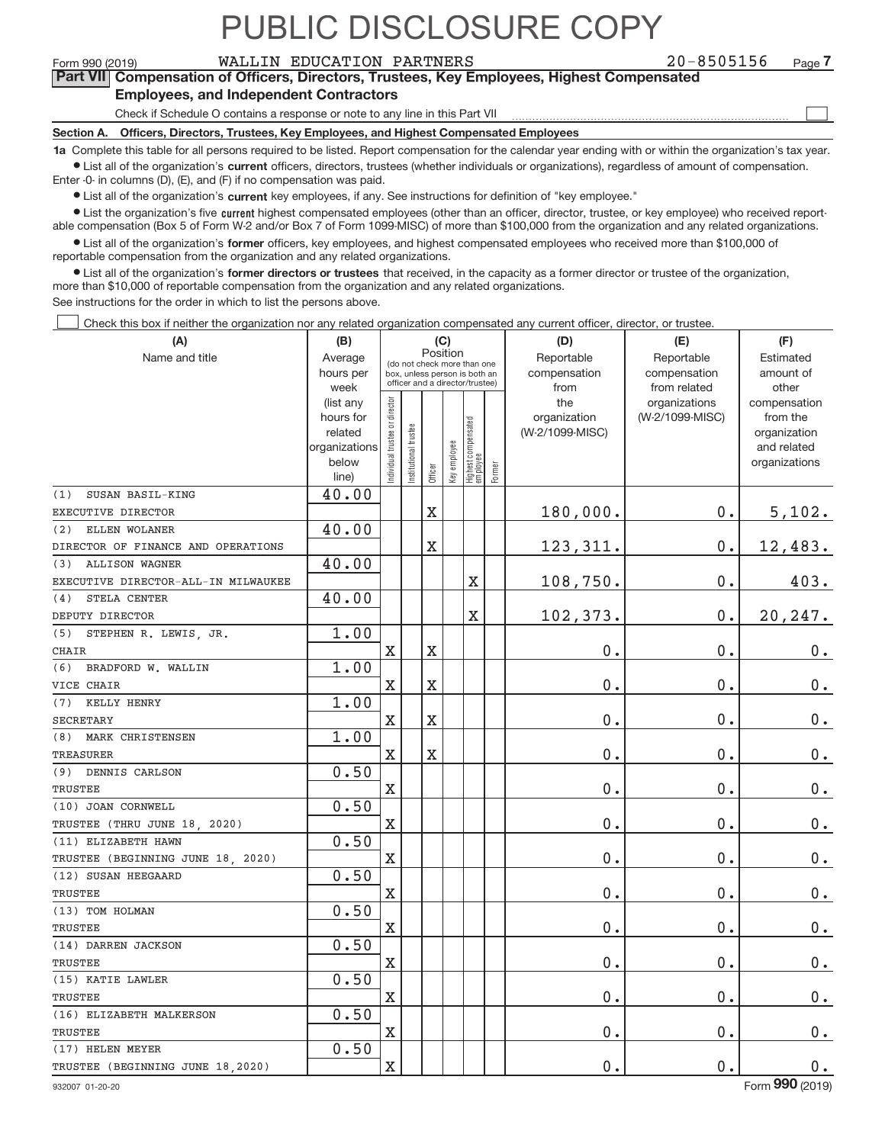**7**

 $\begin{array}{c} \boxed{1} \\ \boxed{1} \\ \end{array}$ 

Form 990 (2019) WALLIN EDUCATION PARTNERS 2 0−8505156 <sub>Page</sub> **Part VII Compensation of Officers, Directors, Trustees, Key Employees, Highest Compensated Employees, and Independent Contractors**

Check if Schedule O contains a response or note to any line in this Part VII

**Section A. Officers, Directors, Trustees, Key Employees, and Highest Compensated Employees**

**1a**  Complete this table for all persons required to be listed. Report compensation for the calendar year ending with or within the organization's tax year. **•** List all of the organization's current officers, directors, trustees (whether individuals or organizations), regardless of amount of compensation.

Enter ‐0‐ in columns (D), (E), and (F) if no compensation was paid.

**•** List all of the organization's current key employees, if any. See instructions for definition of "key employee."

● List the organization's five current highest compensated employees (other than an officer, director, trustee, or key employee) who received report‐ able compensation (Box 5 of Form W‐2 and/or Box 7 of Form 1099‐MISC) of more than \$100,000 from the organization and any related organizations.

 $\bullet$  List all of the organization's former officers, key employees, and highest compensated employees who received more than \$100,000 of reportable compensation from the organization and any related organizations.

**•** List all of the organization's former directors or trustees that received, in the capacity as a former director or trustee of the organization, more than \$10,000 of reportable compensation from the organization and any related organizations.

See instructions for the order in which to list the persons above.

Check this box if neither the organization nor any related organization compensated any current officer, director, or trustee.  $\Box$ 

| Position<br>Name and title<br>Average<br>Reportable<br>Reportable<br>Estimated<br>(do not check more than one<br>hours per<br>compensation<br>compensation<br>amount of<br>box, unless person is both an<br>officer and a director/trustee)<br>from related<br>week<br>from<br>other<br>ndividual trustee or director<br>the<br>organizations<br>compensation<br>(list any<br>hours for<br>(W-2/1099-MISC)<br>organization<br>from the<br>  Highest compensated<br>  employee<br>Institutional trustee<br>(W-2/1099-MISC)<br>related<br>organization<br>Key employee<br>organizations<br>and related<br>below<br>organizations<br>Former<br>Officer<br>line)<br>40.00<br>SUSAN BASIL-KING<br>180,000.<br>0.<br>$\overline{\text{X}}$<br>5,102.<br>40.00<br>ELLEN WOLANER<br>(2)<br>$\overline{\text{X}}$<br>123, 311.<br>0.<br>12,483.<br>40.00<br>108,750.<br>0.<br>403.<br>$\mathbf X$<br>40.00<br>STELA CENTER<br>(4)<br>$\rm X$<br>102,373.<br>0.<br>20,247.<br>1.00<br>0.<br>$\mathbf X$<br>X<br>0.<br>$0$ .<br>1.00<br>(6)<br>BRADFORD W. WALLIN<br>$\overline{\text{X}}$<br>0.<br>0.<br>$0_{.}$<br>X<br>1.00<br>KELLY HENRY<br>$\overline{\text{X}}$<br>0.<br>0.<br>$\mathbf 0$ .<br>$\mathbf X$<br>1.00<br>(8)<br>MARK CHRISTENSEN<br>$\overline{\text{X}}$<br>0.<br>0.<br>$\mathbf 0$ .<br>$\mathbf X$<br>0.50<br>$\overline{\text{X}}$<br>0.<br>0.<br>$\mathbf 0$ .<br>0.50<br>0.<br>$0$ .<br>$0_{.}$<br>Χ<br>0.50<br>$\mathbf X$<br>0.<br>0.<br>$0_{.}$<br>0.50<br>0.<br>X<br>0.<br>$0$ .<br>0.50<br>0.<br>X<br>0.<br>$0$ .<br>0.50<br>0.<br>X<br>0.<br>$0_{.}$<br>0.50<br>$\mathbf X$<br>0.<br>0.<br>$0_{.}$ | (A)                                 | (B) | (C) |  |  |  |  |  | (D) | (E) | (F) |  |  |
|--------------------------------------------------------------------------------------------------------------------------------------------------------------------------------------------------------------------------------------------------------------------------------------------------------------------------------------------------------------------------------------------------------------------------------------------------------------------------------------------------------------------------------------------------------------------------------------------------------------------------------------------------------------------------------------------------------------------------------------------------------------------------------------------------------------------------------------------------------------------------------------------------------------------------------------------------------------------------------------------------------------------------------------------------------------------------------------------------------------------------------------------------------------------------------------------------------------------------------------------------------------------------------------------------------------------------------------------------------------------------------------------------------------------------------------------------------------------------------------------------------------------------------------------------------------------------------------------------------------------------|-------------------------------------|-----|-----|--|--|--|--|--|-----|-----|-----|--|--|
|                                                                                                                                                                                                                                                                                                                                                                                                                                                                                                                                                                                                                                                                                                                                                                                                                                                                                                                                                                                                                                                                                                                                                                                                                                                                                                                                                                                                                                                                                                                                                                                                                          |                                     |     |     |  |  |  |  |  |     |     |     |  |  |
|                                                                                                                                                                                                                                                                                                                                                                                                                                                                                                                                                                                                                                                                                                                                                                                                                                                                                                                                                                                                                                                                                                                                                                                                                                                                                                                                                                                                                                                                                                                                                                                                                          |                                     |     |     |  |  |  |  |  |     |     |     |  |  |
|                                                                                                                                                                                                                                                                                                                                                                                                                                                                                                                                                                                                                                                                                                                                                                                                                                                                                                                                                                                                                                                                                                                                                                                                                                                                                                                                                                                                                                                                                                                                                                                                                          |                                     |     |     |  |  |  |  |  |     |     |     |  |  |
|                                                                                                                                                                                                                                                                                                                                                                                                                                                                                                                                                                                                                                                                                                                                                                                                                                                                                                                                                                                                                                                                                                                                                                                                                                                                                                                                                                                                                                                                                                                                                                                                                          |                                     |     |     |  |  |  |  |  |     |     |     |  |  |
|                                                                                                                                                                                                                                                                                                                                                                                                                                                                                                                                                                                                                                                                                                                                                                                                                                                                                                                                                                                                                                                                                                                                                                                                                                                                                                                                                                                                                                                                                                                                                                                                                          |                                     |     |     |  |  |  |  |  |     |     |     |  |  |
|                                                                                                                                                                                                                                                                                                                                                                                                                                                                                                                                                                                                                                                                                                                                                                                                                                                                                                                                                                                                                                                                                                                                                                                                                                                                                                                                                                                                                                                                                                                                                                                                                          |                                     |     |     |  |  |  |  |  |     |     |     |  |  |
|                                                                                                                                                                                                                                                                                                                                                                                                                                                                                                                                                                                                                                                                                                                                                                                                                                                                                                                                                                                                                                                                                                                                                                                                                                                                                                                                                                                                                                                                                                                                                                                                                          |                                     |     |     |  |  |  |  |  |     |     |     |  |  |
|                                                                                                                                                                                                                                                                                                                                                                                                                                                                                                                                                                                                                                                                                                                                                                                                                                                                                                                                                                                                                                                                                                                                                                                                                                                                                                                                                                                                                                                                                                                                                                                                                          |                                     |     |     |  |  |  |  |  |     |     |     |  |  |
|                                                                                                                                                                                                                                                                                                                                                                                                                                                                                                                                                                                                                                                                                                                                                                                                                                                                                                                                                                                                                                                                                                                                                                                                                                                                                                                                                                                                                                                                                                                                                                                                                          | (1)                                 |     |     |  |  |  |  |  |     |     |     |  |  |
|                                                                                                                                                                                                                                                                                                                                                                                                                                                                                                                                                                                                                                                                                                                                                                                                                                                                                                                                                                                                                                                                                                                                                                                                                                                                                                                                                                                                                                                                                                                                                                                                                          | EXECUTIVE DIRECTOR                  |     |     |  |  |  |  |  |     |     |     |  |  |
|                                                                                                                                                                                                                                                                                                                                                                                                                                                                                                                                                                                                                                                                                                                                                                                                                                                                                                                                                                                                                                                                                                                                                                                                                                                                                                                                                                                                                                                                                                                                                                                                                          |                                     |     |     |  |  |  |  |  |     |     |     |  |  |
|                                                                                                                                                                                                                                                                                                                                                                                                                                                                                                                                                                                                                                                                                                                                                                                                                                                                                                                                                                                                                                                                                                                                                                                                                                                                                                                                                                                                                                                                                                                                                                                                                          | DIRECTOR OF FINANCE AND OPERATIONS  |     |     |  |  |  |  |  |     |     |     |  |  |
|                                                                                                                                                                                                                                                                                                                                                                                                                                                                                                                                                                                                                                                                                                                                                                                                                                                                                                                                                                                                                                                                                                                                                                                                                                                                                                                                                                                                                                                                                                                                                                                                                          | (3) ALLISON WAGNER                  |     |     |  |  |  |  |  |     |     |     |  |  |
|                                                                                                                                                                                                                                                                                                                                                                                                                                                                                                                                                                                                                                                                                                                                                                                                                                                                                                                                                                                                                                                                                                                                                                                                                                                                                                                                                                                                                                                                                                                                                                                                                          | EXECUTIVE DIRECTOR-ALL-IN MILWAUKEE |     |     |  |  |  |  |  |     |     |     |  |  |
|                                                                                                                                                                                                                                                                                                                                                                                                                                                                                                                                                                                                                                                                                                                                                                                                                                                                                                                                                                                                                                                                                                                                                                                                                                                                                                                                                                                                                                                                                                                                                                                                                          |                                     |     |     |  |  |  |  |  |     |     |     |  |  |
|                                                                                                                                                                                                                                                                                                                                                                                                                                                                                                                                                                                                                                                                                                                                                                                                                                                                                                                                                                                                                                                                                                                                                                                                                                                                                                                                                                                                                                                                                                                                                                                                                          | DEPUTY DIRECTOR                     |     |     |  |  |  |  |  |     |     |     |  |  |
|                                                                                                                                                                                                                                                                                                                                                                                                                                                                                                                                                                                                                                                                                                                                                                                                                                                                                                                                                                                                                                                                                                                                                                                                                                                                                                                                                                                                                                                                                                                                                                                                                          | (5) STEPHEN R. LEWIS, JR.           |     |     |  |  |  |  |  |     |     |     |  |  |
|                                                                                                                                                                                                                                                                                                                                                                                                                                                                                                                                                                                                                                                                                                                                                                                                                                                                                                                                                                                                                                                                                                                                                                                                                                                                                                                                                                                                                                                                                                                                                                                                                          | <b>CHAIR</b>                        |     |     |  |  |  |  |  |     |     |     |  |  |
|                                                                                                                                                                                                                                                                                                                                                                                                                                                                                                                                                                                                                                                                                                                                                                                                                                                                                                                                                                                                                                                                                                                                                                                                                                                                                                                                                                                                                                                                                                                                                                                                                          |                                     |     |     |  |  |  |  |  |     |     |     |  |  |
|                                                                                                                                                                                                                                                                                                                                                                                                                                                                                                                                                                                                                                                                                                                                                                                                                                                                                                                                                                                                                                                                                                                                                                                                                                                                                                                                                                                                                                                                                                                                                                                                                          | VICE CHAIR                          |     |     |  |  |  |  |  |     |     |     |  |  |
|                                                                                                                                                                                                                                                                                                                                                                                                                                                                                                                                                                                                                                                                                                                                                                                                                                                                                                                                                                                                                                                                                                                                                                                                                                                                                                                                                                                                                                                                                                                                                                                                                          | (7)                                 |     |     |  |  |  |  |  |     |     |     |  |  |
|                                                                                                                                                                                                                                                                                                                                                                                                                                                                                                                                                                                                                                                                                                                                                                                                                                                                                                                                                                                                                                                                                                                                                                                                                                                                                                                                                                                                                                                                                                                                                                                                                          | <b>SECRETARY</b>                    |     |     |  |  |  |  |  |     |     |     |  |  |
|                                                                                                                                                                                                                                                                                                                                                                                                                                                                                                                                                                                                                                                                                                                                                                                                                                                                                                                                                                                                                                                                                                                                                                                                                                                                                                                                                                                                                                                                                                                                                                                                                          |                                     |     |     |  |  |  |  |  |     |     |     |  |  |
|                                                                                                                                                                                                                                                                                                                                                                                                                                                                                                                                                                                                                                                                                                                                                                                                                                                                                                                                                                                                                                                                                                                                                                                                                                                                                                                                                                                                                                                                                                                                                                                                                          | <b>TREASURER</b>                    |     |     |  |  |  |  |  |     |     |     |  |  |
|                                                                                                                                                                                                                                                                                                                                                                                                                                                                                                                                                                                                                                                                                                                                                                                                                                                                                                                                                                                                                                                                                                                                                                                                                                                                                                                                                                                                                                                                                                                                                                                                                          | (9) DENNIS CARLSON                  |     |     |  |  |  |  |  |     |     |     |  |  |
|                                                                                                                                                                                                                                                                                                                                                                                                                                                                                                                                                                                                                                                                                                                                                                                                                                                                                                                                                                                                                                                                                                                                                                                                                                                                                                                                                                                                                                                                                                                                                                                                                          | <b>TRUSTEE</b>                      |     |     |  |  |  |  |  |     |     |     |  |  |
|                                                                                                                                                                                                                                                                                                                                                                                                                                                                                                                                                                                                                                                                                                                                                                                                                                                                                                                                                                                                                                                                                                                                                                                                                                                                                                                                                                                                                                                                                                                                                                                                                          | (10) JOAN CORNWELL                  |     |     |  |  |  |  |  |     |     |     |  |  |
|                                                                                                                                                                                                                                                                                                                                                                                                                                                                                                                                                                                                                                                                                                                                                                                                                                                                                                                                                                                                                                                                                                                                                                                                                                                                                                                                                                                                                                                                                                                                                                                                                          | TRUSTEE (THRU JUNE 18, 2020)        |     |     |  |  |  |  |  |     |     |     |  |  |
|                                                                                                                                                                                                                                                                                                                                                                                                                                                                                                                                                                                                                                                                                                                                                                                                                                                                                                                                                                                                                                                                                                                                                                                                                                                                                                                                                                                                                                                                                                                                                                                                                          | (11) ELIZABETH HAWN                 |     |     |  |  |  |  |  |     |     |     |  |  |
|                                                                                                                                                                                                                                                                                                                                                                                                                                                                                                                                                                                                                                                                                                                                                                                                                                                                                                                                                                                                                                                                                                                                                                                                                                                                                                                                                                                                                                                                                                                                                                                                                          | TRUSTEE (BEGINNING JUNE 18, 2020)   |     |     |  |  |  |  |  |     |     |     |  |  |
|                                                                                                                                                                                                                                                                                                                                                                                                                                                                                                                                                                                                                                                                                                                                                                                                                                                                                                                                                                                                                                                                                                                                                                                                                                                                                                                                                                                                                                                                                                                                                                                                                          | (12) SUSAN HEEGAARD                 |     |     |  |  |  |  |  |     |     |     |  |  |
|                                                                                                                                                                                                                                                                                                                                                                                                                                                                                                                                                                                                                                                                                                                                                                                                                                                                                                                                                                                                                                                                                                                                                                                                                                                                                                                                                                                                                                                                                                                                                                                                                          | <b>TRUSTEE</b>                      |     |     |  |  |  |  |  |     |     |     |  |  |
|                                                                                                                                                                                                                                                                                                                                                                                                                                                                                                                                                                                                                                                                                                                                                                                                                                                                                                                                                                                                                                                                                                                                                                                                                                                                                                                                                                                                                                                                                                                                                                                                                          | (13) TOM HOLMAN                     |     |     |  |  |  |  |  |     |     |     |  |  |
|                                                                                                                                                                                                                                                                                                                                                                                                                                                                                                                                                                                                                                                                                                                                                                                                                                                                                                                                                                                                                                                                                                                                                                                                                                                                                                                                                                                                                                                                                                                                                                                                                          | <b>TRUSTEE</b>                      |     |     |  |  |  |  |  |     |     |     |  |  |
|                                                                                                                                                                                                                                                                                                                                                                                                                                                                                                                                                                                                                                                                                                                                                                                                                                                                                                                                                                                                                                                                                                                                                                                                                                                                                                                                                                                                                                                                                                                                                                                                                          | (14) DARREN JACKSON                 |     |     |  |  |  |  |  |     |     |     |  |  |
|                                                                                                                                                                                                                                                                                                                                                                                                                                                                                                                                                                                                                                                                                                                                                                                                                                                                                                                                                                                                                                                                                                                                                                                                                                                                                                                                                                                                                                                                                                                                                                                                                          | <b>TRUSTEE</b>                      |     |     |  |  |  |  |  |     |     |     |  |  |
|                                                                                                                                                                                                                                                                                                                                                                                                                                                                                                                                                                                                                                                                                                                                                                                                                                                                                                                                                                                                                                                                                                                                                                                                                                                                                                                                                                                                                                                                                                                                                                                                                          | (15) KATIE LAWLER                   |     |     |  |  |  |  |  |     |     |     |  |  |
|                                                                                                                                                                                                                                                                                                                                                                                                                                                                                                                                                                                                                                                                                                                                                                                                                                                                                                                                                                                                                                                                                                                                                                                                                                                                                                                                                                                                                                                                                                                                                                                                                          | <b>TRUSTEE</b>                      |     |     |  |  |  |  |  |     |     |     |  |  |
| 0.50                                                                                                                                                                                                                                                                                                                                                                                                                                                                                                                                                                                                                                                                                                                                                                                                                                                                                                                                                                                                                                                                                                                                                                                                                                                                                                                                                                                                                                                                                                                                                                                                                     | (16) ELIZABETH MALKERSON            |     |     |  |  |  |  |  |     |     |     |  |  |
| 0.<br>$0$ .<br>X<br>$0_{.}$                                                                                                                                                                                                                                                                                                                                                                                                                                                                                                                                                                                                                                                                                                                                                                                                                                                                                                                                                                                                                                                                                                                                                                                                                                                                                                                                                                                                                                                                                                                                                                                              | TRUSTEE                             |     |     |  |  |  |  |  |     |     |     |  |  |
| 0.50                                                                                                                                                                                                                                                                                                                                                                                                                                                                                                                                                                                                                                                                                                                                                                                                                                                                                                                                                                                                                                                                                                                                                                                                                                                                                                                                                                                                                                                                                                                                                                                                                     | (17) HELEN MEYER                    |     |     |  |  |  |  |  |     |     |     |  |  |
| $\rm X$<br>0.<br>0.<br>$0_{.}$                                                                                                                                                                                                                                                                                                                                                                                                                                                                                                                                                                                                                                                                                                                                                                                                                                                                                                                                                                                                                                                                                                                                                                                                                                                                                                                                                                                                                                                                                                                                                                                           | TRUSTEE (BEGINNING JUNE 18, 2020)   |     |     |  |  |  |  |  |     |     |     |  |  |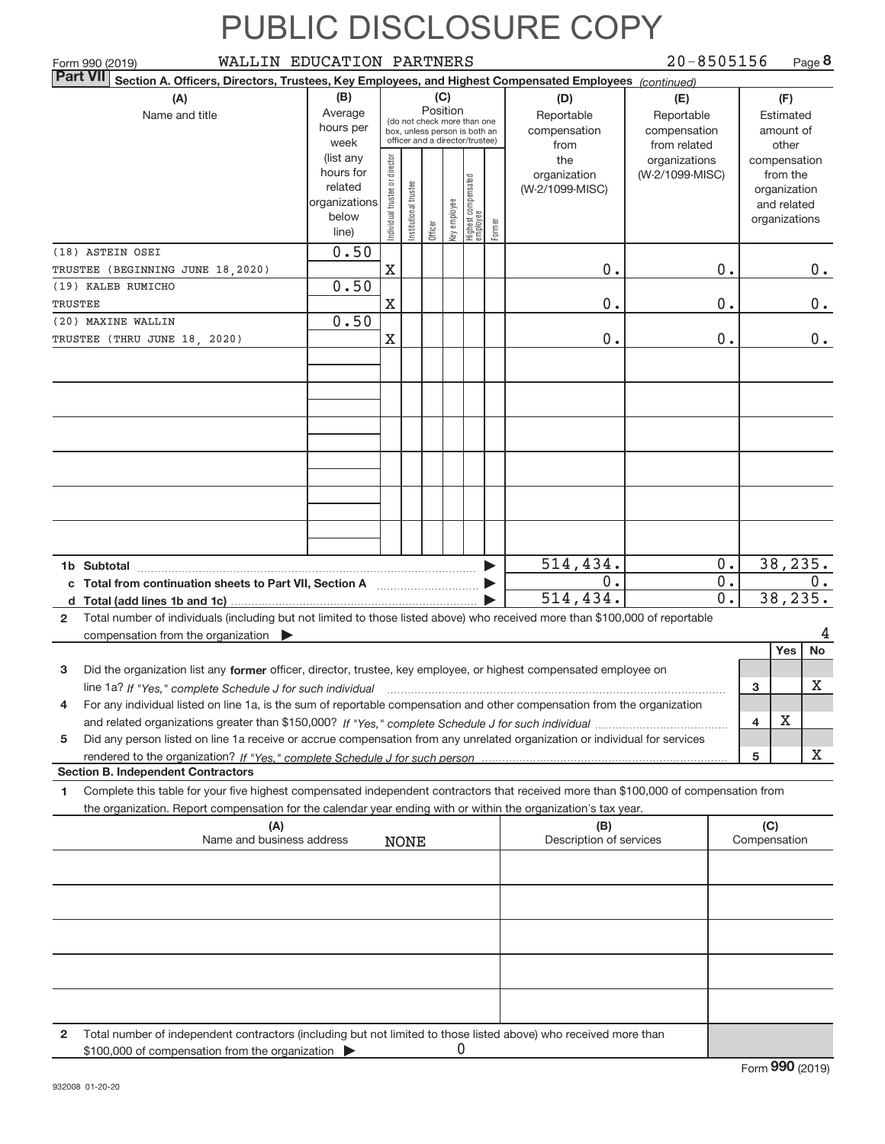| WALLIN EDUCATION PARTNERS<br>Form 990 (2019)                                                                                                                                                                                                                                     |                                                                      |                                |                                                                                                                    |         |              |                                 |                                           |                                                   | $20 - 8505156$                   |                                        |                                                                          | Page 8            |
|----------------------------------------------------------------------------------------------------------------------------------------------------------------------------------------------------------------------------------------------------------------------------------|----------------------------------------------------------------------|--------------------------------|--------------------------------------------------------------------------------------------------------------------|---------|--------------|---------------------------------|-------------------------------------------|---------------------------------------------------|----------------------------------|----------------------------------------|--------------------------------------------------------------------------|-------------------|
| <b>Part VII</b><br>Section A. Officers, Directors, Trustees, Key Employees, and Highest Compensated Employees (continued)                                                                                                                                                        |                                                                      |                                |                                                                                                                    |         |              |                                 |                                           |                                                   |                                  |                                        |                                                                          |                   |
| (A)<br>Name and title                                                                                                                                                                                                                                                            | (B)<br>Average<br>hours per<br>week                                  |                                | (C)<br>Position<br>(do not check more than one<br>box, unless person is both an<br>officer and a director/trustee) |         |              |                                 | (D)<br>Reportable<br>compensation<br>from | (E)<br>Reportable<br>compensation<br>from related |                                  | (F)<br>Estimated<br>amount of<br>other |                                                                          |                   |
|                                                                                                                                                                                                                                                                                  | (list any<br>hours for<br>related<br>organizations<br>below<br>line) | Individual trustee or director | Institutional trustee                                                                                              | Officer | Key employee | Highest compensated<br>employee | Former                                    | the<br>organization<br>(W-2/1099-MISC)            | organizations<br>(W-2/1099-MISC) |                                        | compensation<br>from the<br>organization<br>and related<br>organizations |                   |
| (18) ASTEIN OSEI<br>TRUSTEE (BEGINNING JUNE 18, 2020)                                                                                                                                                                                                                            | 0.50                                                                 | $\mathbf X$                    |                                                                                                                    |         |              |                                 |                                           | 0.                                                |                                  | 0.                                     |                                                                          | $0$ .             |
| (19) KALEB RUMICHO                                                                                                                                                                                                                                                               | 0.50                                                                 |                                |                                                                                                                    |         |              |                                 |                                           |                                                   |                                  |                                        |                                                                          |                   |
| TRUSTEE                                                                                                                                                                                                                                                                          |                                                                      | $\mathbf X$                    |                                                                                                                    |         |              |                                 |                                           | 0.                                                |                                  | 0.                                     |                                                                          | 0.                |
| (20) MAXINE WALLIN                                                                                                                                                                                                                                                               | 0.50                                                                 |                                |                                                                                                                    |         |              |                                 |                                           |                                                   |                                  |                                        |                                                                          |                   |
| TRUSTEE (THRU JUNE 18, 2020)                                                                                                                                                                                                                                                     |                                                                      | X                              |                                                                                                                    |         |              |                                 |                                           | 0.                                                |                                  | 0.                                     |                                                                          | $0$ .             |
|                                                                                                                                                                                                                                                                                  |                                                                      |                                |                                                                                                                    |         |              |                                 |                                           |                                                   |                                  |                                        |                                                                          |                   |
|                                                                                                                                                                                                                                                                                  |                                                                      |                                |                                                                                                                    |         |              |                                 |                                           |                                                   |                                  |                                        |                                                                          |                   |
|                                                                                                                                                                                                                                                                                  |                                                                      |                                |                                                                                                                    |         |              |                                 |                                           |                                                   |                                  |                                        |                                                                          |                   |
| 1b Subtotal                                                                                                                                                                                                                                                                      |                                                                      |                                |                                                                                                                    |         |              |                                 |                                           | 514,434.<br>0.                                    |                                  | 0.<br>0.                               |                                                                          | 38, 235.<br>$0$ . |
| c Total from continuation sheets to Part VII, Section A [11] [2000]                                                                                                                                                                                                              |                                                                      |                                |                                                                                                                    |         |              |                                 |                                           | 514,434.                                          |                                  | 0.                                     |                                                                          | 38, 235.          |
| Total number of individuals (including but not limited to those listed above) who received more than \$100,000 of reportable<br>$\mathbf{2}$<br>compensation from the organization                                                                                               |                                                                      |                                |                                                                                                                    |         |              |                                 |                                           |                                                   |                                  |                                        |                                                                          |                   |
|                                                                                                                                                                                                                                                                                  |                                                                      |                                |                                                                                                                    |         |              |                                 |                                           |                                                   |                                  |                                        | Yes                                                                      | No                |
| Did the organization list any former officer, director, trustee, key employee, or highest compensated employee on<br>3                                                                                                                                                           |                                                                      |                                |                                                                                                                    |         |              |                                 |                                           |                                                   |                                  |                                        | 3                                                                        | х                 |
| line 1a? If "Yes," complete Schedule J for such individual manufactured contained and the 1a? If "Yes," complete Schedule J for such individual<br>For any individual listed on line 1a, is the sum of reportable compensation and other compensation from the organization<br>4 |                                                                      |                                |                                                                                                                    |         |              |                                 |                                           |                                                   |                                  |                                        |                                                                          |                   |
|                                                                                                                                                                                                                                                                                  |                                                                      |                                |                                                                                                                    |         |              |                                 |                                           |                                                   |                                  |                                        | X<br>4                                                                   |                   |
| Did any person listed on line 1a receive or accrue compensation from any unrelated organization or individual for services<br>5                                                                                                                                                  |                                                                      |                                |                                                                                                                    |         |              |                                 |                                           |                                                   |                                  |                                        |                                                                          |                   |
|                                                                                                                                                                                                                                                                                  |                                                                      |                                |                                                                                                                    |         |              |                                 |                                           |                                                   |                                  |                                        | 5                                                                        | x                 |
| <b>Section B. Independent Contractors</b><br>Complete this table for your five highest compensated independent contractors that received more than \$100,000 of compensation from<br>1                                                                                           |                                                                      |                                |                                                                                                                    |         |              |                                 |                                           |                                                   |                                  |                                        |                                                                          |                   |
| the organization. Report compensation for the calendar year ending with or within the organization's tax year.                                                                                                                                                                   |                                                                      |                                |                                                                                                                    |         |              |                                 |                                           |                                                   |                                  |                                        |                                                                          |                   |
| (A)<br>Name and business address                                                                                                                                                                                                                                                 |                                                                      |                                | <b>NONE</b>                                                                                                        |         |              |                                 |                                           | (B)<br>Description of services                    |                                  |                                        | (C)<br>Compensation                                                      |                   |
|                                                                                                                                                                                                                                                                                  |                                                                      |                                |                                                                                                                    |         |              |                                 |                                           |                                                   |                                  |                                        |                                                                          |                   |
|                                                                                                                                                                                                                                                                                  |                                                                      |                                |                                                                                                                    |         |              |                                 |                                           |                                                   |                                  |                                        |                                                                          |                   |
|                                                                                                                                                                                                                                                                                  |                                                                      |                                |                                                                                                                    |         |              |                                 |                                           |                                                   |                                  |                                        |                                                                          |                   |
|                                                                                                                                                                                                                                                                                  |                                                                      |                                |                                                                                                                    |         |              |                                 |                                           |                                                   |                                  |                                        |                                                                          |                   |
|                                                                                                                                                                                                                                                                                  |                                                                      |                                |                                                                                                                    |         |              |                                 |                                           |                                                   |                                  |                                        |                                                                          |                   |

**2** Total number of independent contractors (including but not limited to those listed above) who received more than \$100,000 of compensation from the organization 0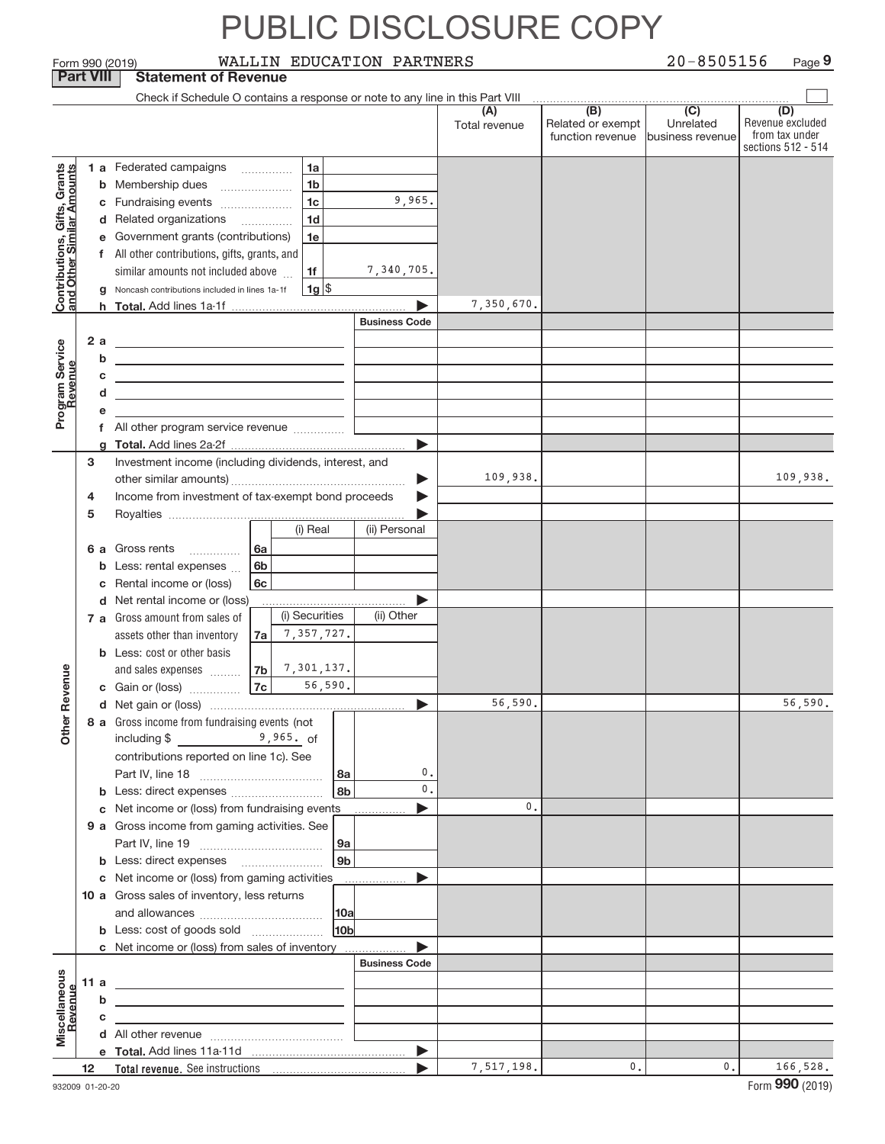|                                                           |                                                      |        | Form 990 (2019)                                                                                                      |                |                | WALLIN EDUCATION PARTNERS |                      |                                              | $20 - 8505156$                                    | Page 9                                                          |  |
|-----------------------------------------------------------|------------------------------------------------------|--------|----------------------------------------------------------------------------------------------------------------------|----------------|----------------|---------------------------|----------------------|----------------------------------------------|---------------------------------------------------|-----------------------------------------------------------------|--|
| <b>Part VIII</b><br><b>Statement of Revenue</b>           |                                                      |        |                                                                                                                      |                |                |                           |                      |                                              |                                                   |                                                                 |  |
|                                                           |                                                      |        | Check if Schedule O contains a response or note to any line in this Part VIII                                        |                |                |                           |                      |                                              |                                                   |                                                                 |  |
|                                                           |                                                      |        |                                                                                                                      |                |                |                           | (A)<br>Total revenue | (B)<br>Related or exempt<br>function revenue | $\overline{(C)}$<br>Unrelated<br>business revenue | (D)<br>Revenue excluded<br>from tax under<br>sections 512 - 514 |  |
|                                                           |                                                      |        | 1 a Federated campaigns                                                                                              |                | 1a             |                           |                      |                                              |                                                   |                                                                 |  |
| Contributions, Gifts, Grants<br>and Other Similar Amounts |                                                      |        | <b>b</b> Membership dues                                                                                             |                | 1 <sub>b</sub> |                           |                      |                                              |                                                   |                                                                 |  |
|                                                           |                                                      |        | c Fundraising events                                                                                                 |                | 1 <sub>c</sub> | 9,965.                    |                      |                                              |                                                   |                                                                 |  |
|                                                           |                                                      |        | d Related organizations                                                                                              |                | 1 <sub>d</sub> |                           |                      |                                              |                                                   |                                                                 |  |
|                                                           |                                                      |        | e Government grants (contributions)                                                                                  |                | 1e             |                           |                      |                                              |                                                   |                                                                 |  |
|                                                           |                                                      |        | f All other contributions, gifts, grants, and                                                                        |                |                |                           |                      |                                              |                                                   |                                                                 |  |
|                                                           |                                                      |        | similar amounts not included above                                                                                   |                | 1f             | 7,340,705.                |                      |                                              |                                                   |                                                                 |  |
|                                                           |                                                      |        | g Noncash contributions included in lines 1a-1f                                                                      |                | 1g             |                           |                      |                                              |                                                   |                                                                 |  |
|                                                           |                                                      |        |                                                                                                                      |                |                |                           | 7,350,670.           |                                              |                                                   |                                                                 |  |
|                                                           |                                                      |        |                                                                                                                      |                |                | <b>Business Code</b>      |                      |                                              |                                                   |                                                                 |  |
|                                                           | 2a                                                   |        | the control of the control of the control of the control of                                                          |                |                |                           |                      |                                              |                                                   |                                                                 |  |
|                                                           |                                                      | b      | <u> 1989 - Johann Barn, amerikansk politiker (d. 1989)</u>                                                           |                |                |                           |                      |                                              |                                                   |                                                                 |  |
|                                                           |                                                      | С      | <u> 1989 - Johann Stein, marwolaethau a bhann an t-Amhair an t-Amhair an t-Amhair an t-Amhair an t-Amhair an t-A</u> |                |                |                           |                      |                                              |                                                   |                                                                 |  |
|                                                           |                                                      | d      |                                                                                                                      |                |                |                           |                      |                                              |                                                   |                                                                 |  |
| Program Service                                           |                                                      | е      |                                                                                                                      |                |                |                           |                      |                                              |                                                   |                                                                 |  |
|                                                           |                                                      |        |                                                                                                                      |                |                |                           |                      |                                              |                                                   |                                                                 |  |
|                                                           | 3                                                    | q      | Investment income (including dividends, interest, and                                                                |                |                |                           |                      |                                              |                                                   |                                                                 |  |
|                                                           |                                                      |        |                                                                                                                      |                |                | ▶                         | 109,938.             |                                              |                                                   | 109,938.                                                        |  |
|                                                           | 4                                                    |        | Income from investment of tax-exempt bond proceeds                                                                   |                |                |                           |                      |                                              |                                                   |                                                                 |  |
|                                                           | 5                                                    |        |                                                                                                                      |                |                |                           |                      |                                              |                                                   |                                                                 |  |
|                                                           |                                                      |        |                                                                                                                      |                | (i) Real       | (ii) Personal             |                      |                                              |                                                   |                                                                 |  |
|                                                           |                                                      |        | <b>6 a</b> Gross rents                                                                                               | ∣6a            |                |                           |                      |                                              |                                                   |                                                                 |  |
|                                                           |                                                      | b      | Less: rental expenses                                                                                                | 6b             |                |                           |                      |                                              |                                                   |                                                                 |  |
|                                                           |                                                      |        | c Rental income or (loss)                                                                                            | 6c             |                |                           |                      |                                              |                                                   |                                                                 |  |
|                                                           |                                                      |        | d Net rental income or (loss)                                                                                        |                |                |                           |                      |                                              |                                                   |                                                                 |  |
|                                                           |                                                      |        | 7 a Gross amount from sales of                                                                                       |                | (i) Securities | (ii) Other                |                      |                                              |                                                   |                                                                 |  |
|                                                           |                                                      |        | assets other than inventory                                                                                          | 7a             | 7,357,727.     |                           |                      |                                              |                                                   |                                                                 |  |
|                                                           |                                                      |        | <b>b</b> Less: cost or other basis                                                                                   |                |                |                           |                      |                                              |                                                   |                                                                 |  |
| evenue                                                    |                                                      |        | and sales expenses                                                                                                   | 7 <sub>b</sub> | 7,301,137.     |                           |                      |                                              |                                                   |                                                                 |  |
|                                                           |                                                      |        | c Gain or (loss)                                                                                                     | 7c             | 56,590.        |                           | 56,590.              |                                              |                                                   | 56,590.                                                         |  |
| Other Re                                                  |                                                      |        |                                                                                                                      |                |                |                           |                      |                                              |                                                   |                                                                 |  |
|                                                           |                                                      |        | 8 a Gross income from fundraising events (not<br>including \$<br>$9,965.$ of                                         |                |                |                           |                      |                                              |                                                   |                                                                 |  |
|                                                           |                                                      |        | contributions reported on line 1c). See                                                                              |                |                |                           |                      |                                              |                                                   |                                                                 |  |
|                                                           |                                                      |        |                                                                                                                      |                |                | 0.<br>  8a                |                      |                                              |                                                   |                                                                 |  |
|                                                           |                                                      |        |                                                                                                                      |                |                | 0.<br>8b                  |                      |                                              |                                                   |                                                                 |  |
|                                                           |                                                      |        | c Net income or (loss) from fundraising events                                                                       |                |                |                           | $\mathbf{0}$ .       |                                              |                                                   |                                                                 |  |
|                                                           |                                                      |        | 9 a Gross income from gaming activities. See                                                                         |                |                |                           |                      |                                              |                                                   |                                                                 |  |
|                                                           |                                                      |        |                                                                                                                      |                |                | 9а                        |                      |                                              |                                                   |                                                                 |  |
|                                                           |                                                      |        |                                                                                                                      |                |                | 9 <sub>b</sub>            |                      |                                              |                                                   |                                                                 |  |
|                                                           |                                                      |        | c Net income or (loss) from gaming activities ______________                                                         |                |                | ▶                         |                      |                                              |                                                   |                                                                 |  |
|                                                           |                                                      |        | 10 a Gross sales of inventory, less returns                                                                          |                |                |                           |                      |                                              |                                                   |                                                                 |  |
|                                                           |                                                      |        |                                                                                                                      |                |                | 10a                       |                      |                                              |                                                   |                                                                 |  |
|                                                           | 10 <sub>b</sub><br><b>b</b> Less: cost of goods sold |        |                                                                                                                      |                |                |                           |                      |                                              |                                                   |                                                                 |  |
|                                                           |                                                      |        | c Net income or (loss) from sales of inventory                                                                       |                |                |                           |                      |                                              |                                                   |                                                                 |  |
|                                                           |                                                      |        |                                                                                                                      |                |                | <b>Business Code</b>      |                      |                                              |                                                   |                                                                 |  |
|                                                           | 11 a                                                 |        |                                                                                                                      |                |                |                           |                      |                                              |                                                   |                                                                 |  |
| Revenue                                                   |                                                      | b<br>С |                                                                                                                      |                |                |                           |                      |                                              |                                                   |                                                                 |  |
| Miscellaneous                                             |                                                      |        |                                                                                                                      |                |                |                           |                      |                                              |                                                   |                                                                 |  |
|                                                           |                                                      |        |                                                                                                                      |                |                | $\blacktriangleright$     |                      |                                              |                                                   |                                                                 |  |
|                                                           | 12                                                   |        |                                                                                                                      |                |                |                           | 7,517,198.           | 0.                                           | 0.                                                | 166,528.                                                        |  |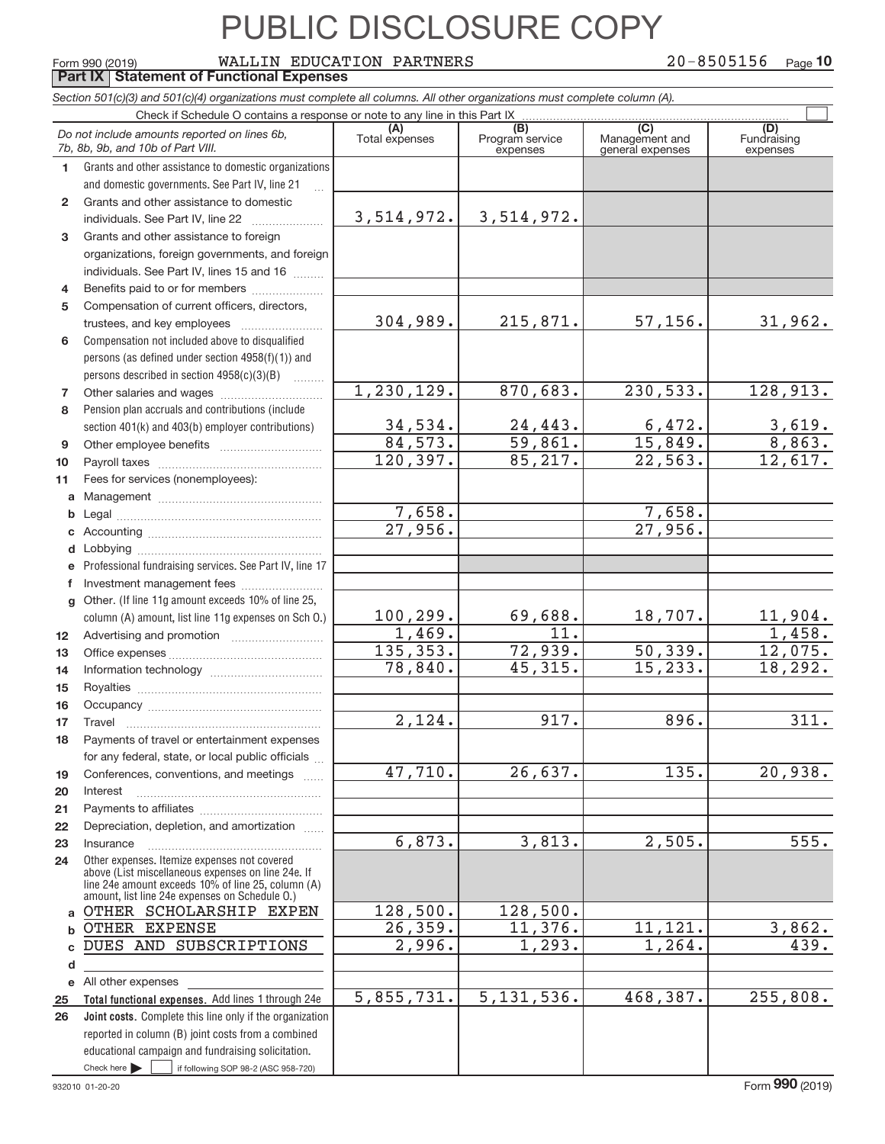#### **Total functional expenses.**  Add lines 1 through 24e **Joint costs.** Complete this line only if the organization **(A) (B) (B) (C)** (C) (A)<br>Total expenses Program service Management and Fundrain<br>expenses expenses expenses expen **1 2 3 4 5 6 7 8 9 10 11 a b c d e f g 12 13 14 15 16 17 18 19 20 21 22 23 24 a b c** DUES AND SUBSCRIPTIONS **d e 25 26** *Section 501(c)(3) and 501(c)(4) organizations must complete all columns. All other organizations must complete column (A).* Grants and other assistance to domestic organizations and domestic governments. See Part IV, line 21 Compensation not included above to disqualified persons (as defined under section 4958(f)(1)) and persons described in section  $4958(c)(3)(B)$  ........ Pension plan accruals and contributions (include section 401(k) and 403(b) employer contributions) Professional fundraising services. See Part IV, line 17 Other. (If line 11g amount exceeds 10% of line 25, column (A) amount, list line 11g expenses on Sch O.) Other expenses. Itemize expenses not covered above (List miscellaneous expenses on line 24e. If line 24e amount exceeds 10% of line 25, column (A) amount, list line 24e expenses on Schedule O.) reported in column (B) joint costs from a combined educational campaign and fundraising solicitation.  $_{\rm Form}$   $_{990}$   $_{(2019)}$   $_{\rm WALLIN}$   $_{\rm EDUCATION}$   $_{\rm PARTNERS}$   $_{\rm 20-8505156}$   $_{\rm Page}$ Check if Schedule O contains a response or note to any line in this Part IX (C) (C) (C) (C) (C) (C) (C) (C) (C) Management and general expenses Fundraising expenses ~<br>… Grants and other assistance to domestic  $individuals. See Part IV, line 22  $_________1$$ Grants and other assistance to foreign organizations, foreign governments, and foreign individuals. See Part IV, lines 15 and 16  $\ldots$ Benefits paid to or for members .................... Compensation of current officers, directors, trustees, and key employees ~~~~~~~~ Other salaries and wages ~~~~~~~~~~ Other employee benefits ~~~~~~~~~~ Payroll taxes ~~~~~~~~~~~~~~~~ Fees for services (nonemployees): Management ~~~~~~~~~~~~~~~~ Legal ~~~~~~~~~~~~~~~~~~~~ Accounting ~~~~~~~~~~~~~~~~~ Lobbying ~~~~~~~~~~~~~~~~~~ Investment management fees ........................ Advertising and promotion *www.community.com* Office expenses ~~~~~~~~~~~~~~~ Information technology ~~~~~~~~~~~ Royalties ~~~~~~~~~~~~~~~~~~ Occupancy ~~~~~~~~~~~~~~~~~ Travel ~~~~~~~~~~~~~~~~~~~ Payments of travel or entertainment expenses for any federal, state, or local public officials ... Conferences, conventions, and meetings Interest Payments to affiliates ~~~~~~~~~~~~ ~~~~~~~~~~~~~~~~~~ Depreciation, depletion, and amortization ...... Insurance ~~~~~~~~~~~~~~~~~ All other expenses *Do not include amounts reported on lines 6b, 7b, 8b, 9b, and 10b of Part VIII.* 20-8505156 <sub>Page</sub> 10 **Part IX Statement of Functional Expenses**  $\boxed{\phantom{1}}$ 3,514,972. 304,989. 1,230,129. 34,534. 84,573. 120,397. 7,658. 27,956. 100,299. 1,469. 135,353. 78,840. 2,124. 47,710. 6,873. 128,500. 26,359. 2,996. 5,855,731. 3,514,972. 215,871. 57,156. 31,962. 870,683. 230,533. 128,913. 24,443. 6,472. 3,619.  $59,861.$  15,849. 8,863. 85,217. 22,563. 12,617. 7,658. 27,956. 69,688. 18,707. 11,904. 11. 1,458. 72,939. 50,339. 12,075. 45,315. 15,233. 18,292. 917. 896. 311. 26,637. 135. 20,938. 3,813. 2,505. 555. 128,500. 11,376. 11,121. 3,862.  $1,293.$   $1,264.$   $439.$ 5,131,536. 468,387. 255,808. OTHER SCHOLARSHIP EXPEN OTHER EXPENSE

 $\blacktriangleright$   $\sqcup$ 

 $\frac{1}{1}$  if following SOP 98-2 (ASC 958-720)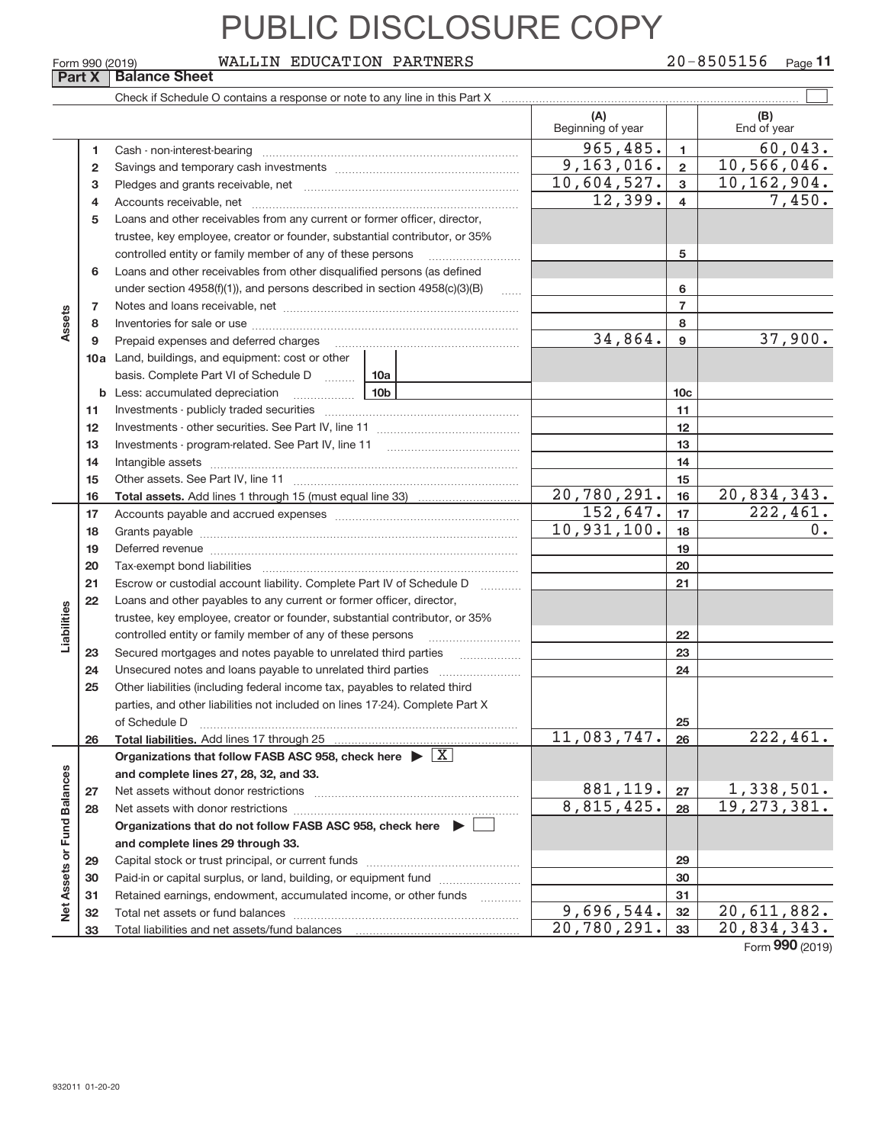#### $_{\rm Form}$   $_{990}$   $_{(2019)}$   $_{\rm WALLIN}$   $_{\rm EDUCATION}$   $_{\rm PARTNERS}$   $_{\rm 20-8505156}$   $_{\rm Page}$

|                             | Form 990 (2019) | WALLIN EDUCATION PARTNERS                                                                                                                                                                                                      |                             |                 | 20-8505156<br>$Page$ <sup>11</sup> |
|-----------------------------|-----------------|--------------------------------------------------------------------------------------------------------------------------------------------------------------------------------------------------------------------------------|-----------------------------|-----------------|------------------------------------|
|                             | Part X          | <b>Balance Sheet</b>                                                                                                                                                                                                           |                             |                 |                                    |
|                             |                 | Check if Schedule O contains a response or note to any line in this Part X [11] manumeron contains the contains a response or note to any line in this Part X [11] manumeron contains a response or note to any line in this P |                             |                 |                                    |
|                             |                 |                                                                                                                                                                                                                                | (A)<br>Beginning of year    |                 | (B)<br>End of year                 |
|                             | 1               |                                                                                                                                                                                                                                | 965,485.                    | $\mathbf{1}$    | 60,043.                            |
|                             | 2               |                                                                                                                                                                                                                                | 9, 163, 016.                | $\mathbf{2}$    | 10,566,046.                        |
|                             | з               |                                                                                                                                                                                                                                | 10,604,527.                 | 3               | $\overline{10}$ , 162, 904.        |
|                             | 4               |                                                                                                                                                                                                                                | 12,399.                     | $\overline{4}$  | 7,450.                             |
|                             | 5               | Loans and other receivables from any current or former officer, director,                                                                                                                                                      |                             |                 |                                    |
|                             |                 | trustee, key employee, creator or founder, substantial contributor, or 35%                                                                                                                                                     |                             |                 |                                    |
|                             |                 | controlled entity or family member of any of these persons                                                                                                                                                                     |                             | 5               |                                    |
|                             | 6               | Loans and other receivables from other disqualified persons (as defined                                                                                                                                                        |                             |                 |                                    |
|                             |                 | under section $4958(f)(1)$ , and persons described in section $4958(c)(3)(B)$                                                                                                                                                  |                             | 6               |                                    |
|                             | 7               |                                                                                                                                                                                                                                |                             | $\overline{7}$  |                                    |
| Assets                      | 8               |                                                                                                                                                                                                                                |                             | 8               |                                    |
|                             | 9               | Prepaid expenses and deferred charges                                                                                                                                                                                          | 34,864.                     | 9               | 37,900.                            |
|                             |                 | <b>10a</b> Land, buildings, and equipment: cost or other                                                                                                                                                                       |                             |                 |                                    |
|                             |                 | basis. Complete Part VI of Schedule D  10a                                                                                                                                                                                     |                             |                 |                                    |
|                             |                 | 10 <sub>b</sub><br><b>b</b> Less: accumulated depreciation<br>. 1                                                                                                                                                              |                             | 10 <sub>c</sub> |                                    |
|                             | 11              |                                                                                                                                                                                                                                |                             | 11              |                                    |
|                             | 12              |                                                                                                                                                                                                                                |                             | 12              |                                    |
|                             | 13              |                                                                                                                                                                                                                                |                             | 13              |                                    |
|                             | 14<br>15        |                                                                                                                                                                                                                                |                             | 14<br>15        |                                    |
|                             | 16              |                                                                                                                                                                                                                                | 20,780,291.                 | 16              | 20,834,343.                        |
|                             | 17              |                                                                                                                                                                                                                                | 152,647.                    | 17              | $\overline{222, 461.}$             |
|                             | 18              |                                                                                                                                                                                                                                | 10,931,100.                 | 18              | 0.                                 |
|                             | 19              | Deferred revenue manual contracts and contracts are contracted and contract and contract are contracted and contract are contracted and contract are contracted and contract are contracted and contract are contracted and co |                             | 19              |                                    |
|                             | 20              |                                                                                                                                                                                                                                |                             | 20              |                                    |
|                             | 21              | Escrow or custodial account liability. Complete Part IV of Schedule D                                                                                                                                                          |                             | 21              |                                    |
|                             | 22              | Loans and other payables to any current or former officer, director,                                                                                                                                                           |                             |                 |                                    |
|                             |                 | trustee, key employee, creator or founder, substantial contributor, or 35%                                                                                                                                                     |                             |                 |                                    |
| Liabilities                 |                 | controlled entity or family member of any of these persons                                                                                                                                                                     |                             | 22              |                                    |
|                             | 23              |                                                                                                                                                                                                                                |                             | 23              |                                    |
|                             | 24              |                                                                                                                                                                                                                                |                             | 24              |                                    |
|                             | 25              | Other liabilities (including federal income tax, payables to related third                                                                                                                                                     |                             |                 |                                    |
|                             |                 | parties, and other liabilities not included on lines 17-24). Complete Part X                                                                                                                                                   |                             |                 |                                    |
|                             |                 | of Schedule D                                                                                                                                                                                                                  |                             | 25              |                                    |
|                             | 26              | Total liabilities. Add lines 17 through 25                                                                                                                                                                                     | 11,083,747.                 | 26              | 222,461.                           |
|                             |                 | Organizations that follow FASB ASC 958, check here $\blacktriangleright \boxed{X}$                                                                                                                                             |                             |                 |                                    |
|                             |                 | and complete lines 27, 28, 32, and 33.                                                                                                                                                                                         | 881,119.                    |                 | 1,338,501.                         |
|                             | 27              |                                                                                                                                                                                                                                | 8,815,425.                  | 27<br>28        | 19, 273, 381.                      |
|                             | 28              | Net assets with donor restrictions<br>Organizations that do not follow FASB ASC 958, check here $\blacktriangleright$                                                                                                          |                             |                 |                                    |
|                             |                 | and complete lines 29 through 33.                                                                                                                                                                                              |                             |                 |                                    |
|                             | 29              |                                                                                                                                                                                                                                |                             | 29              |                                    |
|                             | 30              | Paid-in or capital surplus, or land, building, or equipment fund                                                                                                                                                               |                             | 30              |                                    |
|                             | 31              | Retained earnings, endowment, accumulated income, or other funds                                                                                                                                                               |                             | 31              |                                    |
| Net Assets or Fund Balances | 32              |                                                                                                                                                                                                                                | 9,696,544.                  | 32              | 20,611,882.                        |
|                             | 33              |                                                                                                                                                                                                                                | $\overline{20}$ , 780, 291. | 33              | 20,834,343.                        |
|                             |                 |                                                                                                                                                                                                                                |                             |                 | Form 990 (2019)                    |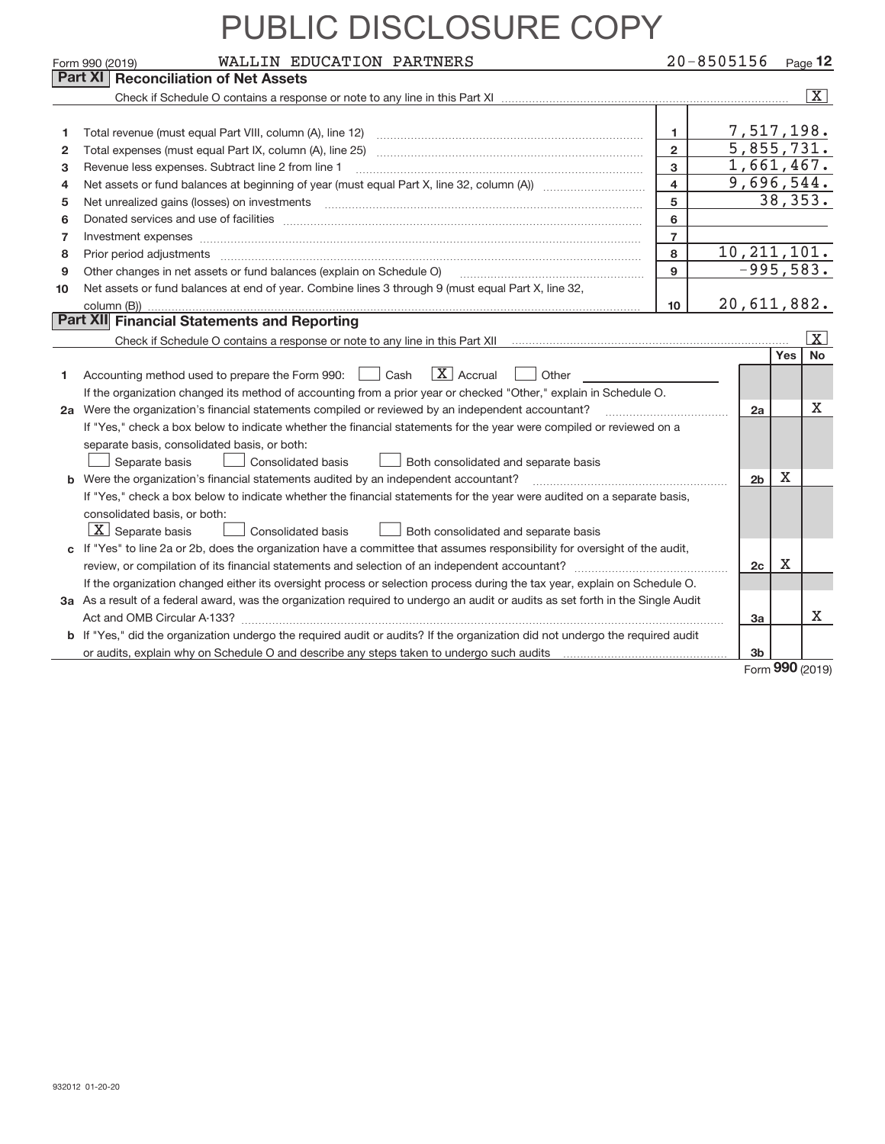|    | WALLIN EDUCATION PARTNERS<br>Form 990 (2019)                                                                                                                                                                                   |                | $20 - 8505156$ |             | $P_{A}$ 12              |
|----|--------------------------------------------------------------------------------------------------------------------------------------------------------------------------------------------------------------------------------|----------------|----------------|-------------|-------------------------|
|    | Part XI<br><b>Reconciliation of Net Assets</b>                                                                                                                                                                                 |                |                |             |                         |
|    |                                                                                                                                                                                                                                |                |                |             | $\overline{\mathbf{X}}$ |
|    |                                                                                                                                                                                                                                |                |                |             |                         |
|    |                                                                                                                                                                                                                                | 1              | 7,517,198.     |             |                         |
| 2  |                                                                                                                                                                                                                                | $\overline{2}$ | 5,855,731.     |             |                         |
| з  | Revenue less expenses. Subtract line 2 from line 1                                                                                                                                                                             | 3              | 1,661,467.     |             |                         |
| 4  |                                                                                                                                                                                                                                | 4              | 9,696,544.     |             |                         |
| 5  | Net unrealized gains (losses) on investments [11] matter continuum matter is a set of the state of the state of the state of the state of the state of the state of the state of the state of the state of the state of the st | 5              |                | 38, 353.    |                         |
| 6  |                                                                                                                                                                                                                                | 6              |                |             |                         |
| 7  | Investment expenses www.communication.com/www.communication.com/www.communication.com/www.communication.com                                                                                                                    | $\overline{7}$ |                |             |                         |
| 8  |                                                                                                                                                                                                                                | 8              | 10, 211, 101.  |             |                         |
| 9  | Other changes in net assets or fund balances (explain on Schedule O)                                                                                                                                                           | 9              |                | $-995,583.$ |                         |
| 10 | Net assets or fund balances at end of year. Combine lines 3 through 9 (must equal Part X, line 32,                                                                                                                             |                |                |             |                         |
|    |                                                                                                                                                                                                                                | 10             | 20,611,882.    |             |                         |
|    | Part XII Financial Statements and Reporting                                                                                                                                                                                    |                |                |             |                         |
|    |                                                                                                                                                                                                                                |                |                |             | X                       |
|    |                                                                                                                                                                                                                                |                |                | Yes         | <b>No</b>               |
| 1  | $\vert X \vert$ Accrual<br>Accounting method used to prepare the Form 990: <u>June</u> Cash<br>Other                                                                                                                           |                |                |             |                         |
|    | If the organization changed its method of accounting from a prior year or checked "Other," explain in Schedule O.                                                                                                              |                |                |             |                         |
|    | 2a Were the organization's financial statements compiled or reviewed by an independent accountant?                                                                                                                             |                | 2a             |             | X                       |
|    | If "Yes," check a box below to indicate whether the financial statements for the year were compiled or reviewed on a                                                                                                           |                |                |             |                         |
|    | separate basis, consolidated basis, or both:                                                                                                                                                                                   |                |                |             |                         |
|    | Separate basis<br>Consolidated basis<br>Both consolidated and separate basis                                                                                                                                                   |                |                |             |                         |
|    | <b>b</b> Were the organization's financial statements audited by an independent accountant?                                                                                                                                    |                | 2 <sub>b</sub> | $\mathbf X$ |                         |
|    | If "Yes," check a box below to indicate whether the financial statements for the year were audited on a separate basis,                                                                                                        |                |                |             |                         |
|    | consolidated basis, or both:                                                                                                                                                                                                   |                |                |             |                         |
|    | $X$ Separate basis<br>Consolidated basis<br>Both consolidated and separate basis                                                                                                                                               |                |                |             |                         |
|    | c If "Yes" to line 2a or 2b, does the organization have a committee that assumes responsibility for oversight of the audit,                                                                                                    |                |                |             |                         |
|    |                                                                                                                                                                                                                                |                | 2c             | Χ           |                         |
|    | If the organization changed either its oversight process or selection process during the tax year, explain on Schedule O.                                                                                                      |                |                |             |                         |
|    | 3a As a result of a federal award, was the organization required to undergo an audit or audits as set forth in the Single Audit                                                                                                |                |                |             |                         |
|    |                                                                                                                                                                                                                                |                | 3a             |             | х                       |
|    | b If "Yes," did the organization undergo the required audit or audits? If the organization did not undergo the required audit                                                                                                  |                |                |             |                         |
|    |                                                                                                                                                                                                                                |                | 3 <sub>b</sub> |             |                         |

Form (2019) **990**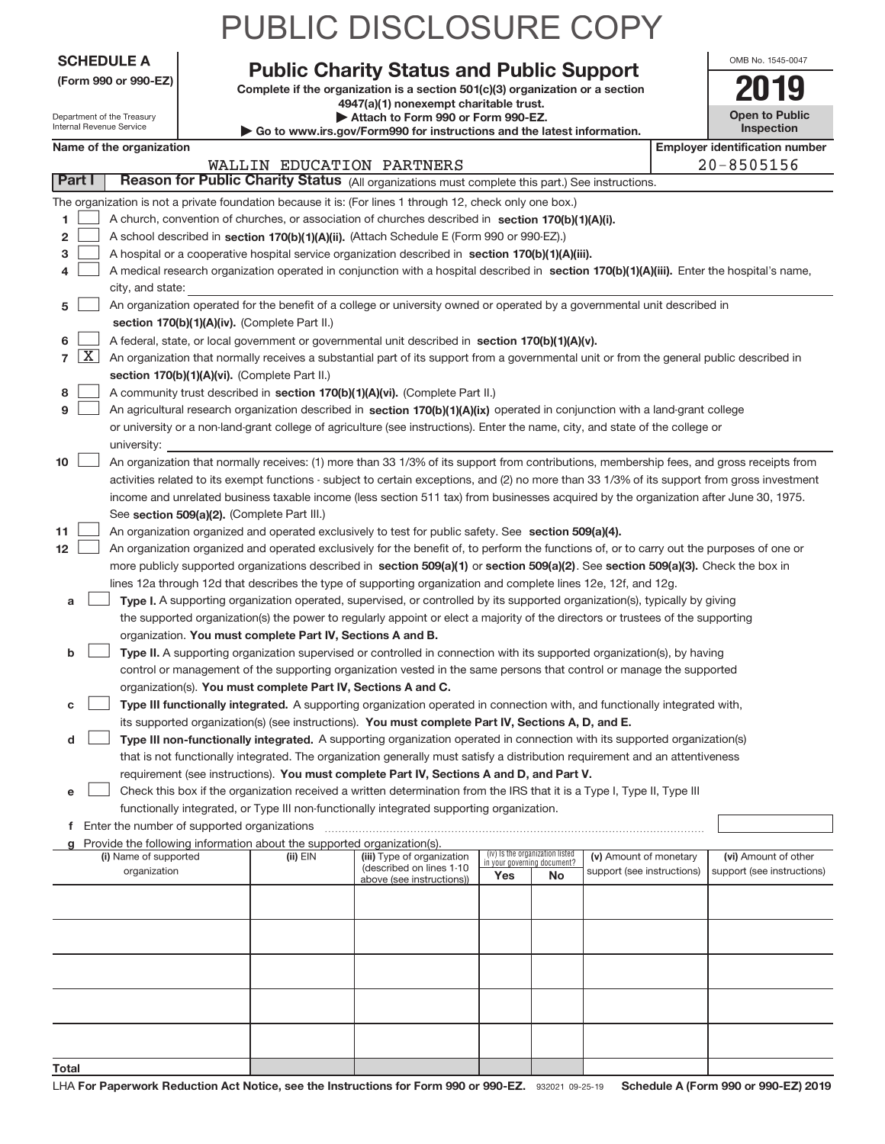|                   | <b>PUBLIC DISCLOSURE COPY</b>    |        |
|-------------------|----------------------------------|--------|
| <b>SCHEDULE A</b> | <b>BULLAL SE ALLES JBULLA</b> ST | OMB No |

| (Form 990 or 990-EZ) |  |  |  |  |
|----------------------|--|--|--|--|
|----------------------|--|--|--|--|

Internal Revenue Service

Department of the Treasury

#### Complete if the organization is a section 501(c)(3) organization or a section **Public Charity Status and Public Support**

**4947(a)(1) nonexempt charitable trust. | Attach to Form 990 or Form 990‐EZ.** 

| Go to www.irs.gov/Form990 for instructions and the latest information. |
|------------------------------------------------------------------------|
|------------------------------------------------------------------------|

| <b>Open to Public</b><br><b>Inspection</b> |  |
|--------------------------------------------|--|

1545-0047

#### **Name of the organization Employer identification Employer identification** number

|                                       |                                                                                                                                               |              | WALLIN EDUCATION PARTNERS  |                             |                                 |                                                      |  | $20 - 8505156$                                     |  |
|---------------------------------------|-----------------------------------------------------------------------------------------------------------------------------------------------|--------------|----------------------------|-----------------------------|---------------------------------|------------------------------------------------------|--|----------------------------------------------------|--|
| <b>Part I</b>                         | Reason for Public Charity Status (All organizations must complete this part.) See instructions.                                               |              |                            |                             |                                 |                                                      |  |                                                    |  |
|                                       | The organization is not a private foundation because it is: (For lines 1 through 12, check only one box.)                                     |              |                            |                             |                                 |                                                      |  |                                                    |  |
| 1                                     | A church, convention of churches, or association of churches described in section 170(b)(1)(A)(i).                                            |              |                            |                             |                                 |                                                      |  |                                                    |  |
| 2                                     | A school described in section 170(b)(1)(A)(ii). (Attach Schedule E (Form 990 or 990-EZ).)                                                     |              |                            |                             |                                 |                                                      |  |                                                    |  |
| 3                                     | A hospital or a cooperative hospital service organization described in section 170(b)(1)(A)(iii).                                             |              |                            |                             |                                 |                                                      |  |                                                    |  |
| 4                                     | A medical research organization operated in conjunction with a hospital described in section 170(b)(1)(A)(iii). Enter the hospital's name,    |              |                            |                             |                                 |                                                      |  |                                                    |  |
|                                       | city, and state:                                                                                                                              |              |                            |                             |                                 |                                                      |  |                                                    |  |
| 5                                     | An organization operated for the benefit of a college or university owned or operated by a governmental unit described in                     |              |                            |                             |                                 |                                                      |  |                                                    |  |
|                                       | section 170(b)(1)(A)(iv). (Complete Part II.)                                                                                                 |              |                            |                             |                                 |                                                      |  |                                                    |  |
|                                       |                                                                                                                                               |              |                            |                             |                                 |                                                      |  |                                                    |  |
| 6                                     | A federal, state, or local government or governmental unit described in section 170(b)(1)(A)(v).                                              |              |                            |                             |                                 |                                                      |  |                                                    |  |
| $\lfloor x \rfloor$<br>$\overline{7}$ | An organization that normally receives a substantial part of its support from a governmental unit or from the general public described in     |              |                            |                             |                                 |                                                      |  |                                                    |  |
|                                       | section 170(b)(1)(A)(vi). (Complete Part II.)                                                                                                 |              |                            |                             |                                 |                                                      |  |                                                    |  |
| 8                                     | A community trust described in section 170(b)(1)(A)(vi). (Complete Part II.)                                                                  |              |                            |                             |                                 |                                                      |  |                                                    |  |
| 9                                     | An agricultural research organization described in section 170(b)(1)(A)(ix) operated in conjunction with a land-grant college                 |              |                            |                             |                                 |                                                      |  |                                                    |  |
|                                       | or university or a non-land-grant college of agriculture (see instructions). Enter the name, city, and state of the college or                |              |                            |                             |                                 |                                                      |  |                                                    |  |
|                                       | university:                                                                                                                                   |              |                            |                             |                                 |                                                      |  |                                                    |  |
| 10                                    | An organization that normally receives: (1) more than 33 1/3% of its support from contributions, membership fees, and gross receipts from     |              |                            |                             |                                 |                                                      |  |                                                    |  |
|                                       | activities related to its exempt functions - subject to certain exceptions, and (2) no more than 33 1/3% of its support from gross investment |              |                            |                             |                                 |                                                      |  |                                                    |  |
|                                       | income and unrelated business taxable income (less section 511 tax) from businesses acquired by the organization after June 30, 1975.         |              |                            |                             |                                 |                                                      |  |                                                    |  |
|                                       | See section 509(a)(2). (Complete Part III.)                                                                                                   |              |                            |                             |                                 |                                                      |  |                                                    |  |
| 11                                    | An organization organized and operated exclusively to test for public safety. See section 509(a)(4).                                          |              |                            |                             |                                 |                                                      |  |                                                    |  |
| 12                                    | An organization organized and operated exclusively for the benefit of, to perform the functions of, or to carry out the purposes of one or    |              |                            |                             |                                 |                                                      |  |                                                    |  |
|                                       | more publicly supported organizations described in section 509(a)(1) or section 509(a)(2). See section 509(a)(3). Check the box in            |              |                            |                             |                                 |                                                      |  |                                                    |  |
|                                       | lines 12a through 12d that describes the type of supporting organization and complete lines 12e, 12f, and 12g.                                |              |                            |                             |                                 |                                                      |  |                                                    |  |
| a                                     | Type I. A supporting organization operated, supervised, or controlled by its supported organization(s), typically by giving                   |              |                            |                             |                                 |                                                      |  |                                                    |  |
|                                       | the supported organization(s) the power to regularly appoint or elect a majority of the directors or trustees of the supporting               |              |                            |                             |                                 |                                                      |  |                                                    |  |
|                                       | organization. You must complete Part IV, Sections A and B.                                                                                    |              |                            |                             |                                 |                                                      |  |                                                    |  |
| b                                     | Type II. A supporting organization supervised or controlled in connection with its supported organization(s), by having                       |              |                            |                             |                                 |                                                      |  |                                                    |  |
|                                       | control or management of the supporting organization vested in the same persons that control or manage the supported                          |              |                            |                             |                                 |                                                      |  |                                                    |  |
|                                       |                                                                                                                                               |              |                            |                             |                                 |                                                      |  |                                                    |  |
|                                       | organization(s). You must complete Part IV, Sections A and C.                                                                                 |              |                            |                             |                                 |                                                      |  |                                                    |  |
| с                                     | Type III functionally integrated. A supporting organization operated in connection with, and functionally integrated with,                    |              |                            |                             |                                 |                                                      |  |                                                    |  |
|                                       | its supported organization(s) (see instructions). You must complete Part IV, Sections A, D, and E.                                            |              |                            |                             |                                 |                                                      |  |                                                    |  |
| d                                     | Type III non-functionally integrated. A supporting organization operated in connection with its supported organization(s)                     |              |                            |                             |                                 |                                                      |  |                                                    |  |
|                                       | that is not functionally integrated. The organization generally must satisfy a distribution requirement and an attentiveness                  |              |                            |                             |                                 |                                                      |  |                                                    |  |
|                                       | requirement (see instructions). You must complete Part IV, Sections A and D, and Part V.                                                      |              |                            |                             |                                 |                                                      |  |                                                    |  |
| е                                     | Check this box if the organization received a written determination from the IRS that it is a Type I, Type II, Type III                       |              |                            |                             |                                 |                                                      |  |                                                    |  |
|                                       | functionally integrated, or Type III non-functionally integrated supporting organization.                                                     |              |                            |                             |                                 |                                                      |  |                                                    |  |
|                                       | f Enter the number of supported organizations                                                                                                 |              |                            |                             |                                 |                                                      |  |                                                    |  |
|                                       | g Provide the following information about the supported organization(s).<br>(i) Name of supported                                             |              | (iii) Type of organization |                             | (iv) Is the organization listed |                                                      |  |                                                    |  |
|                                       | organization                                                                                                                                  | $(ii)$ $EIN$ | (described on lines 1-10   | in your governing document? |                                 | (v) Amount of monetary<br>support (see instructions) |  | (vi) Amount of other<br>support (see instructions) |  |
|                                       |                                                                                                                                               |              | above (see instructions))  | Yes                         | No                              |                                                      |  |                                                    |  |
|                                       |                                                                                                                                               |              |                            |                             |                                 |                                                      |  |                                                    |  |
|                                       |                                                                                                                                               |              |                            |                             |                                 |                                                      |  |                                                    |  |
|                                       |                                                                                                                                               |              |                            |                             |                                 |                                                      |  |                                                    |  |
|                                       |                                                                                                                                               |              |                            |                             |                                 |                                                      |  |                                                    |  |
|                                       |                                                                                                                                               |              |                            |                             |                                 |                                                      |  |                                                    |  |
|                                       |                                                                                                                                               |              |                            |                             |                                 |                                                      |  |                                                    |  |
|                                       |                                                                                                                                               |              |                            |                             |                                 |                                                      |  |                                                    |  |
|                                       |                                                                                                                                               |              |                            |                             |                                 |                                                      |  |                                                    |  |
|                                       |                                                                                                                                               |              |                            |                             |                                 |                                                      |  |                                                    |  |
|                                       |                                                                                                                                               |              |                            |                             |                                 |                                                      |  |                                                    |  |
| Total                                 |                                                                                                                                               |              |                            |                             |                                 |                                                      |  |                                                    |  |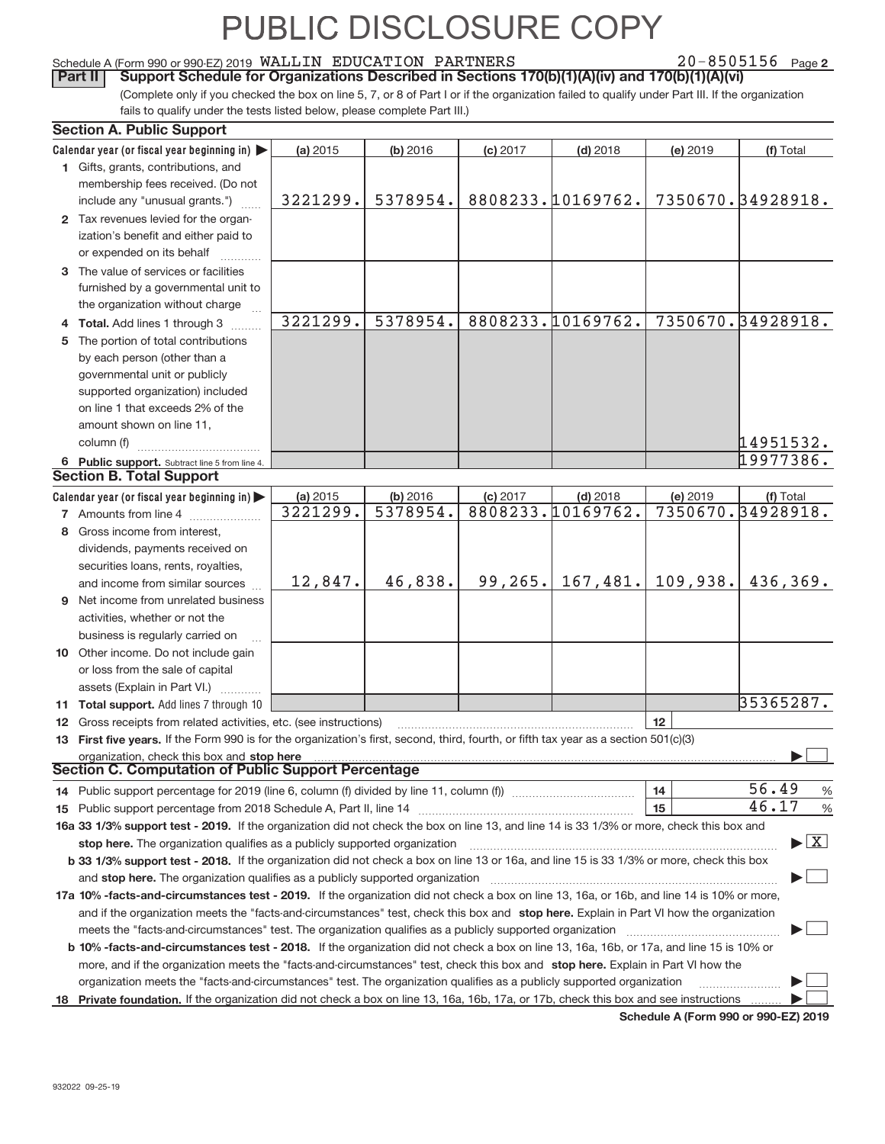#### Schedule A (Form 990 or 990‐EZ) 2019 Page WALLIN EDUCATION PARTNERS 20‐8505156

20-8505156 Page 2

(Complete only if you checked the box on line 5, 7, or 8 of Part I or if the organization failed to qualify under Part III. If the organization fails to qualify under the tests listed below, please complete Part III.) **Part II** Support Schedule for Organizations Described in Sections 170(b)(1)(A)(iv) and 170(b)(1)(A)(vi)

| <b>Section A. Public Support</b>                                                                                                               |          |          |            |                   |          |                                          |
|------------------------------------------------------------------------------------------------------------------------------------------------|----------|----------|------------|-------------------|----------|------------------------------------------|
| Calendar year (or fiscal year beginning in)                                                                                                    | (a) 2015 | (b) 2016 | $(c)$ 2017 | $(d)$ 2018        | (e) 2019 | (f) Total                                |
| 1 Gifts, grants, contributions, and                                                                                                            |          |          |            |                   |          |                                          |
| membership fees received. (Do not                                                                                                              |          |          |            |                   |          |                                          |
| include any "unusual grants.")                                                                                                                 | 3221299. | 5378954. |            | 8808233.10169762. |          | 7350670.34928918.                        |
| 2 Tax revenues levied for the organ-                                                                                                           |          |          |            |                   |          |                                          |
| ization's benefit and either paid to                                                                                                           |          |          |            |                   |          |                                          |
| or expended on its behalf                                                                                                                      |          |          |            |                   |          |                                          |
| 3 The value of services or facilities                                                                                                          |          |          |            |                   |          |                                          |
| furnished by a governmental unit to                                                                                                            |          |          |            |                   |          |                                          |
| the organization without charge                                                                                                                |          |          |            |                   |          |                                          |
| 4 Total. Add lines 1 through 3                                                                                                                 | 3221299. | 5378954. |            | 8808233.10169762. |          | 7350670.34928918.                        |
| The portion of total contributions                                                                                                             |          |          |            |                   |          |                                          |
| by each person (other than a                                                                                                                   |          |          |            |                   |          |                                          |
| governmental unit or publicly                                                                                                                  |          |          |            |                   |          |                                          |
| supported organization) included                                                                                                               |          |          |            |                   |          |                                          |
| on line 1 that exceeds 2% of the                                                                                                               |          |          |            |                   |          |                                          |
|                                                                                                                                                |          |          |            |                   |          |                                          |
| amount shown on line 11,                                                                                                                       |          |          |            |                   |          |                                          |
| column (f)                                                                                                                                     |          |          |            |                   |          | 14951532.                                |
| 6 Public support. Subtract line 5 from line 4.                                                                                                 |          |          |            |                   |          | 19977386.                                |
| <b>Section B. Total Support</b>                                                                                                                |          |          |            |                   |          |                                          |
| Calendar year (or fiscal year beginning in)                                                                                                    | (a) 2015 | (b) 2016 | (c) 2017   | $(d)$ 2018        | (e) 2019 | (f) Total                                |
| <b>7</b> Amounts from line 4                                                                                                                   | 3221299. | 5378954. |            | 8808233.10169762. |          | 7350670.34928918.                        |
| 8 Gross income from interest,                                                                                                                  |          |          |            |                   |          |                                          |
| dividends, payments received on                                                                                                                |          |          |            |                   |          |                                          |
| securities loans, rents, royalties,                                                                                                            |          |          |            |                   |          |                                          |
| and income from similar sources                                                                                                                | 12,847.  | 46,838.  | 99, 265.   | 167,481.          | 109,938. | 436,369.                                 |
| <b>9</b> Net income from unrelated business                                                                                                    |          |          |            |                   |          |                                          |
| activities, whether or not the                                                                                                                 |          |          |            |                   |          |                                          |
| business is regularly carried on                                                                                                               |          |          |            |                   |          |                                          |
| 10 Other income. Do not include gain                                                                                                           |          |          |            |                   |          |                                          |
| or loss from the sale of capital                                                                                                               |          |          |            |                   |          |                                          |
| assets (Explain in Part VI.)                                                                                                                   |          |          |            |                   |          |                                          |
| 11 Total support. Add lines 7 through 10                                                                                                       |          |          |            |                   |          | 35365287.                                |
| 12 Gross receipts from related activities, etc. (see instructions)                                                                             |          |          |            |                   | 12       |                                          |
| 13 First five years. If the Form 990 is for the organization's first, second, third, fourth, or fifth tax year as a section 501(c)(3)          |          |          |            |                   |          |                                          |
| organization, check this box and stop here                                                                                                     |          |          |            |                   |          |                                          |
| <b>Section C. Computation of Public Support Percentage</b>                                                                                     |          |          |            |                   |          |                                          |
| 14 Public support percentage for 2019 (line 6, column (f) divided by line 11, column (f) <i>mummention</i>                                     |          |          |            |                   | 14       | 56.49<br>%                               |
|                                                                                                                                                |          |          |            |                   | 15       | 46.17<br>$\%$                            |
| 16a 33 1/3% support test - 2019. If the organization did not check the box on line 13, and line 14 is 33 1/3% or more, check this box and      |          |          |            |                   |          |                                          |
| stop here. The organization qualifies as a publicly supported organization                                                                     |          |          |            |                   |          | $\blacktriangleright$ $\boxed{\text{X}}$ |
| b 33 1/3% support test - 2018. If the organization did not check a box on line 13 or 16a, and line 15 is 33 1/3% or more, check this box       |          |          |            |                   |          |                                          |
|                                                                                                                                                |          |          |            |                   |          |                                          |
| and stop here. The organization qualifies as a publicly supported organization                                                                 |          |          |            |                   |          |                                          |
| 17a 10% -facts-and-circumstances test - 2019. If the organization did not check a box on line 13, 16a, or 16b, and line 14 is 10% or more,     |          |          |            |                   |          |                                          |
| and if the organization meets the "facts-and-circumstances" test, check this box and stop here. Explain in Part VI how the organization        |          |          |            |                   |          |                                          |
| meets the "facts-and-circumstances" test. The organization qualifies as a publicly supported organization                                      |          |          |            |                   |          |                                          |
| <b>b 10% -facts-and-circumstances test - 2018.</b> If the organization did not check a box on line 13, 16a, 16b, or 17a, and line 15 is 10% or |          |          |            |                   |          |                                          |
| more, and if the organization meets the "facts-and-circumstances" test, check this box and stop here. Explain in Part VI how the               |          |          |            |                   |          |                                          |
| organization meets the "facts-and-circumstances" test. The organization qualifies as a publicly supported organization                         |          |          |            |                   |          | .                                        |
| 18 Private foundation. If the organization did not check a box on line 13, 16a, 16b, 17a, or 17b, check this box and see instructions          |          |          |            |                   |          |                                          |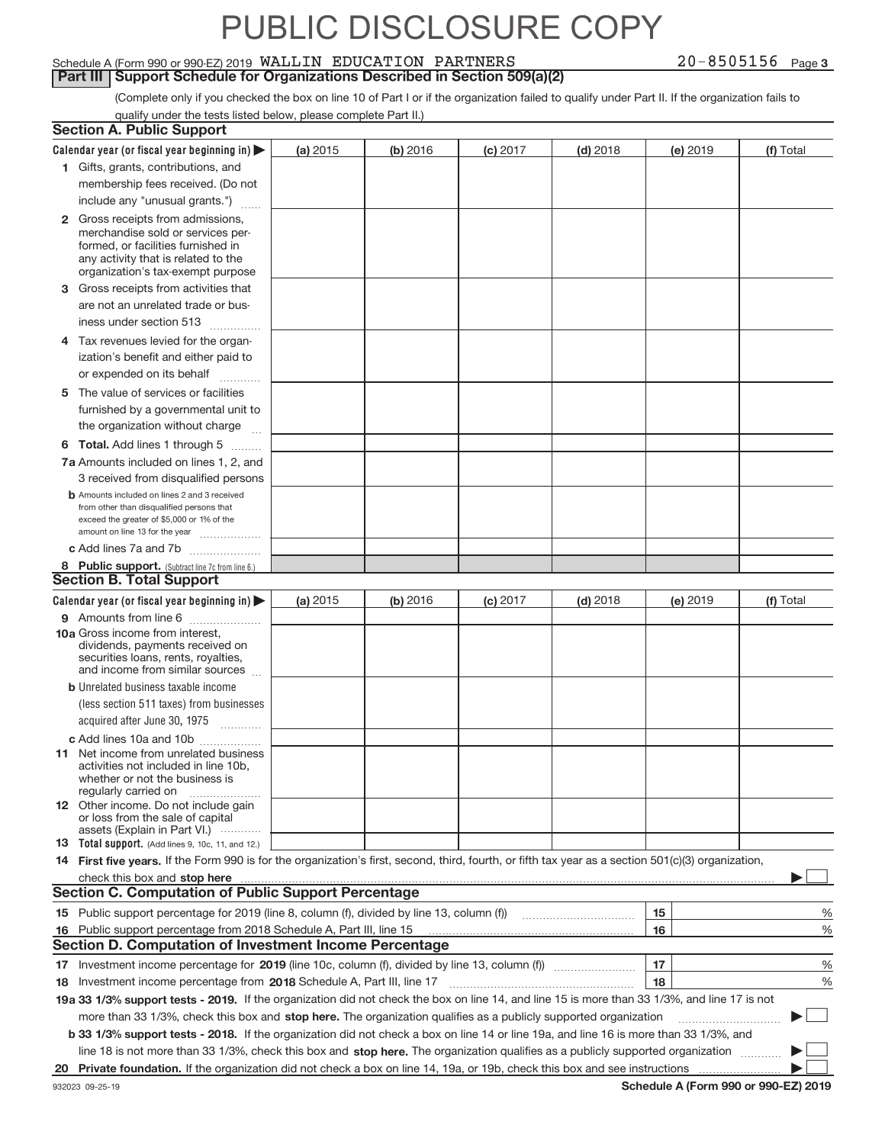#### Schedule A (Form 990 or 990‐EZ) 2019 Page WALLIN EDUCATION PARTNERS 20‐8505156 **Part III | Support Schedule for Organizations Described in Section 509(a)(2)**

20-8505156 Page 3

(Complete only if you checked the box on line 10 of Part I or if the organization failed to qualify under Part II. If the organization fails to qualify under the tests listed below, please complete Part II.)

|    | <b>Section A. Public Support</b>                                                                                                                    |          |          |            |            |          |           |
|----|-----------------------------------------------------------------------------------------------------------------------------------------------------|----------|----------|------------|------------|----------|-----------|
|    | Calendar year (or fiscal year beginning in) $\blacktriangleright$                                                                                   | (a) 2015 | (b) 2016 | (c) 2017   | $(d)$ 2018 | (e) 2019 | (f) Total |
|    | 1 Gifts, grants, contributions, and                                                                                                                 |          |          |            |            |          |           |
|    | membership fees received. (Do not                                                                                                                   |          |          |            |            |          |           |
|    | include any "unusual grants.")                                                                                                                      |          |          |            |            |          |           |
|    | 2 Gross receipts from admissions,                                                                                                                   |          |          |            |            |          |           |
|    | merchandise sold or services per-                                                                                                                   |          |          |            |            |          |           |
|    | formed, or facilities furnished in                                                                                                                  |          |          |            |            |          |           |
|    | any activity that is related to the<br>organization's tax-exempt purpose                                                                            |          |          |            |            |          |           |
|    | 3 Gross receipts from activities that                                                                                                               |          |          |            |            |          |           |
|    | are not an unrelated trade or bus-                                                                                                                  |          |          |            |            |          |           |
|    |                                                                                                                                                     |          |          |            |            |          |           |
|    | iness under section 513                                                                                                                             |          |          |            |            |          |           |
|    | 4 Tax revenues levied for the organ-                                                                                                                |          |          |            |            |          |           |
|    | ization's benefit and either paid to                                                                                                                |          |          |            |            |          |           |
|    | or expended on its behalf                                                                                                                           |          |          |            |            |          |           |
| 5  | The value of services or facilities                                                                                                                 |          |          |            |            |          |           |
|    | furnished by a governmental unit to                                                                                                                 |          |          |            |            |          |           |
|    | the organization without charge                                                                                                                     |          |          |            |            |          |           |
|    | <b>6 Total.</b> Add lines 1 through 5                                                                                                               |          |          |            |            |          |           |
|    | 7a Amounts included on lines 1, 2, and                                                                                                              |          |          |            |            |          |           |
|    | 3 received from disqualified persons                                                                                                                |          |          |            |            |          |           |
|    | <b>b</b> Amounts included on lines 2 and 3 received                                                                                                 |          |          |            |            |          |           |
|    | from other than disqualified persons that                                                                                                           |          |          |            |            |          |           |
|    | exceed the greater of \$5,000 or 1% of the<br>amount on line 13 for the year                                                                        |          |          |            |            |          |           |
|    | c Add lines 7a and 7b                                                                                                                               |          |          |            |            |          |           |
|    | 8 Public support. (Subtract line 7c from line 6.)                                                                                                   |          |          |            |            |          |           |
|    | <b>Section B. Total Support</b>                                                                                                                     |          |          |            |            |          |           |
|    | Calendar year (or fiscal year beginning in) $\blacktriangleright$                                                                                   | (a) 2015 | (b) 2016 | $(c)$ 2017 | $(d)$ 2018 | (e) 2019 | (f) Total |
|    | 9 Amounts from line 6                                                                                                                               |          |          |            |            |          |           |
|    | 10a Gross income from interest,                                                                                                                     |          |          |            |            |          |           |
|    | dividends, payments received on                                                                                                                     |          |          |            |            |          |           |
|    | securities loans, rents, royalties,<br>and income from similar sources                                                                              |          |          |            |            |          |           |
|    | <b>b</b> Unrelated business taxable income                                                                                                          |          |          |            |            |          |           |
|    | (less section 511 taxes) from businesses                                                                                                            |          |          |            |            |          |           |
|    | acquired after June 30, 1975                                                                                                                        |          |          |            |            |          |           |
|    |                                                                                                                                                     |          |          |            |            |          |           |
|    | c Add lines 10a and 10b<br><b>11</b> Net income from unrelated business                                                                             |          |          |            |            |          |           |
|    | activities not included in line 10b,                                                                                                                |          |          |            |            |          |           |
|    | whether or not the business is                                                                                                                      |          |          |            |            |          |           |
|    | regularly carried on                                                                                                                                |          |          |            |            |          |           |
|    | <b>12</b> Other income. Do not include gain<br>or loss from the sale of capital                                                                     |          |          |            |            |          |           |
|    | assets (Explain in Part VI.)                                                                                                                        |          |          |            |            |          |           |
|    | <b>13</b> Total support. (Add lines 9, 10c, 11, and 12.)                                                                                            |          |          |            |            |          |           |
|    | 14 First five years. If the Form 990 is for the organization's first, second, third, fourth, or fifth tax year as a section 501(c)(3) organization, |          |          |            |            |          |           |
|    | check this box and stop here <i>macuum macuum macuum macuum macuum macuum macuum macuum macuum</i>                                                  |          |          |            |            |          |           |
|    | <b>Section C. Computation of Public Support Percentage</b>                                                                                          |          |          |            |            |          |           |
|    | 15 Public support percentage for 2019 (line 8, column (f), divided by line 13, column (f))                                                          |          |          |            |            | 15       | %         |
| 16 | Public support percentage from 2018 Schedule A, Part III, line 15                                                                                   |          |          |            |            | 16       | %         |
|    | <b>Section D. Computation of Investment Income Percentage</b>                                                                                       |          |          |            |            |          |           |
|    | 17 Investment income percentage for 2019 (line 10c, column (f), divided by line 13, column (f) <i></i>                                              |          |          |            |            | 17       | %         |
|    | 18 Investment income percentage from 2018 Schedule A, Part III, line 17                                                                             |          |          |            |            | 18       | %         |
|    | 19a 33 1/3% support tests - 2019. If the organization did not check the box on line 14, and line 15 is more than 33 1/3%, and line 17 is not        |          |          |            |            |          |           |
|    | more than 33 1/3%, check this box and stop here. The organization qualifies as a publicly supported organization                                    |          |          |            |            |          |           |
|    | b 33 1/3% support tests - 2018. If the organization did not check a box on line 14 or line 19a, and line 16 is more than 33 1/3%, and               |          |          |            |            |          |           |
|    | line 18 is not more than 33 1/3%, check this box and stop here. The organization qualifies as a publicly supported organization                     |          |          |            |            |          |           |
| 20 |                                                                                                                                                     |          |          |            |            |          |           |
|    |                                                                                                                                                     |          |          |            |            |          |           |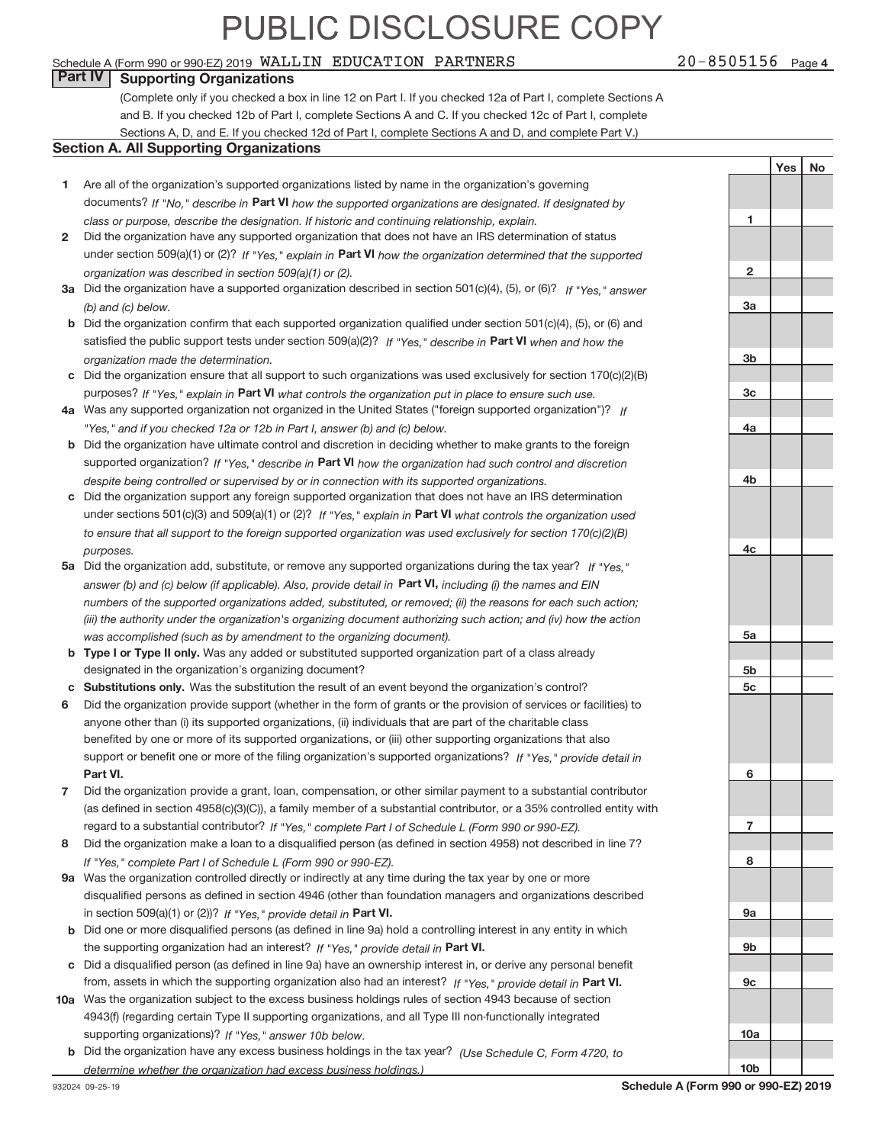#### Schedule A (Form 990 or 990‐EZ) 2019 Page WALLIN EDUCATION PARTNERS 20‐8505156

#### **Part IV Supporting Organizations**

(Complete only if you checked a box in line 12 on Part I. If you checked 12a of Part I, complete Sections A and B. If you checked 12b of Part I, complete Sections A and C. If you checked 12c of Part I, complete Sections A, D, and E. If you checked 12d of Part I, complete Sections A and D, and complete Part V.)

#### **Section A. All Supporting Organizations**

- **1** Are all of the organization's supported organizations listed by name in the organization's governing documents? If "No," describe in Part VI how the supported organizations are designated. If designated by *class or purpose, describe the designation. If historic and continuing relationship, explain.*
- **2** under section 509(a)(1) or (2)? If "Yes," explain in Part VI how the organization determined that the supported *organization was described in section 509(a)(1) or (2).* Did the organization have any supported organization that does not have an IRS determination of status
- **3a** Did the organization have a supported organization described in section 501(c)(4), (5), or (6)? If "Yes," answer *(b) and (c) below.*
- **b** Did the organization confirm that each supported organization qualified under section 501(c)(4), (5), or (6) and satisfied the public support tests under section 509(a)(2)? If "Yes," describe in Part VI when and how the *organization made the determination.*
- **c** Did the organization ensure that all support to such organizations was used exclusively for section 170(c)(2)(B) purposes? If "Yes," explain in Part VI what controls the organization put in place to ensure such use.
- **4 a** *If* Was any supported organization not organized in the United States ("foreign supported organization")? *"Yes," and if you checked 12a or 12b in Part I, answer (b) and (c) below.*
- **b** Did the organization have ultimate control and discretion in deciding whether to make grants to the foreign supported organization? If "Yes," describe in Part VI how the organization had such control and discretion *despite being controlled or supervised by or in connection with its supported organizations.*
- **c** Did the organization support any foreign supported organization that does not have an IRS determination under sections 501(c)(3) and 509(a)(1) or (2)? If "Yes," explain in Part VI what controls the organization used *to ensure that all support to the foreign supported organization was used exclusively for section 170(c)(2)(B) purposes.*
- **5a** Did the organization add, substitute, or remove any supported organizations during the tax year? If "Yes," answer (b) and (c) below (if applicable). Also, provide detail in **Part VI,** including (i) the names and EIN *numbers of the supported organizations added, substituted, or removed; (ii) the reasons for each such action; (iii) the authority under the organization's organizing document authorizing such action; and (iv) how the action was accomplished (such as by amendment to the organizing document).*
- **b** Type I or Type II only. Was any added or substituted supported organization part of a class already designated in the organization's organizing document?
- **c Substitutions only.**  Was the substitution the result of an event beyond the organization's control?
- **6** Did the organization provide support (whether in the form of grants or the provision of services or facilities) to **Part VI.** *If "Yes," provide detail in* support or benefit one or more of the filing organization's supported organizations? anyone other than (i) its supported organizations, (ii) individuals that are part of the charitable class benefited by one or more of its supported organizations, or (iii) other supporting organizations that also
- **7** Did the organization provide a grant, loan, compensation, or other similar payment to a substantial contributor regard to a substantial contributor? If "Yes," complete Part I of Schedule L (Form 990 or 990-EZ). (as defined in section 4958(c)(3)(C)), a family member of a substantial contributor, or a 35% controlled entity with
- **8** Did the organization make a loan to a disqualified person (as defined in section 4958) not described in line 7? *If "Yes," complete Part I of Schedule L (Form 990 or 990-EZ).*
- **9 a** Was the organization controlled directly or indirectly at any time during the tax year by one or more in section 509(a)(1) or (2))? If "Yes," provide detail in Part VI. disqualified persons as defined in section 4946 (other than foundation managers and organizations described
- **b** the supporting organization had an interest? If "Yes," provide detail in Part VI. Did one or more disqualified persons (as defined in line 9a) hold a controlling interest in any entity in which
- **c** Did a disqualified person (as defined in line 9a) have an ownership interest in, or derive any personal benefit from, assets in which the supporting organization also had an interest? If "Yes," provide detail in Part VI.
- **10 a** Was the organization subject to the excess business holdings rules of section 4943 because of section supporting organizations)? If "Yes," answer 10b below. 4943(f) (regarding certain Type II supporting organizations, and all Type III non‐functionally integrated
	- **b** Did the organization have any excess business holdings in the tax year? (Use Schedule C, Form 4720, to *determine whether the organization had excess business holdings.)*

**2 3a 3b 3c 4a 4b 4c 5a 5b 5c 6 7 8 9a 9b 9c 10a**

**10b**

**1**

Yes | No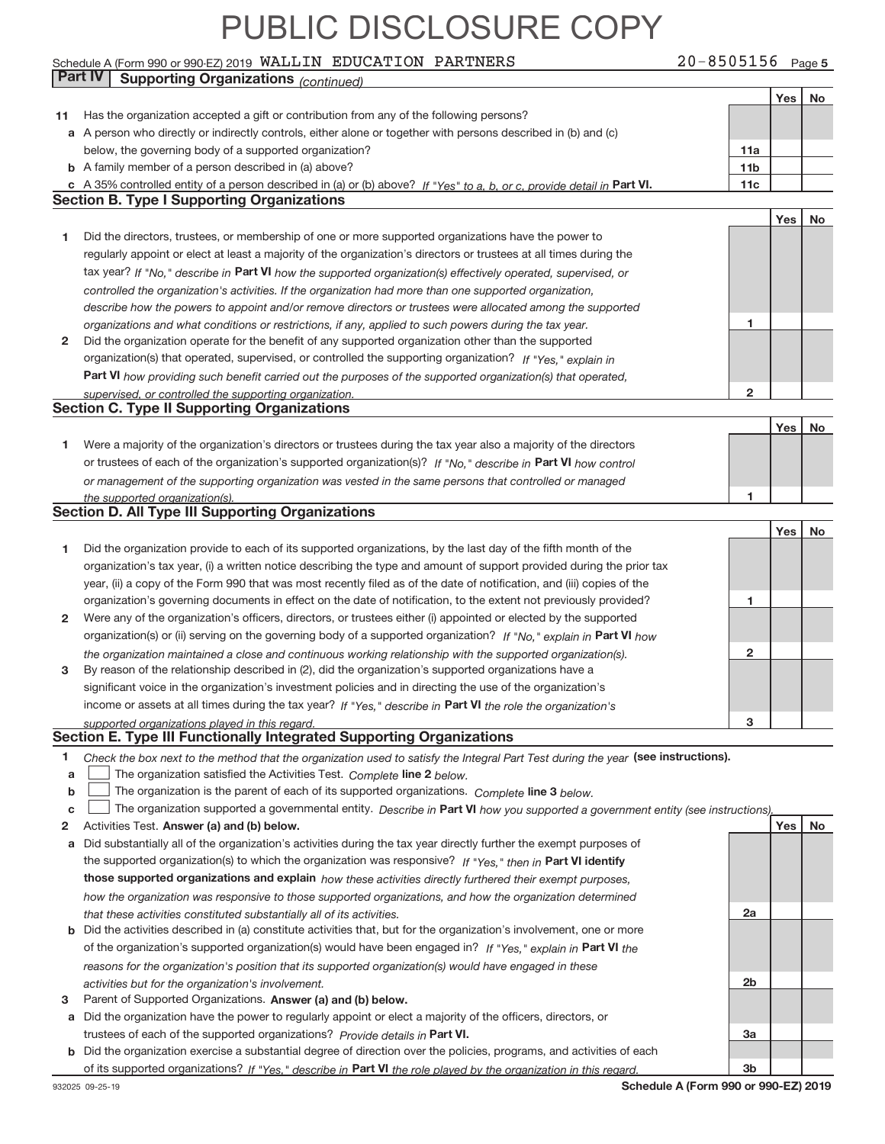#### Schedule A (Form 990 or 990‐EZ) 2019 Page WALLIN EDUCATION PARTNERS 20‐8505156 **Part IV Supporting Organizations** *(continued)*

20-8505156 Page 5

|    |                                                                                                                                                                                                        |                 | Yes | No |
|----|--------------------------------------------------------------------------------------------------------------------------------------------------------------------------------------------------------|-----------------|-----|----|
|    | 11 Has the organization accepted a gift or contribution from any of the following persons?                                                                                                             |                 |     |    |
|    | a A person who directly or indirectly controls, either alone or together with persons described in (b) and (c)                                                                                         |                 |     |    |
|    | below, the governing body of a supported organization?                                                                                                                                                 | 11a             |     |    |
|    | <b>b</b> A family member of a person described in (a) above?                                                                                                                                           | 11 <sub>b</sub> |     |    |
|    | c A 35% controlled entity of a person described in (a) or (b) above? If "Yes" to a, b, or c, provide detail in Part VI.                                                                                | 11c             |     |    |
|    | <b>Section B. Type I Supporting Organizations</b>                                                                                                                                                      |                 |     |    |
|    |                                                                                                                                                                                                        |                 | Yes | No |
| 1  | Did the directors, trustees, or membership of one or more supported organizations have the power to                                                                                                    |                 |     |    |
|    | regularly appoint or elect at least a majority of the organization's directors or trustees at all times during the                                                                                     |                 |     |    |
|    | tax year? If "No," describe in Part VI how the supported organization(s) effectively operated, supervised, or                                                                                          |                 |     |    |
|    | controlled the organization's activities. If the organization had more than one supported organization,                                                                                                |                 |     |    |
|    | describe how the powers to appoint and/or remove directors or trustees were allocated among the supported                                                                                              |                 |     |    |
|    | organizations and what conditions or restrictions, if any, applied to such powers during the tax year.                                                                                                 | 1               |     |    |
| 2  | Did the organization operate for the benefit of any supported organization other than the supported                                                                                                    |                 |     |    |
|    | organization(s) that operated, supervised, or controlled the supporting organization? If "Yes," explain in                                                                                             |                 |     |    |
|    | <b>Part VI</b> how providing such benefit carried out the purposes of the supported organization(s) that operated,                                                                                     |                 |     |    |
|    | supervised, or controlled the supporting organization.<br><b>Section C. Type II Supporting Organizations</b>                                                                                           | 2               |     |    |
|    |                                                                                                                                                                                                        |                 |     |    |
|    | Were a majority of the organization's directors or trustees during the tax year also a majority of the directors                                                                                       |                 | Yes | No |
| 1. | or trustees of each of the organization's supported organization(s)? If "No," describe in Part VI how control                                                                                          |                 |     |    |
|    | or management of the supporting organization was vested in the same persons that controlled or managed                                                                                                 |                 |     |    |
|    | the supported organization(s).                                                                                                                                                                         | 1               |     |    |
|    | <b>Section D. All Type III Supporting Organizations</b>                                                                                                                                                |                 |     |    |
|    |                                                                                                                                                                                                        |                 | Yes | No |
| 1  | Did the organization provide to each of its supported organizations, by the last day of the fifth month of the                                                                                         |                 |     |    |
|    | organization's tax year, (i) a written notice describing the type and amount of support provided during the prior tax                                                                                  |                 |     |    |
|    | year, (ii) a copy of the Form 990 that was most recently filed as of the date of notification, and (iii) copies of the                                                                                 |                 |     |    |
|    | organization's governing documents in effect on the date of notification, to the extent not previously provided?                                                                                       | 1               |     |    |
| 2  | Were any of the organization's officers, directors, or trustees either (i) appointed or elected by the supported                                                                                       |                 |     |    |
|    | organization(s) or (ii) serving on the governing body of a supported organization? If "No," explain in Part VI how                                                                                     |                 |     |    |
|    | the organization maintained a close and continuous working relationship with the supported organization(s).                                                                                            | $\mathbf{2}$    |     |    |
| 3  | By reason of the relationship described in (2), did the organization's supported organizations have a                                                                                                  |                 |     |    |
|    | significant voice in the organization's investment policies and in directing the use of the organization's                                                                                             |                 |     |    |
|    | income or assets at all times during the tax year? If "Yes," describe in Part VI the role the organization's                                                                                           |                 |     |    |
|    | supported organizations played in this regard.                                                                                                                                                         | 3               |     |    |
|    | Section E. Type III Functionally Integrated Supporting Organizations                                                                                                                                   |                 |     |    |
| 1  | Check the box next to the method that the organization used to satisfy the Integral Part Test during the year (see instructions).                                                                      |                 |     |    |
| a  | The organization satisfied the Activities Test. Complete line 2 below.                                                                                                                                 |                 |     |    |
| b  | The organization is the parent of each of its supported organizations. Complete line 3 below.                                                                                                          |                 |     |    |
| c  | The organization supported a governmental entity. Describe in Part VI how you supported a government entity (see instructions),                                                                        |                 |     |    |
| 2  | Activities Test. Answer (a) and (b) below.                                                                                                                                                             |                 | Yes | No |
|    | a Did substantially all of the organization's activities during the tax year directly further the exempt purposes of                                                                                   |                 |     |    |
|    | the supported organization(s) to which the organization was responsive? If "Yes," then in Part VI identify                                                                                             |                 |     |    |
|    | those supported organizations and explain how these activities directly furthered their exempt purposes,                                                                                               |                 |     |    |
|    | how the organization was responsive to those supported organizations, and how the organization determined                                                                                              | 2a              |     |    |
|    | that these activities constituted substantially all of its activities.<br><b>b</b> Did the activities described in (a) constitute activities that, but for the organization's involvement, one or more |                 |     |    |
|    | of the organization's supported organization(s) would have been engaged in? If "Yes," explain in Part VI the                                                                                           |                 |     |    |
|    | reasons for the organization's position that its supported organization(s) would have engaged in these                                                                                                 |                 |     |    |
|    | activities but for the organization's involvement.                                                                                                                                                     | 2b              |     |    |
| з  | Parent of Supported Organizations. Answer (a) and (b) below.                                                                                                                                           |                 |     |    |
|    | a Did the organization have the power to regularly appoint or elect a majority of the officers, directors, or                                                                                          |                 |     |    |
|    | trustees of each of the supported organizations? Provide details in Part VI.                                                                                                                           | Зa              |     |    |
|    | <b>b</b> Did the organization exercise a substantial degree of direction over the policies, programs, and activities of each                                                                           |                 |     |    |
|    | of its supported organizations? If "Yes," describe in Part VI the role played by the organization in this regard.                                                                                      | 3b              |     |    |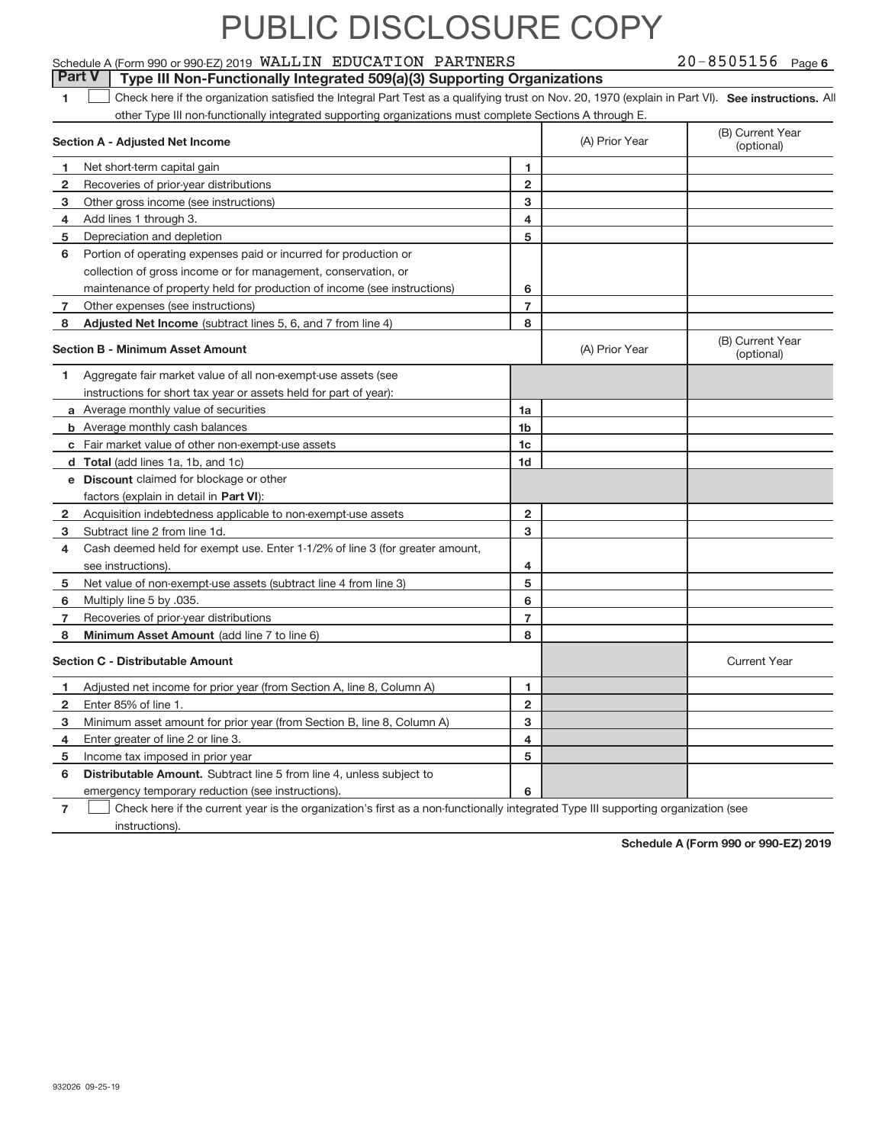#### Schedule A (Form 990 or 990‐EZ) 2019 Page WALLIN EDUCATION PARTNERS 20‐8505156 **Part V** Type III Non-Functionally Integrated 509(a)(3) Supporting Organizations

20-8505156 Page 6

|  | Check here if the organization satisfied the Integral Part Test as a qualifying trust on Nov. 20, 1970 (explain in Part VI). See instructions. All |  |  |  |  |
|--|----------------------------------------------------------------------------------------------------------------------------------------------------|--|--|--|--|
|  | other Type III non-functionally integrated supporting organizations must complete Sections A through E.                                            |  |  |  |  |
|  |                                                                                                                                                    |  |  |  |  |

|                | Section A - Adjusted Net Income                                              | (A) Prior Year | (B) Current Year<br>(optional) |                                |
|----------------|------------------------------------------------------------------------------|----------------|--------------------------------|--------------------------------|
| 1              | Net short-term capital gain                                                  | 1              |                                |                                |
| 2              | Recoveries of prior-year distributions                                       | $\overline{2}$ |                                |                                |
| 3              | Other gross income (see instructions)                                        | 3              |                                |                                |
| 4              | Add lines 1 through 3.                                                       | 4              |                                |                                |
| 5              | Depreciation and depletion                                                   | 5              |                                |                                |
| 6              | Portion of operating expenses paid or incurred for production or             |                |                                |                                |
|                | collection of gross income or for management, conservation, or               |                |                                |                                |
|                | maintenance of property held for production of income (see instructions)     | 6              |                                |                                |
| 7              | Other expenses (see instructions)                                            | $\overline{7}$ |                                |                                |
| 8              | Adjusted Net Income (subtract lines 5, 6, and 7 from line 4)                 | 8              |                                |                                |
|                | <b>Section B - Minimum Asset Amount</b>                                      |                | (A) Prior Year                 | (B) Current Year<br>(optional) |
| 1              | Aggregate fair market value of all non-exempt-use assets (see                |                |                                |                                |
|                | instructions for short tax year or assets held for part of year):            |                |                                |                                |
|                | a Average monthly value of securities                                        | 1a             |                                |                                |
|                | <b>b</b> Average monthly cash balances                                       | 1 <sub>b</sub> |                                |                                |
|                | c Fair market value of other non-exempt-use assets                           | 1c             |                                |                                |
|                | d Total (add lines 1a, 1b, and 1c)                                           | 1 <sub>d</sub> |                                |                                |
|                | <b>e</b> Discount claimed for blockage or other                              |                |                                |                                |
|                | factors (explain in detail in Part VI):                                      |                |                                |                                |
| 2              | Acquisition indebtedness applicable to non-exempt-use assets                 | $\overline{2}$ |                                |                                |
| 3              | Subtract line 2 from line 1d.                                                | 3              |                                |                                |
| 4              | Cash deemed held for exempt use. Enter 1-1/2% of line 3 (for greater amount, |                |                                |                                |
|                | see instructions).                                                           | 4              |                                |                                |
| 5              | Net value of non-exempt-use assets (subtract line 4 from line 3)             | 5              |                                |                                |
| 6              | Multiply line 5 by .035.                                                     | 6              |                                |                                |
| $\overline{7}$ | Recoveries of prior-year distributions                                       | $\overline{7}$ |                                |                                |
| 8              | Minimum Asset Amount (add line 7 to line 6)                                  | 8              |                                |                                |
|                | <b>Section C - Distributable Amount</b>                                      |                |                                | <b>Current Year</b>            |
| 1              | Adjusted net income for prior year (from Section A, line 8, Column A)        | 1              |                                |                                |
| $\overline{2}$ | Enter 85% of line 1.                                                         | $\overline{2}$ |                                |                                |
| 3              | Minimum asset amount for prior year (from Section B, line 8, Column A)       | 3              |                                |                                |
| 4              | Enter greater of line 2 or line 3.                                           | 4              |                                |                                |
| 5              | Income tax imposed in prior year                                             | 5              |                                |                                |
| 6              | Distributable Amount. Subtract line 5 from line 4, unless subject to         |                |                                |                                |
|                | emergency temporary reduction (see instructions).                            | 6              |                                |                                |
|                |                                                                              |                |                                |                                |

**7** └ ○ Check here if the current year is the organization's first as a non-functionally integrated Type III supporting organization (see instructions).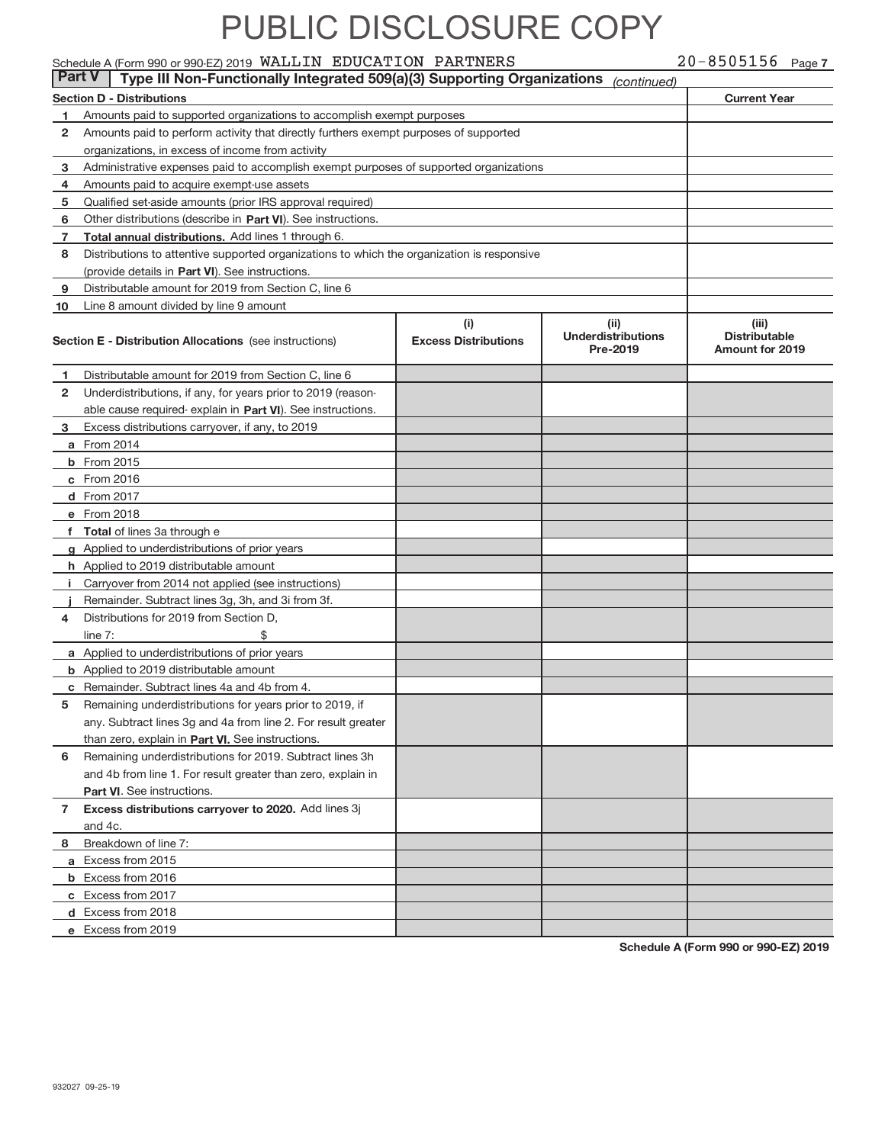#### Schedule A (Form 990 or 990‐EZ) 2019 Page WALLIN EDUCATION PARTNERS 20‐8505156

|              | <b>Part V</b><br>Type III Non-Functionally Integrated 509(a)(3) Supporting Organizations<br>(continued) |                             |                                       |                                         |  |  |  |  |
|--------------|---------------------------------------------------------------------------------------------------------|-----------------------------|---------------------------------------|-----------------------------------------|--|--|--|--|
|              | <b>Section D - Distributions</b><br><b>Current Year</b>                                                 |                             |                                       |                                         |  |  |  |  |
| 1            | Amounts paid to supported organizations to accomplish exempt purposes                                   |                             |                                       |                                         |  |  |  |  |
| $\mathbf{2}$ | Amounts paid to perform activity that directly furthers exempt purposes of supported                    |                             |                                       |                                         |  |  |  |  |
|              | organizations, in excess of income from activity                                                        |                             |                                       |                                         |  |  |  |  |
| 3            | Administrative expenses paid to accomplish exempt purposes of supported organizations                   |                             |                                       |                                         |  |  |  |  |
| 4            | Amounts paid to acquire exempt-use assets                                                               |                             |                                       |                                         |  |  |  |  |
| 5            | Qualified set-aside amounts (prior IRS approval required)                                               |                             |                                       |                                         |  |  |  |  |
| 6            | Other distributions (describe in Part VI). See instructions.                                            |                             |                                       |                                         |  |  |  |  |
| 7            | Total annual distributions. Add lines 1 through 6.                                                      |                             |                                       |                                         |  |  |  |  |
| 8            | Distributions to attentive supported organizations to which the organization is responsive              |                             |                                       |                                         |  |  |  |  |
|              | (provide details in Part VI). See instructions.                                                         |                             |                                       |                                         |  |  |  |  |
| 9            | Distributable amount for 2019 from Section C, line 6                                                    |                             |                                       |                                         |  |  |  |  |
| 10           | Line 8 amount divided by line 9 amount                                                                  |                             |                                       |                                         |  |  |  |  |
|              |                                                                                                         | (i)                         | (iii)                                 | (iii)                                   |  |  |  |  |
|              | <b>Section E - Distribution Allocations</b> (see instructions)                                          | <b>Excess Distributions</b> | <b>Underdistributions</b><br>Pre-2019 | <b>Distributable</b><br>Amount for 2019 |  |  |  |  |
| 1            | Distributable amount for 2019 from Section C, line 6                                                    |                             |                                       |                                         |  |  |  |  |
| $\mathbf{2}$ | Underdistributions, if any, for years prior to 2019 (reason-                                            |                             |                                       |                                         |  |  |  |  |
|              | able cause required-explain in Part VI). See instructions.                                              |                             |                                       |                                         |  |  |  |  |
| 3            | Excess distributions carryover, if any, to 2019                                                         |                             |                                       |                                         |  |  |  |  |
|              | <b>a</b> From 2014                                                                                      |                             |                                       |                                         |  |  |  |  |
|              | <b>b</b> From 2015                                                                                      |                             |                                       |                                         |  |  |  |  |
|              | c From 2016                                                                                             |                             |                                       |                                         |  |  |  |  |
|              | d From 2017                                                                                             |                             |                                       |                                         |  |  |  |  |
|              | e From 2018                                                                                             |                             |                                       |                                         |  |  |  |  |
|              | f Total of lines 3a through e                                                                           |                             |                                       |                                         |  |  |  |  |
|              | g Applied to underdistributions of prior years                                                          |                             |                                       |                                         |  |  |  |  |
|              | h Applied to 2019 distributable amount                                                                  |                             |                                       |                                         |  |  |  |  |
|              | i Carryover from 2014 not applied (see instructions)                                                    |                             |                                       |                                         |  |  |  |  |
|              | Remainder. Subtract lines 3g, 3h, and 3i from 3f.                                                       |                             |                                       |                                         |  |  |  |  |
| 4            | Distributions for 2019 from Section D,                                                                  |                             |                                       |                                         |  |  |  |  |
|              | \$<br>line $7:$                                                                                         |                             |                                       |                                         |  |  |  |  |
|              | a Applied to underdistributions of prior years                                                          |                             |                                       |                                         |  |  |  |  |
|              | <b>b</b> Applied to 2019 distributable amount                                                           |                             |                                       |                                         |  |  |  |  |
|              | c Remainder. Subtract lines 4a and 4b from 4.                                                           |                             |                                       |                                         |  |  |  |  |
| 5            | Remaining underdistributions for years prior to 2019, if                                                |                             |                                       |                                         |  |  |  |  |
|              | any. Subtract lines 3g and 4a from line 2. For result greater                                           |                             |                                       |                                         |  |  |  |  |
|              | than zero, explain in Part VI. See instructions.                                                        |                             |                                       |                                         |  |  |  |  |
| 6            | Remaining underdistributions for 2019. Subtract lines 3h                                                |                             |                                       |                                         |  |  |  |  |
|              | and 4b from line 1. For result greater than zero, explain in                                            |                             |                                       |                                         |  |  |  |  |
|              | Part VI. See instructions.                                                                              |                             |                                       |                                         |  |  |  |  |
| 7            | Excess distributions carryover to 2020. Add lines 3j                                                    |                             |                                       |                                         |  |  |  |  |
|              | and 4c.                                                                                                 |                             |                                       |                                         |  |  |  |  |
| 8            | Breakdown of line 7:                                                                                    |                             |                                       |                                         |  |  |  |  |
|              | a Excess from 2015                                                                                      |                             |                                       |                                         |  |  |  |  |
|              | <b>b</b> Excess from 2016                                                                               |                             |                                       |                                         |  |  |  |  |
|              | c Excess from 2017                                                                                      |                             |                                       |                                         |  |  |  |  |
|              | d Excess from 2018                                                                                      |                             |                                       |                                         |  |  |  |  |
|              | e Excess from 2019                                                                                      |                             |                                       |                                         |  |  |  |  |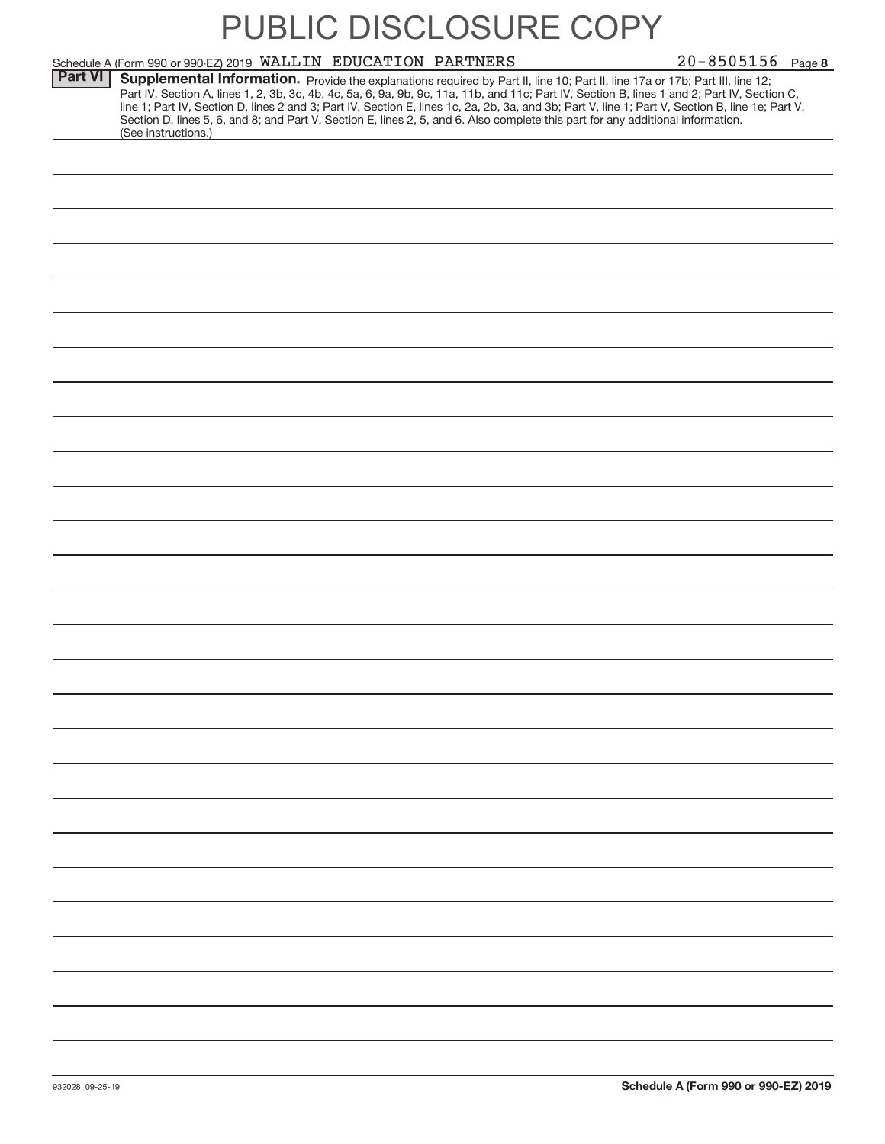# 20-8505156 Page 8 Schedule A (Form 990 or 990‐EZ) 2019 Page WALLIN EDUCATION PARTNERS 20‐8505156 Part VI | Supplemental Information. Provide the explanations required by Part II, line 10; Part II, line 17a or 17b; Part III, line 12; Part IV, Section A, lines 1, 2, 3b, 3c, 4b, 4c, 5a, 6, 9a, 9b, 9c, 11a, 11b, and 11c; Part IV, Section B, lines 1 and 2; Part IV, Section C, line 1; Part IV, Section D, lines 2 and 3; Part IV, Section E, lines 1c, 2a, 2b, 3a, and 3b; Part V, line 1; Part V, Section B, line 1e; Part V, Section D, lines 5, 6, and 8; and Part V, Section E, lines 2, 5, and 6. Also complete this part for any additional information. (See instructions.)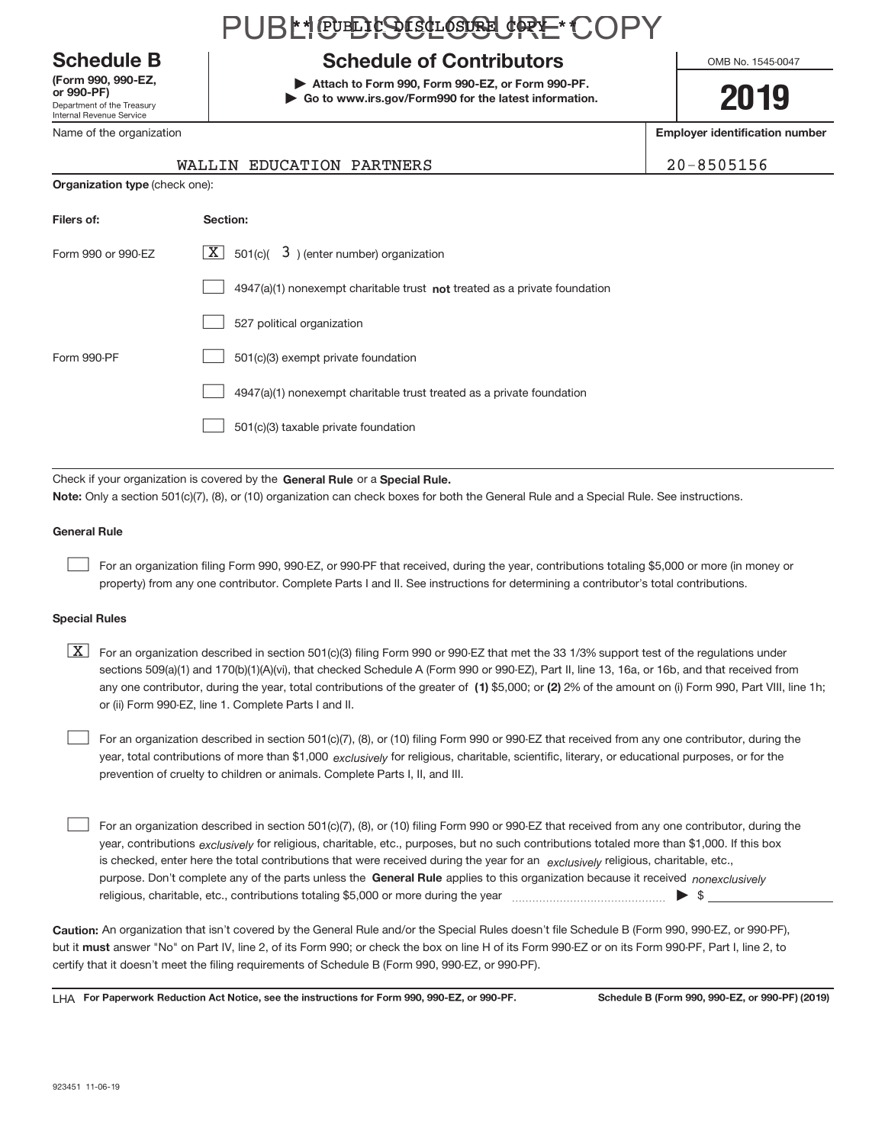Department of the Treasury Internal Revenue Service **(Form 990, 990‐EZ,**

Name of the organization

#### PUBLI@EHSGL@&URE\*COPY

#### **Schedule B Schedule of Contributors**

**or 990‐PF) | Attach to Form 990, Form 990‐EZ, or Form 990‐PF. | Go to www.irs.gov/Form990 for the latest information.** OMB No. 1545-0047

#### **2019**

**Employer identification number**

| $0 - 8505156$ |  |
|---------------|--|
|---------------|--|

| WALLIN EDUCATION PARTNERS | 20-8505156 |
|---------------------------|------------|
|                           |            |

|                    | <b>Organization type (check one):</b>                                       |  |  |  |  |
|--------------------|-----------------------------------------------------------------------------|--|--|--|--|
| Filers of:         | Section:                                                                    |  |  |  |  |
| Form 990 or 990-EZ | $\lfloor x \rfloor$ 501(c)( 3) (enter number) organization                  |  |  |  |  |
|                    | $4947(a)(1)$ nonexempt charitable trust not treated as a private foundation |  |  |  |  |
|                    | 527 political organization                                                  |  |  |  |  |
| Form 990-PF        | 501(c)(3) exempt private foundation                                         |  |  |  |  |
|                    | 4947(a)(1) nonexempt charitable trust treated as a private foundation       |  |  |  |  |
|                    | 501(c)(3) taxable private foundation                                        |  |  |  |  |

Check if your organization is covered by the General Rule or a Special Rule. **Note:**  Only a section 501(c)(7), (8), or (10) organization can check boxes for both the General Rule and a Special Rule. See instructions.

#### **General Rule**

 $\begin{array}{c} \hline \end{array}$ 

For an organization filing Form 990, 990‐EZ, or 990‐PF that received, during the year, contributions totaling \$5,000 or more (in money or property) from any one contributor. Complete Parts I and II. See instructions for determining a contributor's total contributions.

#### **Special Rules**

any one contributor, during the year, total contributions of the greater of  $\,$  (1) \$5,000; or (2) 2% of the amount on (i) Form 990, Part VIII, line 1h;  $\boxed{\text{X}}$  For an organization described in section 501(c)(3) filing Form 990 or 990-EZ that met the 33 1/3% support test of the regulations under sections 509(a)(1) and 170(b)(1)(A)(vi), that checked Schedule A (Form 990 or 990‐EZ), Part II, line 13, 16a, or 16b, and that received from or (ii) Form 990‐EZ, line 1. Complete Parts I and II.

year, total contributions of more than \$1,000 *exclusively* for religious, charitable, scientific, literary, or educational purposes, or for the For an organization described in section 501(c)(7), (8), or (10) filing Form 990 or 990‐EZ that received from any one contributor, during the prevention of cruelty to children or animals. Complete Parts I, II, and III.  $\begin{array}{c} \hline \end{array}$ 

purpose. Don't complete any of the parts unless the General Rule applies to this organization because it received nonexclusively year, contributions <sub>exclusively</sub> for religious, charitable, etc., purposes, but no such contributions totaled more than \$1,000. If this box is checked, enter here the total contributions that were received during the year for an *exclusively* religious, charitable, etc., For an organization described in section 501(c)(7), (8), or (10) filing Form 990 or 990‐EZ that received from any one contributor, during the religious, charitable, etc., contributions totaling \$5,000 or more during the year  $\Box$ — $\Box$   $\Box$  $\begin{array}{c} \hline \end{array}$ 

**Caution:**  An organization that isn't covered by the General Rule and/or the Special Rules doesn't file Schedule B (Form 990, 990‐EZ, or 990‐PF),  **must** but it answer "No" on Part IV, line 2, of its Form 990; or check the box on line H of its Form 990‐EZ or on its Form 990‐PF, Part I, line 2, to certify that it doesn't meet the filing requirements of Schedule B (Form 990, 990‐EZ, or 990‐PF).

**For Paperwork Reduction Act Notice, see the instructions for Form 990, 990-EZ, or 990-PF. Schedule B (Form 990, 990-EZ, or 990-PF) (2019)** LHA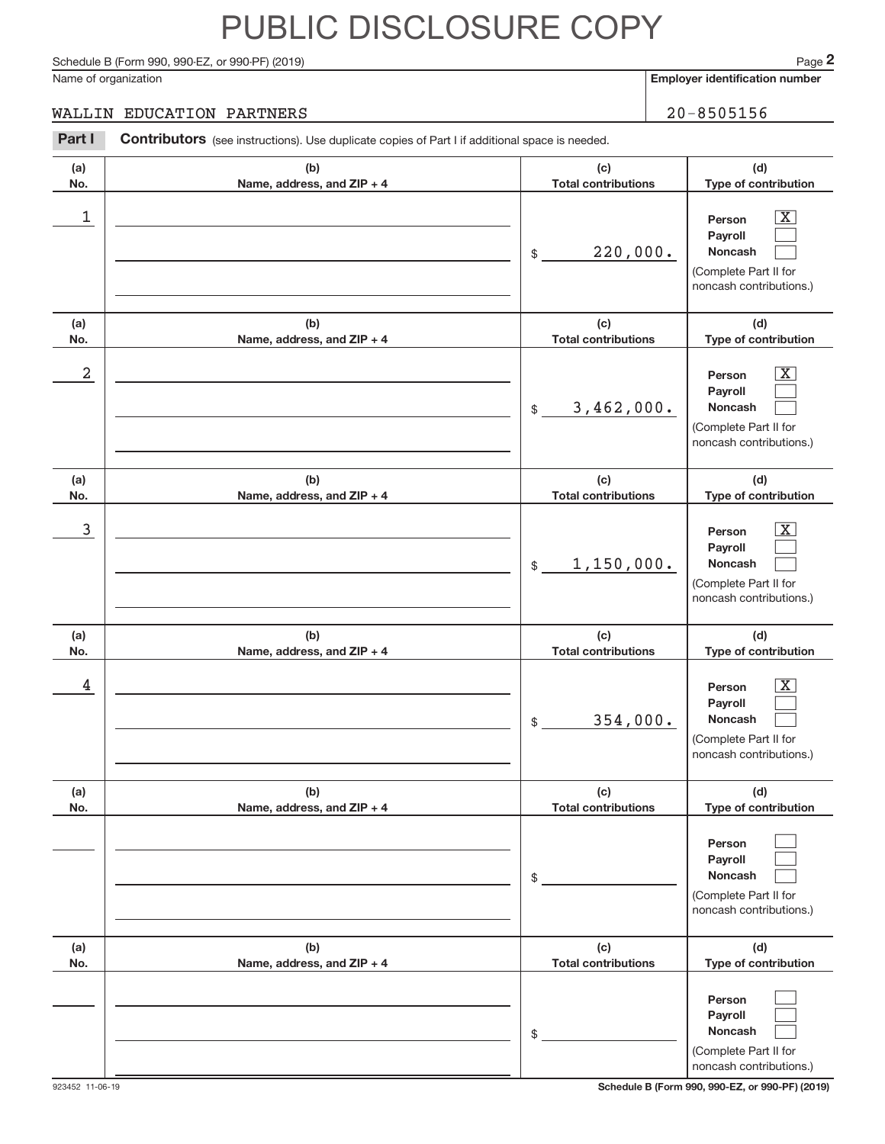Schedule B (Form 990, 990-EZ, or 990-PF) (2019)

Name of organization

**Employer identification number**

#### WALLIN EDUCATION PARTNERS 20-8505156

| Part I           | Contributors (see instructions). Use duplicate copies of Part I if additional space is needed. |                                              |                                                                                                                                          |
|------------------|------------------------------------------------------------------------------------------------|----------------------------------------------|------------------------------------------------------------------------------------------------------------------------------------------|
| (a)<br>No.       | (b)<br>Name, address, and ZIP + 4                                                              | (c)<br><b>Total contributions</b>            | (d)<br>Type of contribution                                                                                                              |
| 1                |                                                                                                | 220,000.<br>\$                               | $\overline{\text{X}}$<br>Person<br>Payroll<br><b>Noncash</b><br>(Complete Part II for<br>noncash contributions.)                         |
| (a)<br>No.       | (b)<br>Name, address, and ZIP + 4                                                              | (c)<br><b>Total contributions</b>            | (d)<br>Type of contribution                                                                                                              |
| $\boldsymbol{2}$ |                                                                                                | 3,462,000.<br>$$\mathbb{S}$$                 | $\overline{\text{X}}$<br>Person<br>Payroll<br><b>Noncash</b><br>(Complete Part II for<br>noncash contributions.)                         |
| (a)<br>No.       | (b)<br>Name, address, and ZIP + 4                                                              | (c)<br><b>Total contributions</b>            | (d)<br>Type of contribution                                                                                                              |
| 3                |                                                                                                | 1,150,000.<br>$$\mathbb{S}$$                 | $\overline{\text{X}}$<br>Person<br>Payroll<br><b>Noncash</b><br>(Complete Part II for<br>noncash contributions.)                         |
| (a)              | (b)                                                                                            | (c)                                          | (d)                                                                                                                                      |
| No.<br>4         | Name, address, and ZIP + 4                                                                     | <b>Total contributions</b><br>354,000.<br>\$ | Type of contribution<br>$\overline{\text{X}}$<br>Person<br>Payroll<br><b>Noncash</b><br>(Complete Part II for<br>noncash contributions.) |
| (a)<br>No.       | (b)<br>Name, address, and ZIP + 4                                                              | (c)<br><b>Total contributions</b>            | (d)<br>Type of contribution                                                                                                              |
|                  |                                                                                                | \$                                           | Person<br>Payroll<br><b>Noncash</b><br>(Complete Part II for<br>noncash contributions.)                                                  |
| (a)<br>No.       | (b)<br>Name, address, and ZIP + 4                                                              | (c)<br><b>Total contributions</b>            | (d)<br>Type of contribution                                                                                                              |
|                  |                                                                                                | \$                                           | Person<br>Payroll<br>Noncash<br>(Complete Part II for<br>noncash contributions.)                                                         |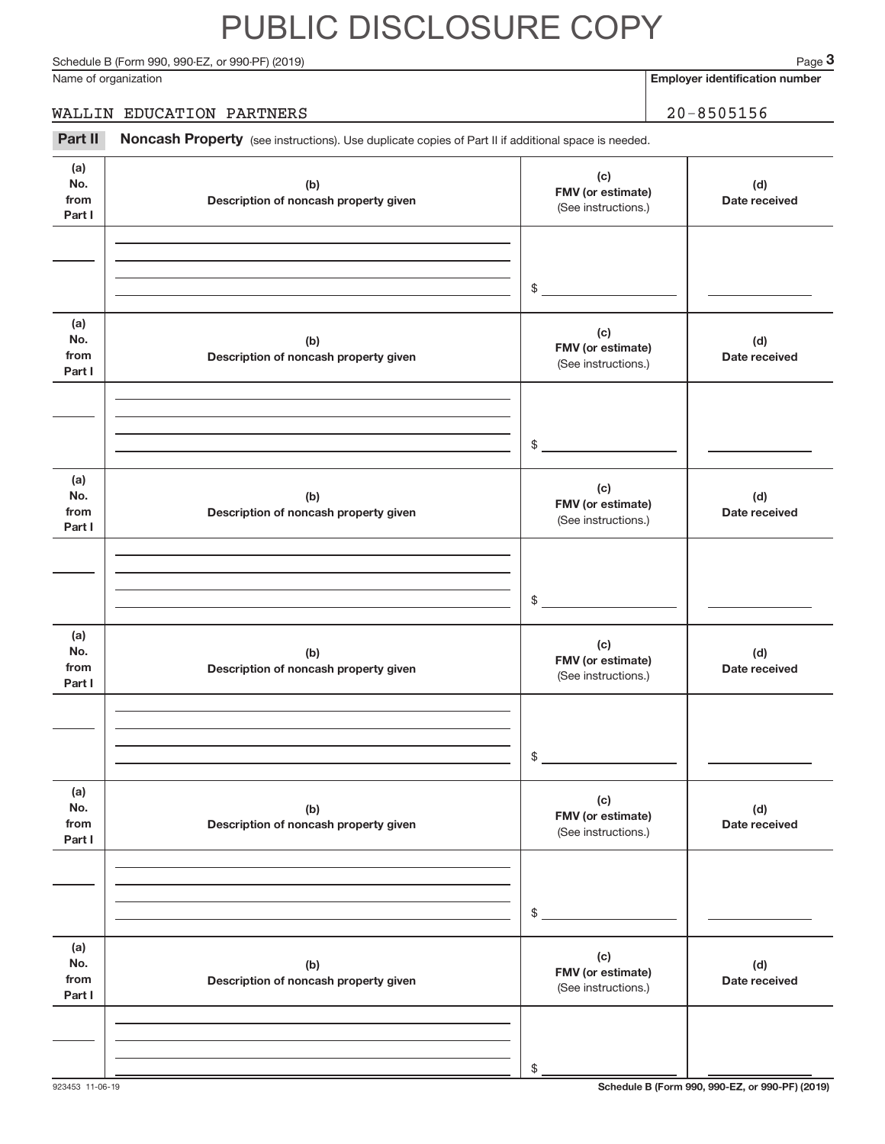#### Schedule B (Form 990, 990-EZ, or 990-PF) (2019)

Name of organization

**Employer identification number**

#### WALLIN EDUCATION PARTNERS 20-8505156

Part II Noncash Property (see instructions). Use duplicate copies of Part II if additional space is needed.

| (a)<br>No.<br>from<br>Part I | (b)<br>Description of noncash property given | (c)<br>FMV (or estimate)<br>(See instructions.) | (d)<br>Date received |
|------------------------------|----------------------------------------------|-------------------------------------------------|----------------------|
|                              |                                              | $$\overbrace{\hspace{2.5cm}}$                   |                      |
| (a)<br>No.<br>from<br>Part I | (b)<br>Description of noncash property given | (c)<br>FMV (or estimate)<br>(See instructions.) | (d)<br>Date received |
|                              |                                              | $\mathfrak{S}$                                  |                      |
| (a)<br>No.<br>from<br>Part I | (b)<br>Description of noncash property given | (c)<br>FMV (or estimate)<br>(See instructions.) | (d)<br>Date received |
|                              |                                              | $\mathfrak{S}$                                  |                      |
| (a)<br>No.<br>from<br>Part I | (b)<br>Description of noncash property given | (c)<br>FMV (or estimate)<br>(See instructions.) | (d)<br>Date received |
|                              |                                              | \$                                              |                      |
| (a)<br>No.<br>from<br>Part I | (b)<br>Description of noncash property given | (c)<br>FMV (or estimate)<br>(See instructions.) | (d)<br>Date received |
|                              |                                              | $$\mathbb{S}$$                                  |                      |
| (a)<br>No.<br>from<br>Part I | (b)<br>Description of noncash property given | (c)<br>FMV (or estimate)<br>(See instructions.) | (d)<br>Date received |
|                              |                                              | \$                                              |                      |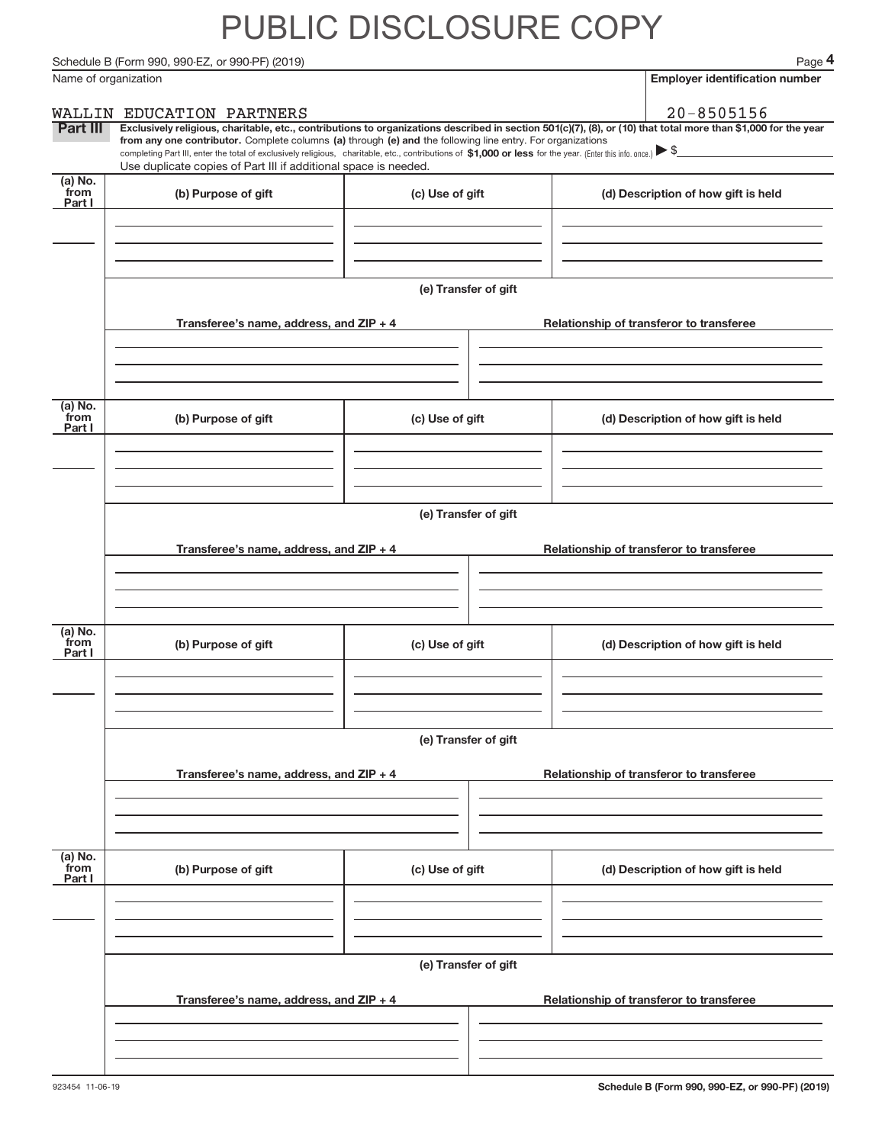Schedule B (Form 990, 990-EZ, or 990-PF) (2019)

| Name of organization        |                                                                                                                                                                                                                                                                                                                                                                  |                      | <b>Employer identification number</b>                                                                                                                          |
|-----------------------------|------------------------------------------------------------------------------------------------------------------------------------------------------------------------------------------------------------------------------------------------------------------------------------------------------------------------------------------------------------------|----------------------|----------------------------------------------------------------------------------------------------------------------------------------------------------------|
|                             | WALLIN EDUCATION PARTNERS                                                                                                                                                                                                                                                                                                                                        |                      | $20 - 8505156$                                                                                                                                                 |
| Part III                    | from any one contributor. Complete columns (a) through (e) and the following line entry. For organizations<br>completing Part III, enter the total of exclusively religious, charitable, etc., contributions of $$1,000$ or less for the year. (Enter this info. once.) $\blacktriangleright$<br>Use duplicate copies of Part III if additional space is needed. |                      | Exclusively religious, charitable, etc., contributions to organizations described in section 501(c)(7), (8), or (10) that total more than \$1,000 for the year |
| (a) No.<br>from<br>Part I   | (b) Purpose of gift                                                                                                                                                                                                                                                                                                                                              | (c) Use of gift      | (d) Description of how gift is held                                                                                                                            |
|                             |                                                                                                                                                                                                                                                                                                                                                                  | (e) Transfer of gift |                                                                                                                                                                |
|                             | Transferee's name, address, and ZIP + 4                                                                                                                                                                                                                                                                                                                          |                      | Relationship of transferor to transferee                                                                                                                       |
| (a) No.<br>from<br>Part I   | (b) Purpose of gift                                                                                                                                                                                                                                                                                                                                              | (c) Use of gift      | (d) Description of how gift is held                                                                                                                            |
|                             | Transferee's name, address, and ZIP + 4                                                                                                                                                                                                                                                                                                                          | (e) Transfer of gift | Relationship of transferor to transferee                                                                                                                       |
| $(a)$ No.<br>from<br>Part I | (b) Purpose of gift                                                                                                                                                                                                                                                                                                                                              | (c) Use of gift      | (d) Description of how gift is held                                                                                                                            |
|                             |                                                                                                                                                                                                                                                                                                                                                                  | (e) Transfer of gift |                                                                                                                                                                |
|                             | Transferee's name, address, and ZIP + 4                                                                                                                                                                                                                                                                                                                          |                      | Relationship of transferor to transferee                                                                                                                       |
| $(a)$ No.<br>from<br>Part I | (b) Purpose of gift                                                                                                                                                                                                                                                                                                                                              | (c) Use of gift      | (d) Description of how gift is held                                                                                                                            |
|                             |                                                                                                                                                                                                                                                                                                                                                                  | (e) Transfer of gift |                                                                                                                                                                |
|                             | Transferee's name, address, and ZIP + 4                                                                                                                                                                                                                                                                                                                          |                      | Relationship of transferor to transferee                                                                                                                       |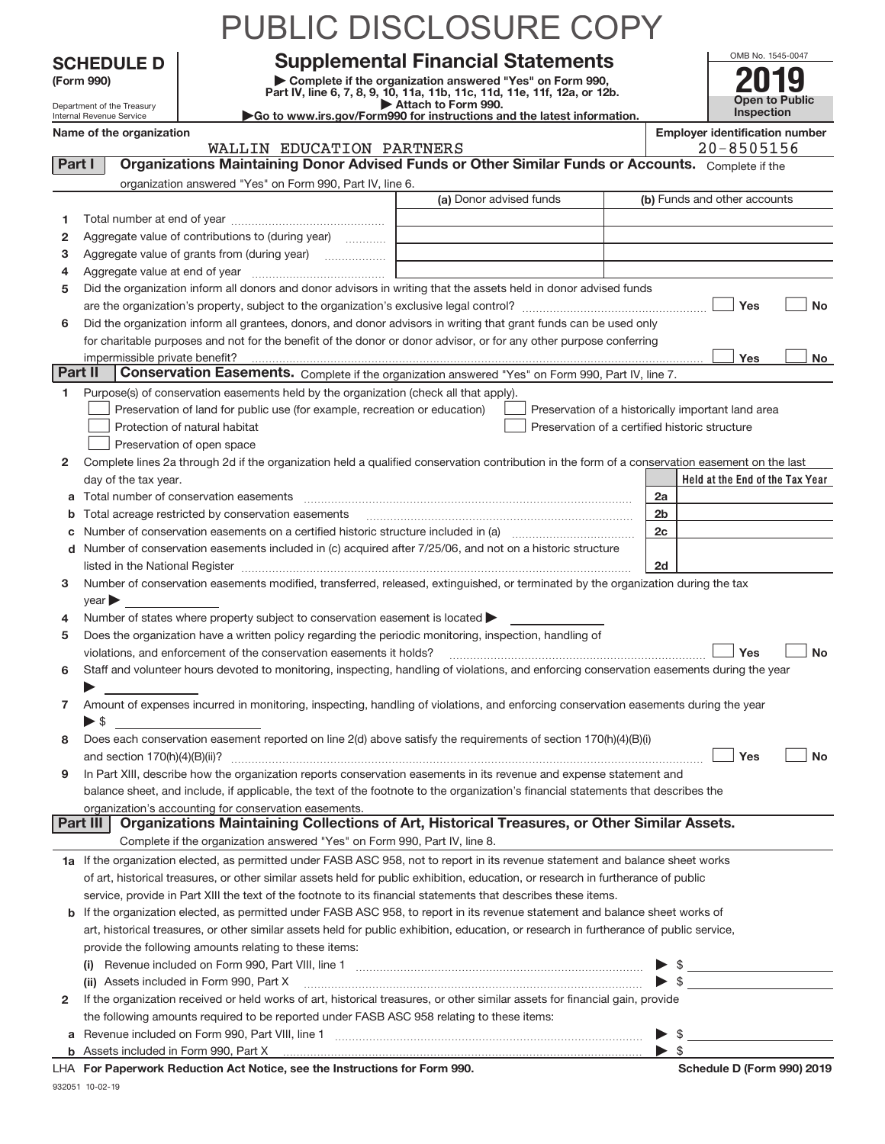|        |                                                                                                                                                    |                                                                                                             | PUBLIC DISCLOSURE COPY                                                                                                                                                                                                                                                                                                                                            |                          |                                                    |  |  |  |
|--------|----------------------------------------------------------------------------------------------------------------------------------------------------|-------------------------------------------------------------------------------------------------------------|-------------------------------------------------------------------------------------------------------------------------------------------------------------------------------------------------------------------------------------------------------------------------------------------------------------------------------------------------------------------|--------------------------|----------------------------------------------------|--|--|--|
|        | <b>SCHEDULE D</b>                                                                                                                                  |                                                                                                             | <b>Supplemental Financial Statements</b>                                                                                                                                                                                                                                                                                                                          |                          | OMB No. 1545-0047                                  |  |  |  |
|        | Complete if the organization answered "Yes" on Form 990,<br>(Form 990)<br>Part IV, line 6, 7, 8, 9, 10, 11a, 11b, 11c, 11d, 11e, 11f, 12a, or 12b. |                                                                                                             |                                                                                                                                                                                                                                                                                                                                                                   |                          |                                                    |  |  |  |
|        | Department of the Treasury                                                                                                                         |                                                                                                             | Attach to Form 990.                                                                                                                                                                                                                                                                                                                                               |                          | <b>Open to Public</b><br><b>Inspection</b>         |  |  |  |
|        | Internal Revenue Service<br>Name of the organization                                                                                               |                                                                                                             | Go to www.irs.gov/Form990 for instructions and the latest information.                                                                                                                                                                                                                                                                                            |                          | <b>Employer identification number</b>              |  |  |  |
|        |                                                                                                                                                    | WALLIN EDUCATION PARTNERS                                                                                   |                                                                                                                                                                                                                                                                                                                                                                   |                          | $20 - 8505156$                                     |  |  |  |
|        | Part I                                                                                                                                             |                                                                                                             | Organizations Maintaining Donor Advised Funds or Other Similar Funds or Accounts. Complete if the                                                                                                                                                                                                                                                                 |                          |                                                    |  |  |  |
|        |                                                                                                                                                    | organization answered "Yes" on Form 990, Part IV, line 6.                                                   |                                                                                                                                                                                                                                                                                                                                                                   |                          |                                                    |  |  |  |
|        |                                                                                                                                                    |                                                                                                             | (a) Donor advised funds                                                                                                                                                                                                                                                                                                                                           |                          | (b) Funds and other accounts                       |  |  |  |
| 1      |                                                                                                                                                    |                                                                                                             |                                                                                                                                                                                                                                                                                                                                                                   |                          |                                                    |  |  |  |
| 2      |                                                                                                                                                    | Aggregate value of contributions to (during year)                                                           |                                                                                                                                                                                                                                                                                                                                                                   |                          |                                                    |  |  |  |
| з<br>4 |                                                                                                                                                    |                                                                                                             |                                                                                                                                                                                                                                                                                                                                                                   |                          |                                                    |  |  |  |
| 5      |                                                                                                                                                    |                                                                                                             | Did the organization inform all donors and donor advisors in writing that the assets held in donor advised funds                                                                                                                                                                                                                                                  |                          |                                                    |  |  |  |
|        |                                                                                                                                                    |                                                                                                             |                                                                                                                                                                                                                                                                                                                                                                   |                          | Yes<br>No                                          |  |  |  |
| 6      |                                                                                                                                                    |                                                                                                             | Did the organization inform all grantees, donors, and donor advisors in writing that grant funds can be used only                                                                                                                                                                                                                                                 |                          |                                                    |  |  |  |
|        |                                                                                                                                                    |                                                                                                             | for charitable purposes and not for the benefit of the donor or donor advisor, or for any other purpose conferring                                                                                                                                                                                                                                                |                          |                                                    |  |  |  |
|        | impermissible private benefit?                                                                                                                     |                                                                                                             |                                                                                                                                                                                                                                                                                                                                                                   |                          | Yes<br><b>No</b>                                   |  |  |  |
|        | Part II                                                                                                                                            |                                                                                                             | Conservation Easements. Complete if the organization answered "Yes" on Form 990, Part IV, line 7.                                                                                                                                                                                                                                                                 |                          |                                                    |  |  |  |
| 1.     |                                                                                                                                                    | Purpose(s) of conservation easements held by the organization (check all that apply).                       |                                                                                                                                                                                                                                                                                                                                                                   |                          |                                                    |  |  |  |
|        |                                                                                                                                                    | Preservation of land for public use (for example, recreation or education)<br>Protection of natural habitat | Preservation of a certified historic structure                                                                                                                                                                                                                                                                                                                    |                          | Preservation of a historically important land area |  |  |  |
|        |                                                                                                                                                    | Preservation of open space                                                                                  |                                                                                                                                                                                                                                                                                                                                                                   |                          |                                                    |  |  |  |
| 2      |                                                                                                                                                    |                                                                                                             | Complete lines 2a through 2d if the organization held a qualified conservation contribution in the form of a conservation easement on the last                                                                                                                                                                                                                    |                          |                                                    |  |  |  |
|        | day of the tax year.                                                                                                                               |                                                                                                             |                                                                                                                                                                                                                                                                                                                                                                   |                          | Held at the End of the Tax Year                    |  |  |  |
| a      |                                                                                                                                                    |                                                                                                             |                                                                                                                                                                                                                                                                                                                                                                   | 2a                       |                                                    |  |  |  |
| b      |                                                                                                                                                    | Total acreage restricted by conservation easements                                                          |                                                                                                                                                                                                                                                                                                                                                                   | 2 <sub>b</sub>           |                                                    |  |  |  |
| С      |                                                                                                                                                    |                                                                                                             |                                                                                                                                                                                                                                                                                                                                                                   | 2 <sub>c</sub>           |                                                    |  |  |  |
|        |                                                                                                                                                    |                                                                                                             | d Number of conservation easements included in (c) acquired after 7/25/06, and not on a historic structure                                                                                                                                                                                                                                                        |                          |                                                    |  |  |  |
| 3      |                                                                                                                                                    |                                                                                                             | listed in the National Register [111] Marshall Register [11] Marshall Register [11] Marshall Register [11] Marshall Register [11] Marshall Register [11] Marshall Register [11] Marshall Register [11] Marshall Register [11]<br>Number of conservation easements modified, transferred, released, extinguished, or terminated by the organization during the tax | 2d                       |                                                    |  |  |  |
|        | year                                                                                                                                               |                                                                                                             |                                                                                                                                                                                                                                                                                                                                                                   |                          |                                                    |  |  |  |
| 4      |                                                                                                                                                    | Number of states where property subject to conservation easement is located                                 |                                                                                                                                                                                                                                                                                                                                                                   |                          |                                                    |  |  |  |
| 5      |                                                                                                                                                    | Does the organization have a written policy regarding the periodic monitoring, inspection, handling of      |                                                                                                                                                                                                                                                                                                                                                                   |                          |                                                    |  |  |  |
|        |                                                                                                                                                    | violations, and enforcement of the conservation easements it holds?                                         |                                                                                                                                                                                                                                                                                                                                                                   |                          | Yes<br>No                                          |  |  |  |
| 6      |                                                                                                                                                    |                                                                                                             | Staff and volunteer hours devoted to monitoring, inspecting, handling of violations, and enforcing conservation easements during the year                                                                                                                                                                                                                         |                          |                                                    |  |  |  |
|        |                                                                                                                                                    |                                                                                                             |                                                                                                                                                                                                                                                                                                                                                                   |                          |                                                    |  |  |  |
| 7      | $\blacktriangleright$ \$                                                                                                                           |                                                                                                             | Amount of expenses incurred in monitoring, inspecting, handling of violations, and enforcing conservation easements during the year                                                                                                                                                                                                                               |                          |                                                    |  |  |  |
| 8      |                                                                                                                                                    |                                                                                                             | Does each conservation easement reported on line 2(d) above satisfy the requirements of section 170(h)(4)(B)(i)                                                                                                                                                                                                                                                   |                          |                                                    |  |  |  |
|        |                                                                                                                                                    |                                                                                                             |                                                                                                                                                                                                                                                                                                                                                                   |                          | Yes<br><b>No</b>                                   |  |  |  |
| 9      |                                                                                                                                                    |                                                                                                             | In Part XIII, describe how the organization reports conservation easements in its revenue and expense statement and                                                                                                                                                                                                                                               |                          |                                                    |  |  |  |
|        |                                                                                                                                                    |                                                                                                             | balance sheet, and include, if applicable, the text of the footnote to the organization's financial statements that describes the                                                                                                                                                                                                                                 |                          |                                                    |  |  |  |
|        |                                                                                                                                                    | organization's accounting for conservation easements.                                                       | Part III   Organizations Maintaining Collections of Art, Historical Treasures, or Other Similar Assets.                                                                                                                                                                                                                                                           |                          |                                                    |  |  |  |
|        |                                                                                                                                                    | Complete if the organization answered "Yes" on Form 990, Part IV, line 8.                                   |                                                                                                                                                                                                                                                                                                                                                                   |                          |                                                    |  |  |  |
|        |                                                                                                                                                    |                                                                                                             | 1a If the organization elected, as permitted under FASB ASC 958, not to report in its revenue statement and balance sheet works                                                                                                                                                                                                                                   |                          |                                                    |  |  |  |
|        |                                                                                                                                                    |                                                                                                             | of art, historical treasures, or other similar assets held for public exhibition, education, or research in furtherance of public                                                                                                                                                                                                                                 |                          |                                                    |  |  |  |
|        |                                                                                                                                                    |                                                                                                             | service, provide in Part XIII the text of the footnote to its financial statements that describes these items.                                                                                                                                                                                                                                                    |                          |                                                    |  |  |  |
|        |                                                                                                                                                    |                                                                                                             | b If the organization elected, as permitted under FASB ASC 958, to report in its revenue statement and balance sheet works of                                                                                                                                                                                                                                     |                          |                                                    |  |  |  |
|        |                                                                                                                                                    |                                                                                                             | art, historical treasures, or other similar assets held for public exhibition, education, or research in furtherance of public service,                                                                                                                                                                                                                           |                          |                                                    |  |  |  |
|        |                                                                                                                                                    | provide the following amounts relating to these items:                                                      |                                                                                                                                                                                                                                                                                                                                                                   |                          |                                                    |  |  |  |
|        |                                                                                                                                                    |                                                                                                             |                                                                                                                                                                                                                                                                                                                                                                   |                          | $\frac{1}{2}$                                      |  |  |  |
|        |                                                                                                                                                    |                                                                                                             | If the organization received or held works of art, historical treasures, or other similar assets for financial gain, provide                                                                                                                                                                                                                                      |                          | $\triangleright$ \$                                |  |  |  |
| 2      |                                                                                                                                                    | the following amounts required to be reported under FASB ASC 958 relating to these items:                   |                                                                                                                                                                                                                                                                                                                                                                   |                          |                                                    |  |  |  |
| a      |                                                                                                                                                    |                                                                                                             |                                                                                                                                                                                                                                                                                                                                                                   |                          |                                                    |  |  |  |
|        |                                                                                                                                                    |                                                                                                             |                                                                                                                                                                                                                                                                                                                                                                   | $\blacktriangleright$ \$ |                                                    |  |  |  |

LHA For Paperwork Reduction Act Notice, see the Instructions for Form 990. Names and Schedule D (Form 990) 2019

932051 10‐02‐19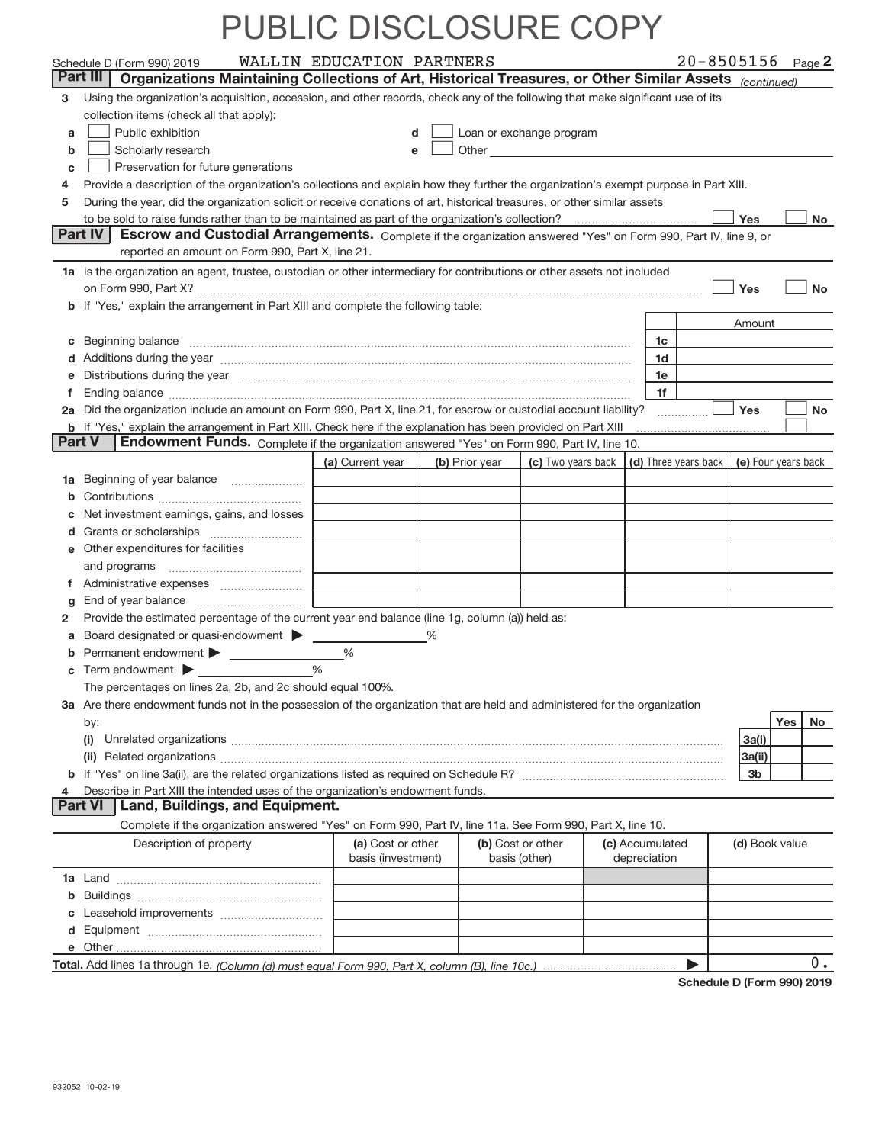|    | Schedule D (Form 990) 2019                                                                                                                                                                                                     | WALLIN EDUCATION PARTNERS               |                |               |                          |                                 | $20 - 8505156$ Page 2                      |                |     |           |
|----|--------------------------------------------------------------------------------------------------------------------------------------------------------------------------------------------------------------------------------|-----------------------------------------|----------------|---------------|--------------------------|---------------------------------|--------------------------------------------|----------------|-----|-----------|
|    | Part III<br>Organizations Maintaining Collections of Art, Historical Treasures, or Other Similar Assets (continued)                                                                                                            |                                         |                |               |                          |                                 |                                            |                |     |           |
| 3. | Using the organization's acquisition, accession, and other records, check any of the following that make significant use of its                                                                                                |                                         |                |               |                          |                                 |                                            |                |     |           |
|    | collection items (check all that apply):                                                                                                                                                                                       |                                         |                |               |                          |                                 |                                            |                |     |           |
| a  | Public exhibition                                                                                                                                                                                                              |                                         | d              |               | Loan or exchange program |                                 |                                            |                |     |           |
| b  | Scholarly research                                                                                                                                                                                                             |                                         | e              |               |                          |                                 |                                            |                |     |           |
| C  | Preservation for future generations                                                                                                                                                                                            |                                         |                |               |                          |                                 |                                            |                |     |           |
| 4  | Provide a description of the organization's collections and explain how they further the organization's exempt purpose in Part XIII.                                                                                           |                                         |                |               |                          |                                 |                                            |                |     |           |
| 5  | During the year, did the organization solicit or receive donations of art, historical treasures, or other similar assets                                                                                                       |                                         |                |               |                          |                                 |                                            |                |     |           |
|    |                                                                                                                                                                                                                                |                                         |                |               |                          |                                 |                                            | Yes            |     | No        |
|    | <b>Part IV</b><br>Escrow and Custodial Arrangements. Complete if the organization answered "Yes" on Form 990, Part IV, line 9, or                                                                                              |                                         |                |               |                          |                                 |                                            |                |     |           |
|    | reported an amount on Form 990, Part X, line 21.                                                                                                                                                                               |                                         |                |               |                          |                                 |                                            |                |     |           |
|    | 1a Is the organization an agent, trustee, custodian or other intermediary for contributions or other assets not included                                                                                                       |                                         |                |               |                          |                                 |                                            |                |     |           |
|    | on Form 990, Part X? [11] matter and the contract of the contract of the contract of the contract of the contract of the contract of the contract of the contract of the contract of the contract of the contract of the contr |                                         |                |               |                          |                                 |                                            | Yes            |     | <b>No</b> |
|    | b If "Yes," explain the arrangement in Part XIII and complete the following table:                                                                                                                                             |                                         |                |               |                          |                                 |                                            |                |     |           |
|    |                                                                                                                                                                                                                                |                                         |                |               |                          |                                 |                                            | Amount         |     |           |
|    | c Beginning balance measurements and the contract of the contract of the contract of the contract of the contract of the contract of the contract of the contract of the contract of the contract of the contract of the contr |                                         |                |               |                          | 1c                              |                                            |                |     |           |
|    |                                                                                                                                                                                                                                |                                         |                |               |                          | 1d                              |                                            |                |     |           |
|    | e Distributions during the year manufactured and contain an according to the year manufactured and the year manufactured and the year manufactured and the year manufactured and the year manufactured and the year manufactur |                                         |                |               |                          | 1e                              |                                            |                |     |           |
| f  |                                                                                                                                                                                                                                |                                         |                |               |                          | 1f                              |                                            |                |     |           |
|    | 2a Did the organization include an amount on Form 990, Part X, line 21, for escrow or custodial account liability?                                                                                                             |                                         |                |               |                          |                                 |                                            | Yes            |     | <b>No</b> |
|    | b If "Yes," explain the arrangement in Part XIII. Check here if the explanation has been provided on Part XIII<br><b>Part V</b>                                                                                                |                                         |                |               |                          |                                 |                                            |                |     |           |
|    | Endowment Funds. Complete if the organization answered "Yes" on Form 990, Part IV, line 10.                                                                                                                                    |                                         |                |               |                          |                                 |                                            |                |     |           |
|    |                                                                                                                                                                                                                                | (a) Current year                        | (b) Prior year |               | (c) Two years back       |                                 | (d) Three years back   (e) Four years back |                |     |           |
|    | 1a Beginning of year balance                                                                                                                                                                                                   |                                         |                |               |                          |                                 |                                            |                |     |           |
|    |                                                                                                                                                                                                                                |                                         |                |               |                          |                                 |                                            |                |     |           |
|    | c Net investment earnings, gains, and losses                                                                                                                                                                                   |                                         |                |               |                          |                                 |                                            |                |     |           |
|    |                                                                                                                                                                                                                                |                                         |                |               |                          |                                 |                                            |                |     |           |
|    | e Other expenditures for facilities                                                                                                                                                                                            |                                         |                |               |                          |                                 |                                            |                |     |           |
|    | and programs                                                                                                                                                                                                                   |                                         |                |               |                          |                                 |                                            |                |     |           |
|    |                                                                                                                                                                                                                                |                                         |                |               |                          |                                 |                                            |                |     |           |
| g  |                                                                                                                                                                                                                                |                                         |                |               |                          |                                 |                                            |                |     |           |
| 2  | Provide the estimated percentage of the current year end balance (line 1g, column (a)) held as:                                                                                                                                |                                         |                |               |                          |                                 |                                            |                |     |           |
|    | <b>a</b> Board designated or quasi-endowment $\blacktriangleright$                                                                                                                                                             |                                         | $\%$           |               |                          |                                 |                                            |                |     |           |
|    | <b>b</b> Permanent endowment > <u>example and property</u>                                                                                                                                                                     | %                                       |                |               |                          |                                 |                                            |                |     |           |
| c  | Term endowment > <u>example</u>                                                                                                                                                                                                | $\frac{0}{0}$                           |                |               |                          |                                 |                                            |                |     |           |
|    | The percentages on lines 2a, 2b, and 2c should equal 100%.                                                                                                                                                                     |                                         |                |               |                          |                                 |                                            |                |     |           |
|    | 3a Are there endowment funds not in the possession of the organization that are held and administered for the organization                                                                                                     |                                         |                |               |                          |                                 |                                            |                |     |           |
|    | by:                                                                                                                                                                                                                            |                                         |                |               |                          |                                 |                                            |                | Yes | No        |
|    | (i)                                                                                                                                                                                                                            |                                         |                |               |                          |                                 |                                            | 3a(i)          |     |           |
|    |                                                                                                                                                                                                                                |                                         |                |               |                          |                                 |                                            | 3a(ii)         |     |           |
|    |                                                                                                                                                                                                                                |                                         |                |               |                          |                                 |                                            | 3 <sub>b</sub> |     |           |
| 4  | Describe in Part XIII the intended uses of the organization's endowment funds.<br><b>Land, Buildings, and Equipment.</b><br>Part VI                                                                                            |                                         |                |               |                          |                                 |                                            |                |     |           |
|    |                                                                                                                                                                                                                                |                                         |                |               |                          |                                 |                                            |                |     |           |
|    | Complete if the organization answered "Yes" on Form 990, Part IV, line 11a. See Form 990, Part X, line 10.                                                                                                                     |                                         |                |               |                          |                                 |                                            |                |     |           |
|    | Description of property                                                                                                                                                                                                        | (a) Cost or other<br>basis (investment) |                | basis (other) | (b) Cost or other        | (c) Accumulated<br>depreciation |                                            | (d) Book value |     |           |
|    |                                                                                                                                                                                                                                |                                         |                |               |                          |                                 |                                            |                |     |           |
|    |                                                                                                                                                                                                                                |                                         |                |               |                          |                                 |                                            |                |     |           |
|    |                                                                                                                                                                                                                                |                                         |                |               |                          |                                 |                                            |                |     |           |
|    |                                                                                                                                                                                                                                |                                         |                |               |                          |                                 |                                            |                |     |           |
|    |                                                                                                                                                                                                                                |                                         |                |               |                          |                                 |                                            |                |     |           |
|    |                                                                                                                                                                                                                                |                                         |                |               |                          |                                 |                                            |                |     | $0$ .     |

**Schedule D (Form 990) 2019**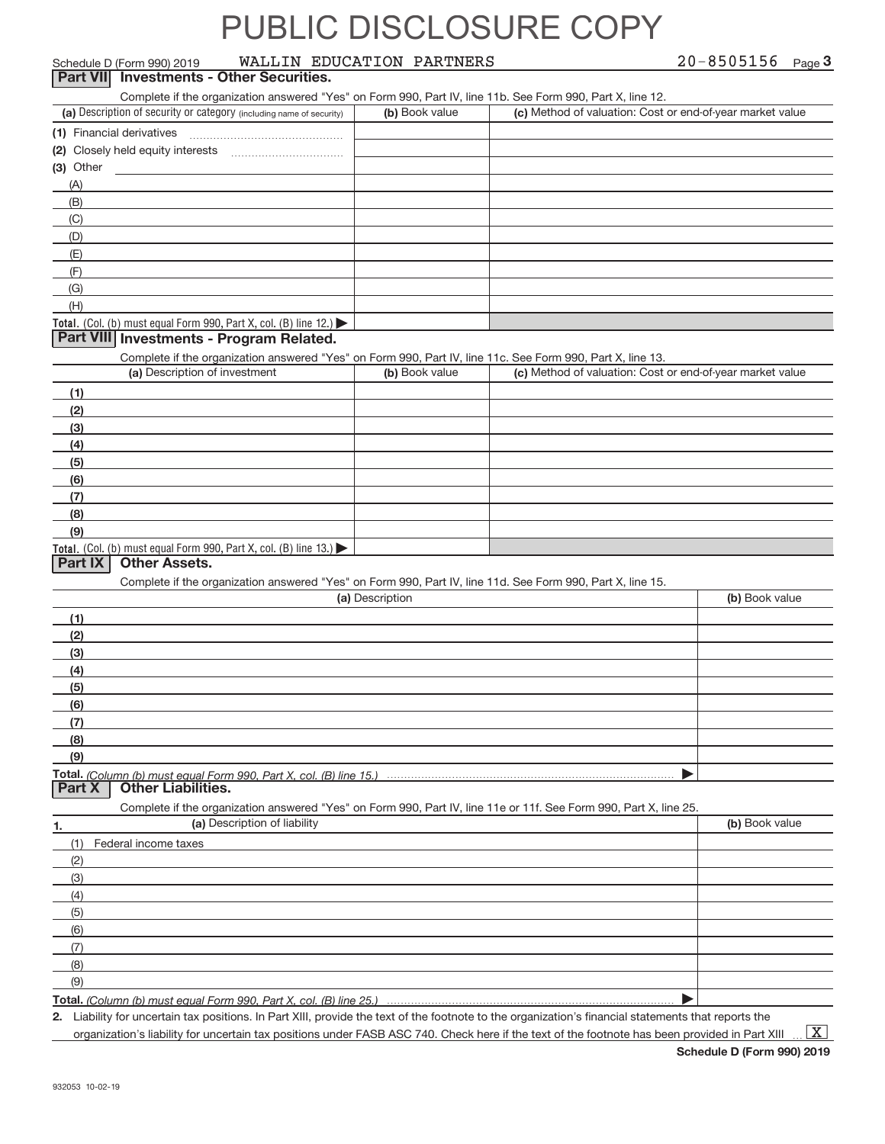| Schedule D (Form 990) 2019                                                                                        | WALLIN EDUCATION PARTNERS |                |                                                           | $20 - 8505156$ Page 3 |
|-------------------------------------------------------------------------------------------------------------------|---------------------------|----------------|-----------------------------------------------------------|-----------------------|
| <b>Investments - Other Securities.</b><br>Part VII                                                                |                           |                |                                                           |                       |
| Complete if the organization answered "Yes" on Form 990, Part IV, line 11b. See Form 990, Part X, line 12.        |                           |                |                                                           |                       |
| (a) Description of security or category (including name of security)                                              |                           | (b) Book value | (c) Method of valuation: Cost or end-of-year market value |                       |
|                                                                                                                   |                           |                |                                                           |                       |
|                                                                                                                   |                           |                |                                                           |                       |
| (3) Other                                                                                                         |                           |                |                                                           |                       |
| (A)                                                                                                               |                           |                |                                                           |                       |
| (B)                                                                                                               |                           |                |                                                           |                       |
| (C)                                                                                                               |                           |                |                                                           |                       |
| (D)                                                                                                               |                           |                |                                                           |                       |
| (E)                                                                                                               |                           |                |                                                           |                       |
| (F)                                                                                                               |                           |                |                                                           |                       |
| (G)                                                                                                               |                           |                |                                                           |                       |
| (H)                                                                                                               |                           |                |                                                           |                       |
| Total. (Col. (b) must equal Form 990, Part X, col. (B) line 12.)                                                  |                           |                |                                                           |                       |
| Part VIII Investments - Program Related.                                                                          |                           |                |                                                           |                       |
| Complete if the organization answered "Yes" on Form 990, Part IV, line 11c. See Form 990, Part X, line 13.        |                           |                |                                                           |                       |
| (a) Description of investment                                                                                     |                           | (b) Book value | (c) Method of valuation: Cost or end-of-year market value |                       |
| (1)                                                                                                               |                           |                |                                                           |                       |
| (2)                                                                                                               |                           |                |                                                           |                       |
| (3)                                                                                                               |                           |                |                                                           |                       |
| (4)                                                                                                               |                           |                |                                                           |                       |
| (5)                                                                                                               |                           |                |                                                           |                       |
| (6)                                                                                                               |                           |                |                                                           |                       |
| (7)                                                                                                               |                           |                |                                                           |                       |
| (8)                                                                                                               |                           |                |                                                           |                       |
| (9)                                                                                                               |                           |                |                                                           |                       |
| Total. (Col. (b) must equal Form 990, Part X, col. (B) line 13.)                                                  |                           |                |                                                           |                       |
| <b>Other Assets.</b><br><b>Part IX</b>                                                                            |                           |                |                                                           |                       |
| Complete if the organization answered "Yes" on Form 990, Part IV, line 11d. See Form 990, Part X, line 15.        |                           |                |                                                           |                       |
|                                                                                                                   | (a) Description           |                |                                                           | (b) Book value        |
| (1)                                                                                                               |                           |                |                                                           |                       |
| (2)                                                                                                               |                           |                |                                                           |                       |
| (3)                                                                                                               |                           |                |                                                           |                       |
| (4)                                                                                                               |                           |                |                                                           |                       |
| (5)                                                                                                               |                           |                |                                                           |                       |
| (6)                                                                                                               |                           |                |                                                           |                       |
| (7)                                                                                                               |                           |                |                                                           |                       |
| (8)                                                                                                               |                           |                |                                                           |                       |
| (9)                                                                                                               |                           |                |                                                           |                       |
| Total. (Column (b) must equal Form 990. Part X. col. (B) line 15.)                                                |                           |                |                                                           |                       |
| Part X<br><b>Other Liabilities.</b>                                                                               |                           |                |                                                           |                       |
| Complete if the organization answered "Yes" on Form 990, Part IV, line 11e or 11f. See Form 990, Part X, line 25. |                           |                |                                                           |                       |

| (a) Description of liability | (b) Book value |
|------------------------------|----------------|
| Federal income taxes<br>(1)  |                |
| (2)                          |                |
| $\qquad \qquad (3)$          |                |
| (4)                          |                |
| (5)                          |                |
| (6)                          |                |
| (7)                          |                |
| (8)                          |                |
| (9)                          |                |
| Total (O <sub>2</sub> )      |                |

**Total.**  *(Column (b) must equal Form 990, Part X, col. (B) line 25.)* |

**2.** Liability for uncertain tax positions. In Part XIII, provide the text of the footnote to the organization's financial statements that reports the organization's liability for uncertain tax positions under FASB ASC 740. Check here if the text of the footnote has been provided in Part XIII.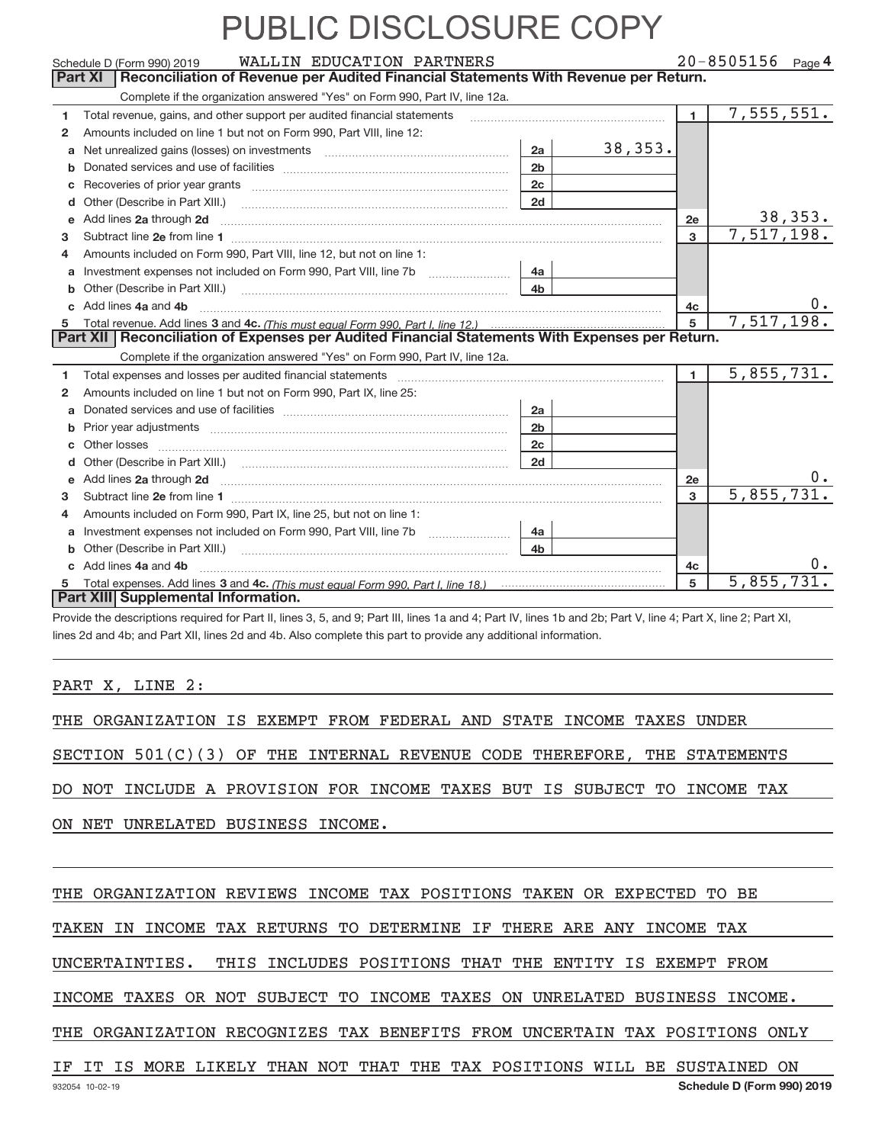|              | WALLIN EDUCATION PARTNERS<br>Schedule D (Form 990) 2019<br>Reconciliation of Revenue per Audited Financial Statements With Revenue per Return.<br>Part XI                                                                            |                | $20 - 8505156$ Page 4 |                |            |                |
|--------------|--------------------------------------------------------------------------------------------------------------------------------------------------------------------------------------------------------------------------------------|----------------|-----------------------|----------------|------------|----------------|
|              | Complete if the organization answered "Yes" on Form 990, Part IV, line 12a.                                                                                                                                                          |                |                       |                |            |                |
| 1            | Total revenue, gains, and other support per audited financial statements                                                                                                                                                             |                |                       | $\blacksquare$ | 7,555,551. |                |
| $\mathbf{2}$ | Amounts included on line 1 but not on Form 990, Part VIII, line 12:                                                                                                                                                                  |                |                       |                |            |                |
| a            |                                                                                                                                                                                                                                      | 2a             | 38, 353.              |                |            |                |
| b            |                                                                                                                                                                                                                                      | 2 <sub>b</sub> |                       |                |            |                |
| С            |                                                                                                                                                                                                                                      | 2c             |                       |                |            |                |
| d            |                                                                                                                                                                                                                                      | 2d             |                       |                |            |                |
| е            | Add lines 2a through 2d                                                                                                                                                                                                              |                |                       | 2e             |            | <u>38,353.</u> |
| з            |                                                                                                                                                                                                                                      |                |                       | 3              | 7,517,198. |                |
| 4            | Amounts included on Form 990, Part VIII, line 12, but not on line 1:                                                                                                                                                                 |                |                       |                |            |                |
| a            | Investment expenses not included on Form 990, Part VIII, line 7b                                                                                                                                                                     | 4a             |                       |                |            |                |
| b            | Other (Describe in Part XIII.)                                                                                                                                                                                                       | 4 <sub>b</sub> |                       |                |            |                |
|              | Add lines 4a and 4b                                                                                                                                                                                                                  |                |                       | 4c             |            | υ.             |
| 5            |                                                                                                                                                                                                                                      |                |                       | 5              | 7,517,198. |                |
|              | Part XII   Reconciliation of Expenses per Audited Financial Statements With Expenses per Return.                                                                                                                                     |                |                       |                |            |                |
|              | Complete if the organization answered "Yes" on Form 990, Part IV, line 12a.                                                                                                                                                          |                |                       |                |            |                |
| 1            |                                                                                                                                                                                                                                      |                |                       | $\blacksquare$ | 5,855,731. |                |
| $\mathbf{2}$ | Amounts included on line 1 but not on Form 990, Part IX, line 25:                                                                                                                                                                    |                |                       |                |            |                |
| a            |                                                                                                                                                                                                                                      | 2a             |                       |                |            |                |
| b            |                                                                                                                                                                                                                                      | 2 <sub>b</sub> |                       |                |            |                |
|              |                                                                                                                                                                                                                                      | 2c             |                       |                |            |                |
|              |                                                                                                                                                                                                                                      | 2d             |                       |                |            |                |
| e            | Add lines 2a through 2d <b>contained a contained a contained a contained a contained a contained a contained a contained a contact a contact a contact a contact a contact a contact a contact a contact a contact a contact a c</b> |                |                       | 2e             |            |                |
| З.           |                                                                                                                                                                                                                                      |                |                       | 3              | 5,855,731. |                |
| 4            | Amounts included on Form 990, Part IX, line 25, but not on line 1:                                                                                                                                                                   |                |                       |                |            |                |
| a            | Investment expenses not included on Form 990, Part VIII, line 7b                                                                                                                                                                     | 4a             |                       |                |            |                |
| b            |                                                                                                                                                                                                                                      | 4b             |                       |                |            |                |
|              | Add lines 4a and 4b                                                                                                                                                                                                                  |                |                       | 4c             |            | υ.             |
|              |                                                                                                                                                                                                                                      |                |                       | 5              | 5,855,731. |                |
|              | Part XIII Supplemental Information.                                                                                                                                                                                                  |                |                       |                |            |                |

Provide the descriptions required for Part II, lines 3, 5, and 9; Part III, lines 1a and 4; Part IV, lines 1b and 2b; Part V, line 4; Part X, line 2; Part XI, lines 2d and 4b; and Part XII, lines 2d and 4b. Also complete this part to provide any additional information.

PART X, LINE 2:

THE ORGANIZATION IS EXEMPT FROM FEDERAL AND STATE INCOME TAXES UNDER

SECTION 501(C)(3) OF THE INTERNAL REVENUE CODE THEREFORE, THE STATEMENTS

DO NOT INCLUDE A PROVISION FOR INCOME TAXES BUT IS SUBJECT TO INCOME TAX

ON NET UNRELATED BUSINESS INCOME.

THE ORGANIZATION REVIEWS INCOME TAX POSITIONS TAKEN OR EXPECTED TO BE

TAKEN IN INCOME TAX RETURNS TO DETERMINE IF THERE ARE ANY INCOME TAX

UNCERTAINTIES. THIS INCLUDES POSITIONS THAT THE ENTITY IS EXEMPT FROM

INCOME TAXES OR NOT SUBJECT TO INCOME TAXES ON UNRELATED BUSINESS INCOME.

THE ORGANIZATION RECOGNIZES TAX BENEFITS FROM UNCERTAIN TAX POSITIONS ONLY

#### IF IT IS MORE LIKELY THAN NOT THAT THE TAX POSITIONS WILL BE SUSTAINED ON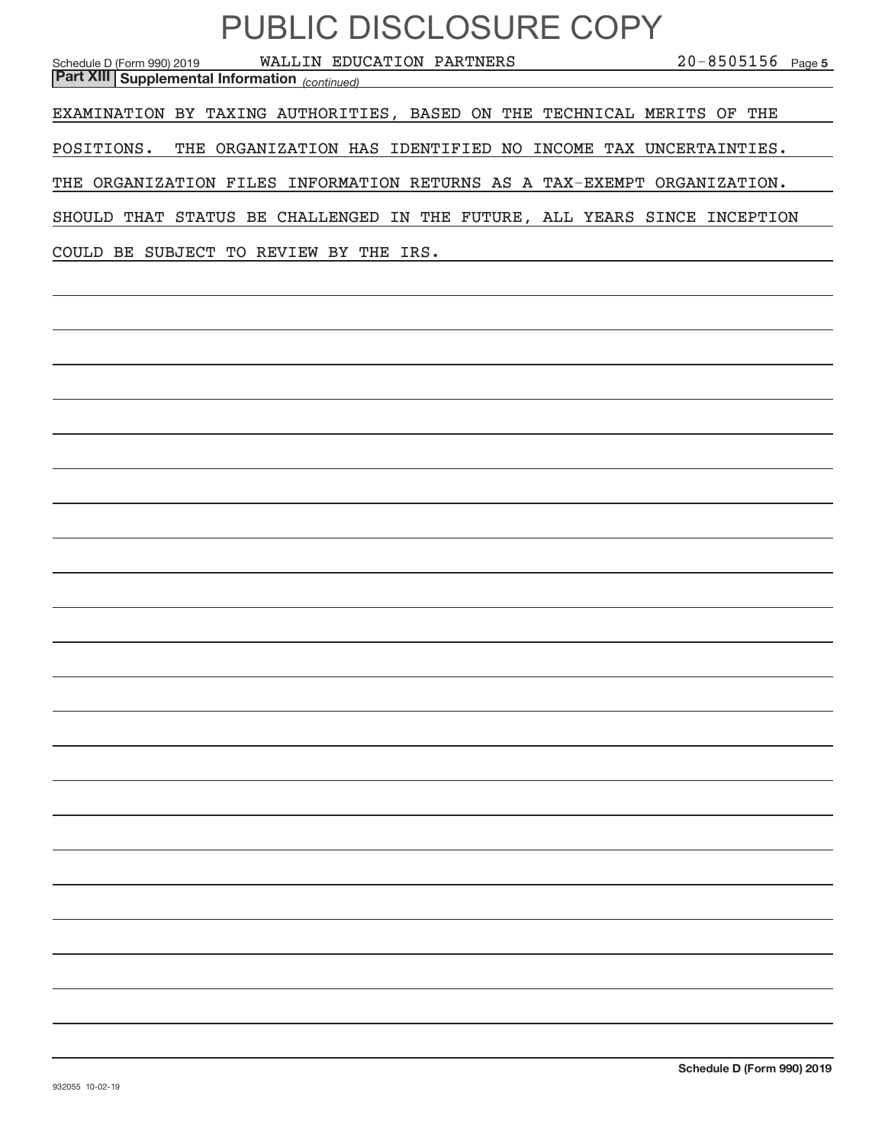| PUBLIC DISCLOSURE COPY<br>$20 - 8505156$ Page 5<br>WALLIN EDUCATION PARTNERS<br>Schedule D (Form 990) 2019<br><b>Part XIII Supplemental Information</b> (continued) |
|---------------------------------------------------------------------------------------------------------------------------------------------------------------------|
| EXAMINATION BY TAXING AUTHORITIES, BASED ON THE TECHNICAL MERITS OF THE                                                                                             |
| THE ORGANIZATION HAS IDENTIFIED NO INCOME TAX UNCERTAINTIES.<br>POSITIONS.                                                                                          |
| THE ORGANIZATION FILES INFORMATION RETURNS AS A TAX-EXEMPT ORGANIZATION.                                                                                            |
| SHOULD THAT STATUS BE CHALLENGED IN THE FUTURE, ALL YEARS SINCE INCEPTION                                                                                           |
| COULD BE SUBJECT TO REVIEW BY THE IRS.                                                                                                                              |
|                                                                                                                                                                     |
|                                                                                                                                                                     |
|                                                                                                                                                                     |
|                                                                                                                                                                     |
|                                                                                                                                                                     |
|                                                                                                                                                                     |
|                                                                                                                                                                     |
|                                                                                                                                                                     |
|                                                                                                                                                                     |
|                                                                                                                                                                     |
|                                                                                                                                                                     |
|                                                                                                                                                                     |
|                                                                                                                                                                     |
|                                                                                                                                                                     |
|                                                                                                                                                                     |
|                                                                                                                                                                     |
|                                                                                                                                                                     |
|                                                                                                                                                                     |
|                                                                                                                                                                     |
|                                                                                                                                                                     |
|                                                                                                                                                                     |
|                                                                                                                                                                     |
|                                                                                                                                                                     |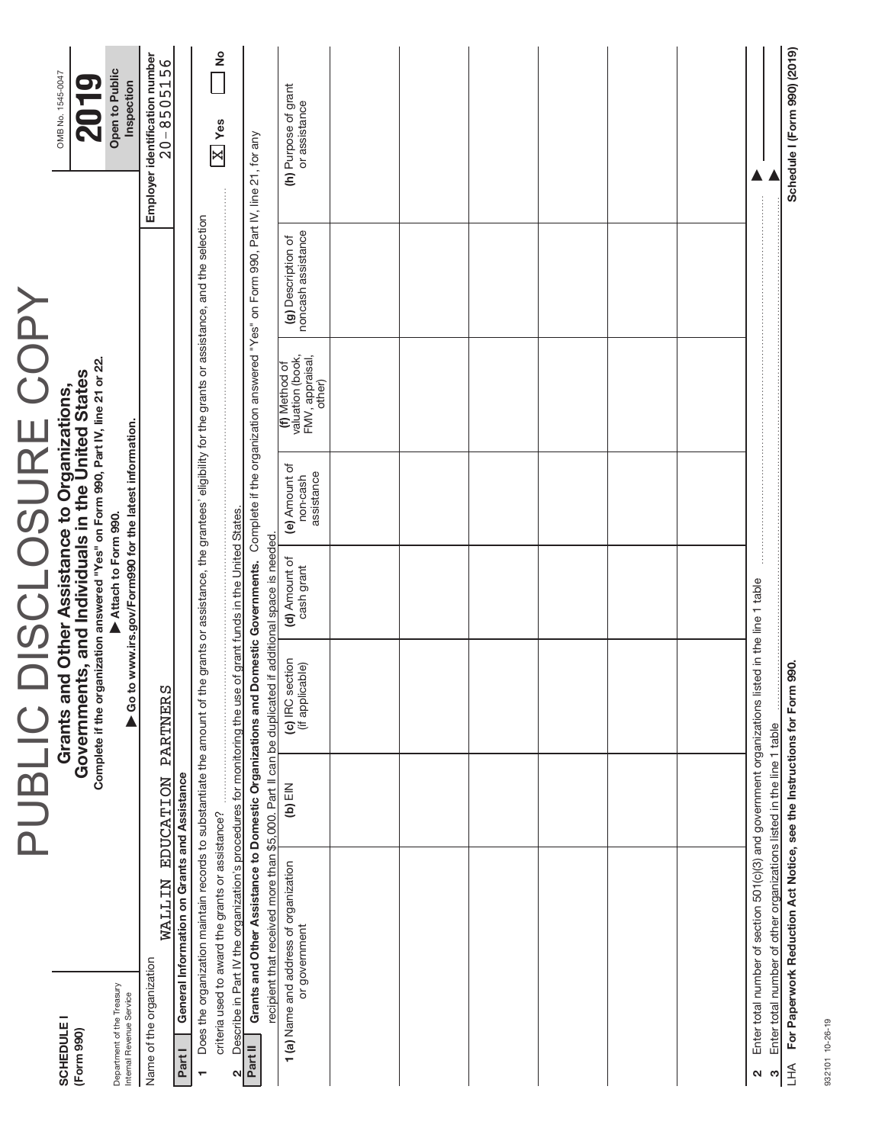|                        | OMB No. 1545-0047                                                                                                                                                                      | Open to Public<br>Inspection                                                 | Employer identification number<br>$20 - 8505156$ |                                              |                                                                                                                                                                          | <u>ខ</u><br>$\boxed{\text{X}}$ Yes               |                                                                                                              |                                                                                                                                                                    | (h) Purpose of grant<br>or assistance                                                                                           |                                                                                                 |                                                                      | Schedule I (Form 990) (2019)                                           |  |  |  |  |           |  |  |  |
|------------------------|----------------------------------------------------------------------------------------------------------------------------------------------------------------------------------------|------------------------------------------------------------------------------|--------------------------------------------------|----------------------------------------------|--------------------------------------------------------------------------------------------------------------------------------------------------------------------------|--------------------------------------------------|--------------------------------------------------------------------------------------------------------------|--------------------------------------------------------------------------------------------------------------------------------------------------------------------|---------------------------------------------------------------------------------------------------------------------------------|-------------------------------------------------------------------------------------------------|----------------------------------------------------------------------|------------------------------------------------------------------------|--|--|--|--|-----------|--|--|--|
|                        |                                                                                                                                                                                        |                                                                              |                                                  |                                              |                                                                                                                                                                          |                                                  |                                                                                                              | Grants and Other Assistance to Domestic Organizations and Domestic Governments. Complete if the organization answered "Yes" on Form 990, Part IV, line 21, for any | noncash assistance<br>(g) Description of                                                                                        |                                                                                                 |                                                                      |                                                                        |  |  |  |  |           |  |  |  |
|                        |                                                                                                                                                                                        |                                                                              |                                                  |                                              |                                                                                                                                                                          |                                                  |                                                                                                              |                                                                                                                                                                    | valuation (book,<br>FMV, appraisal,<br>(f) Method of                                                                            | other)                                                                                          |                                                                      |                                                                        |  |  |  |  |           |  |  |  |
|                        |                                                                                                                                                                                        |                                                                              |                                                  |                                              |                                                                                                                                                                          |                                                  |                                                                                                              |                                                                                                                                                                    | (e) Amount of<br>assistance<br>non-cash                                                                                         |                                                                                                 |                                                                      |                                                                        |  |  |  |  |           |  |  |  |
|                        |                                                                                                                                                                                        | Go to www.irs.gov/Form990 for the latest information.<br>Attach to Form 990. |                                                  |                                              |                                                                                                                                                                          |                                                  |                                                                                                              |                                                                                                                                                                    | if additional space is needed<br>(d) Amount of<br>cash grant                                                                    |                                                                                                 |                                                                      |                                                                        |  |  |  |  |           |  |  |  |
| PUBLIC DISCLOSURE COPY | Complete if the organization answered "Yes" on Form 990, Part IV, line 21 or 22.<br>Governments, and Individuals in the United States<br>Grants and Other Assistance to Organizations, |                                                                              | PARTNERS                                         |                                              |                                                                                                                                                                          |                                                  |                                                                                                              |                                                                                                                                                                    | (c) IRC section<br>(if applicable)                                                                                              |                                                                                                 |                                                                      |                                                                        |  |  |  |  |           |  |  |  |
|                        |                                                                                                                                                                                        |                                                                              | WALLIN EDUCATION                                 |                                              |                                                                                                                                                                          |                                                  |                                                                                                              |                                                                                                                                                                    |                                                                                                                                 |                                                                                                 |                                                                      |                                                                        |  |  |  |  | $(b)$ EIN |  |  |  |
|                        |                                                                                                                                                                                        |                                                                              |                                                  | General Information on Grants and Assistance | Does the organization maintain records to substantiate the amount of the grants or assistance, the grantees' eligibility for the grants or assistance, and the selection | criteria used to award the grants or assistance? | Describe in Part IV the organization's procedures for monitoring the use of grant funds in the United States |                                                                                                                                                                    | recipient that received more than \$5,000. Part II can be duplicated<br>1 (a) Name and address of organization<br>or government | Enter total number of section 501(c)(3) and government organizations listed in the line 1 table | Enter total number of other organizations listed in the line 1 table | For Paperwork Reduction Act Notice, see the Instructions for Form 990. |  |  |  |  |           |  |  |  |
|                        | <b>SCHEDULE I</b><br>(Form 990)                                                                                                                                                        | Department of the Treasury<br>Internal Revenue Service                       | Name of the organization                         | Part I                                       | ÷                                                                                                                                                                        |                                                  | N                                                                                                            | Part II                                                                                                                                                            |                                                                                                                                 | 2                                                                                               | က                                                                    | EHA<br>1                                                               |  |  |  |  |           |  |  |  |

932101 10-26-19 932101 10‐26‐19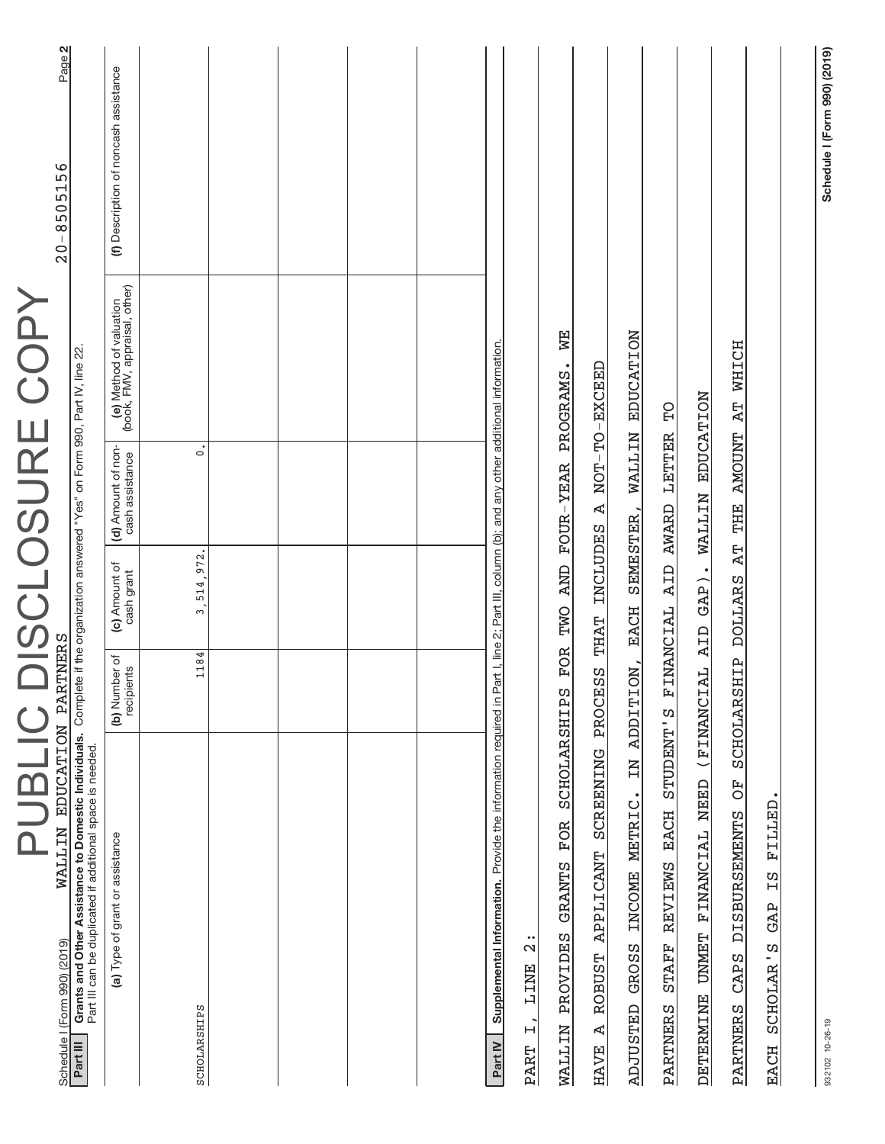| PUBLIC                                                                                                                                                                                                                                                             |                             |                             |                                       | DISCLOSURE COPY                                          |                                       |
|--------------------------------------------------------------------------------------------------------------------------------------------------------------------------------------------------------------------------------------------------------------------|-----------------------------|-----------------------------|---------------------------------------|----------------------------------------------------------|---------------------------------------|
| Grants and Other Assistance to Domestic Individuals. Complete if the organization answered "Yes" on Form 990, Part IV, line 22.<br><b>MALLIN EDUCATION</b><br>Part III can be duplicated if additional space is needed<br>Schedule I (Form 990) (2019)<br>Part III | <b>PARTNERS</b>             |                             |                                       |                                                          | Page 2<br>$20 - 8505156$              |
| (a) Type of grant or assistance                                                                                                                                                                                                                                    | (b) Number of<br>recipients | (c) Amount of<br>cash grant | (d) Amount of non-<br>cash assistance | (e) Method of valuation<br>(book, FMV, appraisal, other) | (f) Description of noncash assistance |
| SCHOLARSHIPS                                                                                                                                                                                                                                                       | 1184                        | 3, 514, 972.                | $\dot{\circ}$                         |                                                          |                                       |
|                                                                                                                                                                                                                                                                    |                             |                             |                                       |                                                          |                                       |
|                                                                                                                                                                                                                                                                    |                             |                             |                                       |                                                          |                                       |
|                                                                                                                                                                                                                                                                    |                             |                             |                                       |                                                          |                                       |
|                                                                                                                                                                                                                                                                    |                             |                             |                                       |                                                          |                                       |
| Supplemental Information. Provide the information required in Part I, line 2; Part III, column (b); and any other additional information.<br>Part IV                                                                                                               |                             |                             |                                       |                                                          |                                       |
| SCHOLARSHIPS<br><b>FOR</b><br><b>GRANTS</b><br><b>PROVIDES</b><br>$\ddot{2}$<br>LINE<br>$\ddot{ }$<br><b>WALLIN</b><br><b>PART</b>                                                                                                                                 |                             | FOR TWO                     | AND FOUR-YEAR PROGRAMS.               | B<br>N                                                   |                                       |
| SCREENING<br><b>APPLICANT</b><br><b>ROBUST</b><br>Ą<br><b>HAVE</b>                                                                                                                                                                                                 | ς<br>Ω<br>PROCE             | <b>THAT</b>                 | INCLUDES A NOT-TO-EXCEED              |                                                          |                                       |
| ΣN<br>INCOME METRIC.<br>GROSS<br><b>ADJUSTED</b>                                                                                                                                                                                                                   | ON,<br><b>ADDITI</b>        | SEMESTER,<br>EACH           | <b>WALLIN</b>                         | <b>EDUCATION</b>                                         |                                       |
| STUDENT'S<br>EACH<br>REVIEWS<br><b>STAFF</b><br>PARTNERS                                                                                                                                                                                                           | 国                           | AID<br>INANCIAL             | LETTER<br><b>AWARD</b>                | ρq                                                       |                                       |
| NEED<br><b>FINANCIAL</b><br><b>UNMET</b><br><b>DETERMINE</b>                                                                                                                                                                                                       | (FINANCI                    | AL AID GAP). WALLIN         |                                       | <b>EDUCATION</b>                                         |                                       |
| FO<br><b>DISBURSEMENTS</b><br>CAPS<br>PARTNERS                                                                                                                                                                                                                     | <b>SCHOLARS</b>             |                             | HIP DOLLARS AT THE AMOUNT AT WHICH    |                                                          |                                       |
| PILLED<br>ΩH<br>GAP<br>SCHOLAR'S<br>EACH                                                                                                                                                                                                                           |                             |                             |                                       |                                                          |                                       |
|                                                                                                                                                                                                                                                                    |                             |                             |                                       |                                                          |                                       |

**Schedule I (Form 990) (2019)**

Schedule I (Form 990) (2019)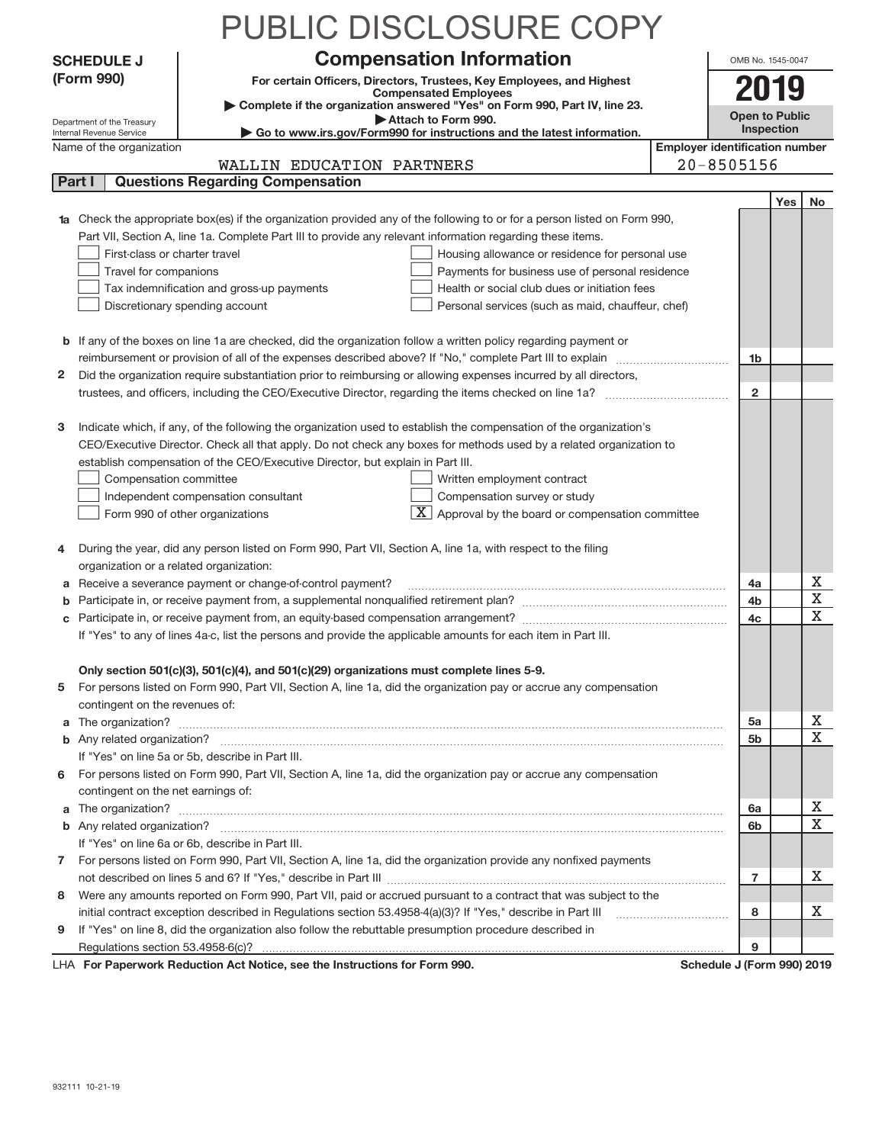|    |                                                        | PUBLIC DISCLOSURE COPY                                                                                                                                                                                                               |                                       |                            |     |             |
|----|--------------------------------------------------------|--------------------------------------------------------------------------------------------------------------------------------------------------------------------------------------------------------------------------------------|---------------------------------------|----------------------------|-----|-------------|
|    | <b>SCHEDULE J</b>                                      | <b>Compensation Information</b>                                                                                                                                                                                                      |                                       | OMB No. 1545-0047          |     |             |
|    | (Form 990)                                             | For certain Officers, Directors, Trustees, Key Employees, and Highest                                                                                                                                                                |                                       |                            |     |             |
|    |                                                        | <b>Compensated Employees</b>                                                                                                                                                                                                         |                                       |                            |     |             |
|    |                                                        | Complete if the organization answered "Yes" on Form 990, Part IV, line 23.<br>Attach to Form 990.                                                                                                                                    |                                       | Open to Public             |     |             |
|    | Department of the Treasury<br>Internal Revenue Service | Go to www.irs.gov/Form990 for instructions and the latest information.                                                                                                                                                               |                                       | Inspection                 |     |             |
|    | Name of the organization                               |                                                                                                                                                                                                                                      | <b>Employer identification number</b> |                            |     |             |
|    |                                                        | WALLIN EDUCATION PARTNERS                                                                                                                                                                                                            |                                       | $20 - 8505156$             |     |             |
|    | Part I                                                 | <b>Questions Regarding Compensation</b>                                                                                                                                                                                              |                                       |                            |     |             |
|    |                                                        |                                                                                                                                                                                                                                      |                                       |                            | Yes | No.         |
|    |                                                        | 1a Check the appropriate box(es) if the organization provided any of the following to or for a person listed on Form 990,                                                                                                            |                                       |                            |     |             |
|    | First-class or charter travel                          | Part VII, Section A, line 1a. Complete Part III to provide any relevant information regarding these items.                                                                                                                           |                                       |                            |     |             |
|    | Travel for companions                                  | Housing allowance or residence for personal use<br>Payments for business use of personal residence                                                                                                                                   |                                       |                            |     |             |
|    |                                                        | Tax indemnification and gross-up payments<br>Health or social club dues or initiation fees                                                                                                                                           |                                       |                            |     |             |
|    |                                                        | Discretionary spending account<br>Personal services (such as maid, chauffeur, chef)                                                                                                                                                  |                                       |                            |     |             |
|    |                                                        |                                                                                                                                                                                                                                      |                                       |                            |     |             |
|    |                                                        | <b>b</b> If any of the boxes on line 1a are checked, did the organization follow a written policy regarding payment or                                                                                                               |                                       |                            |     |             |
|    |                                                        | reimbursement or provision of all of the expenses described above? If "No," complete Part III to explain                                                                                                                             |                                       | 1b                         |     |             |
|    |                                                        | 2 Did the organization require substantiation prior to reimbursing or allowing expenses incurred by all directors,                                                                                                                   |                                       |                            |     |             |
|    |                                                        | trustees, and officers, including the CEO/Executive Director, regarding the items checked on line 1a?                                                                                                                                |                                       | $\overline{2}$             |     |             |
|    |                                                        |                                                                                                                                                                                                                                      |                                       |                            |     |             |
| з  |                                                        | Indicate which, if any, of the following the organization used to establish the compensation of the organization's                                                                                                                   |                                       |                            |     |             |
|    |                                                        | CEO/Executive Director. Check all that apply. Do not check any boxes for methods used by a related organization to                                                                                                                   |                                       |                            |     |             |
|    |                                                        | establish compensation of the CEO/Executive Director, but explain in Part III.                                                                                                                                                       |                                       |                            |     |             |
|    | Compensation committee                                 | Written employment contract                                                                                                                                                                                                          |                                       |                            |     |             |
|    |                                                        | Compensation survey or study<br>Independent compensation consultant                                                                                                                                                                  |                                       |                            |     |             |
|    |                                                        | $\boxed{\textbf{X}}$ Approval by the board or compensation committee<br>Form 990 of other organizations                                                                                                                              |                                       |                            |     |             |
| 4  |                                                        | During the year, did any person listed on Form 990, Part VII, Section A, line 1a, with respect to the filing                                                                                                                         |                                       |                            |     |             |
|    | organization or a related organization:                |                                                                                                                                                                                                                                      |                                       |                            |     |             |
| а  |                                                        | Receive a severance payment or change-of-control payment?                                                                                                                                                                            |                                       | 4a                         |     | X           |
| b  |                                                        |                                                                                                                                                                                                                                      |                                       | 4b                         |     | X           |
|    |                                                        |                                                                                                                                                                                                                                      |                                       | 4c                         |     | $\mathbf X$ |
|    |                                                        | If "Yes" to any of lines 4a-c, list the persons and provide the applicable amounts for each item in Part III.                                                                                                                        |                                       |                            |     |             |
|    |                                                        |                                                                                                                                                                                                                                      |                                       |                            |     |             |
| 5. |                                                        | Only section 501(c)(3), 501(c)(4), and 501(c)(29) organizations must complete lines 5-9.<br>For persons listed on Form 990, Part VII, Section A, line 1a, did the organization pay or accrue any compensation                        |                                       |                            |     |             |
|    | contingent on the revenues of:                         |                                                                                                                                                                                                                                      |                                       |                            |     |             |
| a  |                                                        |                                                                                                                                                                                                                                      |                                       | 5a                         |     | Х           |
|    |                                                        |                                                                                                                                                                                                                                      |                                       | 5b                         |     | X           |
|    |                                                        | If "Yes" on line 5a or 5b, describe in Part III.                                                                                                                                                                                     |                                       |                            |     |             |
| 6. |                                                        | For persons listed on Form 990, Part VII, Section A, line 1a, did the organization pay or accrue any compensation                                                                                                                    |                                       |                            |     |             |
|    | contingent on the net earnings of:                     |                                                                                                                                                                                                                                      |                                       |                            |     |             |
|    |                                                        | a The organization? <b>Entitled Strategies and Strategies and Strategies and Strategies and Strategies and Strategies and Strategies and Strategies and Strategies and Strategies and Strategies and Strategies and Strategies a</b> |                                       | 6a                         |     | Х           |
|    |                                                        |                                                                                                                                                                                                                                      |                                       | 6b                         |     | х           |
|    |                                                        | If "Yes" on line 6a or 6b, describe in Part III.                                                                                                                                                                                     |                                       |                            |     |             |
|    |                                                        | 7 For persons listed on Form 990, Part VII, Section A, line 1a, did the organization provide any nonfixed payments                                                                                                                   |                                       |                            |     |             |
|    |                                                        |                                                                                                                                                                                                                                      |                                       | $\overline{7}$             |     | х           |
| 8  |                                                        | Were any amounts reported on Form 990, Part VII, paid or accrued pursuant to a contract that was subject to the                                                                                                                      |                                       |                            |     |             |
|    |                                                        |                                                                                                                                                                                                                                      |                                       | 8                          |     | х           |
| 9  |                                                        | If "Yes" on line 8, did the organization also follow the rebuttable presumption procedure described in                                                                                                                               |                                       |                            |     |             |
|    |                                                        |                                                                                                                                                                                                                                      |                                       | 9                          |     |             |
|    |                                                        | LHA For Paperwork Reduction Act Notice, see the Instructions for Form 990.                                                                                                                                                           |                                       | Schedule J (Form 990) 2019 |     |             |

932111 10‐21‐19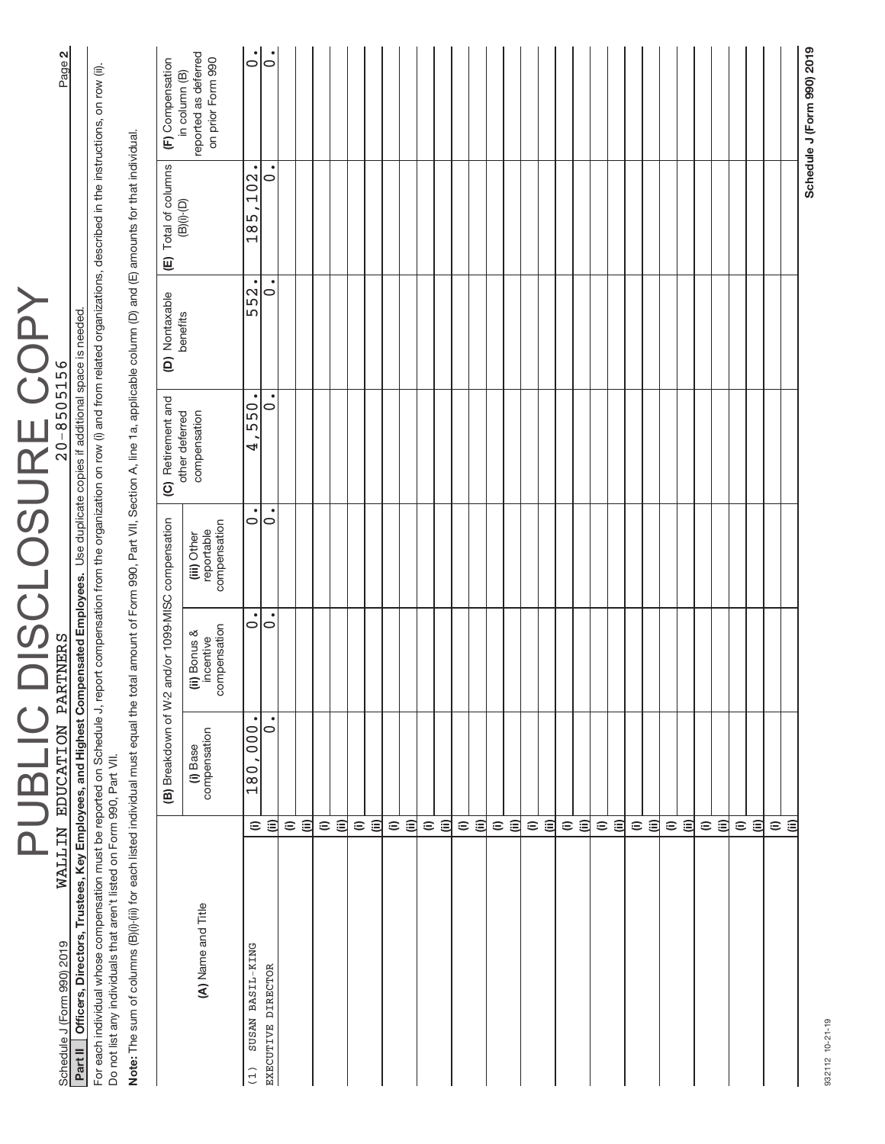| For each individual whose compensation must be reported on Schedule J, report compensation from the organization on row (i) and from related organizations, described in the instructions, on row (ii).<br>Note: The sum of columns (B)(i):(iii) for each listed individual must equal the total amount of Form 990, Part VII, Section A, line 1a, applicable column (D) and (E) amounts for that individual<br>Officers, Directors, Trustees, Key Employees, and Highest Compensated Employees. Use duplicate copies if additional space is needed<br>Do not list any individuals that aren't listed on Form 990, Part VII.<br>$\widehat{=}$<br>⊜<br>(A) Name and Title<br>SUSAN BASIL-KING | (B) Breakdown of W-2<br>$\bullet$<br>000 <sub>1</sub><br>$\circ$<br>compensation<br>(i) Base<br>180 | $\circ$<br>$\circ$<br>compensation<br>(ii) Bonus &<br>incentive | and/or 1099-MISC compensation             |                                |                  |                         |                                                            |
|----------------------------------------------------------------------------------------------------------------------------------------------------------------------------------------------------------------------------------------------------------------------------------------------------------------------------------------------------------------------------------------------------------------------------------------------------------------------------------------------------------------------------------------------------------------------------------------------------------------------------------------------------------------------------------------------|-----------------------------------------------------------------------------------------------------|-----------------------------------------------------------------|-------------------------------------------|--------------------------------|------------------|-------------------------|------------------------------------------------------------|
|                                                                                                                                                                                                                                                                                                                                                                                                                                                                                                                                                                                                                                                                                              |                                                                                                     |                                                                 |                                           |                                |                  |                         |                                                            |
|                                                                                                                                                                                                                                                                                                                                                                                                                                                                                                                                                                                                                                                                                              |                                                                                                     |                                                                 |                                           |                                |                  |                         |                                                            |
|                                                                                                                                                                                                                                                                                                                                                                                                                                                                                                                                                                                                                                                                                              |                                                                                                     |                                                                 |                                           | (C) Retirement and             | (D) Nontaxable   | (E) Total of columns    | (F) Compensation                                           |
|                                                                                                                                                                                                                                                                                                                                                                                                                                                                                                                                                                                                                                                                                              |                                                                                                     |                                                                 | compensation<br>reportable<br>(iii) Other | other deferred<br>compensation | benefits         | $(B)(i)$ - $(D)$        | reported as deferred<br>on prior Form 990<br>in column (B) |
|                                                                                                                                                                                                                                                                                                                                                                                                                                                                                                                                                                                                                                                                                              |                                                                                                     |                                                                 | 0                                         | $\bullet$<br>550<br>4          | $\bullet$<br>552 | $\bullet$<br>102<br>185 | $\dot{\circ}$                                              |
|                                                                                                                                                                                                                                                                                                                                                                                                                                                                                                                                                                                                                                                                                              |                                                                                                     |                                                                 | $\dot{\circ}$                             | $\bullet$<br>$\circ$           | 0                | $\overline{\circ}$      | $\bullet$<br>$\circ$                                       |
| $\widehat{=}$                                                                                                                                                                                                                                                                                                                                                                                                                                                                                                                                                                                                                                                                                |                                                                                                     |                                                                 |                                           |                                |                  |                         |                                                            |
| ⊜<br>$\widehat{=}$                                                                                                                                                                                                                                                                                                                                                                                                                                                                                                                                                                                                                                                                           |                                                                                                     |                                                                 |                                           |                                |                  |                         |                                                            |
| $\widehat{=}$                                                                                                                                                                                                                                                                                                                                                                                                                                                                                                                                                                                                                                                                                |                                                                                                     |                                                                 |                                           |                                |                  |                         |                                                            |
| $\widehat{=}$                                                                                                                                                                                                                                                                                                                                                                                                                                                                                                                                                                                                                                                                                |                                                                                                     |                                                                 |                                           |                                |                  |                         |                                                            |
| 闫                                                                                                                                                                                                                                                                                                                                                                                                                                                                                                                                                                                                                                                                                            |                                                                                                     |                                                                 |                                           |                                |                  |                         |                                                            |
| $\widehat{=}$                                                                                                                                                                                                                                                                                                                                                                                                                                                                                                                                                                                                                                                                                |                                                                                                     |                                                                 |                                           |                                |                  |                         |                                                            |
| 闫                                                                                                                                                                                                                                                                                                                                                                                                                                                                                                                                                                                                                                                                                            |                                                                                                     |                                                                 |                                           |                                |                  |                         |                                                            |
| $\widehat{=}$                                                                                                                                                                                                                                                                                                                                                                                                                                                                                                                                                                                                                                                                                |                                                                                                     |                                                                 |                                           |                                |                  |                         |                                                            |
| $\widehat{=}$                                                                                                                                                                                                                                                                                                                                                                                                                                                                                                                                                                                                                                                                                |                                                                                                     |                                                                 |                                           |                                |                  |                         |                                                            |
|                                                                                                                                                                                                                                                                                                                                                                                                                                                                                                                                                                                                                                                                                              |                                                                                                     |                                                                 |                                           |                                |                  |                         |                                                            |
| ΞÊ                                                                                                                                                                                                                                                                                                                                                                                                                                                                                                                                                                                                                                                                                           |                                                                                                     |                                                                 |                                           |                                |                  |                         |                                                            |
| $\widehat{=}$                                                                                                                                                                                                                                                                                                                                                                                                                                                                                                                                                                                                                                                                                |                                                                                                     |                                                                 |                                           |                                |                  |                         |                                                            |
| 闫                                                                                                                                                                                                                                                                                                                                                                                                                                                                                                                                                                                                                                                                                            |                                                                                                     |                                                                 |                                           |                                |                  |                         |                                                            |
| $\widehat{=}$                                                                                                                                                                                                                                                                                                                                                                                                                                                                                                                                                                                                                                                                                |                                                                                                     |                                                                 |                                           |                                |                  |                         |                                                            |
| 闫                                                                                                                                                                                                                                                                                                                                                                                                                                                                                                                                                                                                                                                                                            |                                                                                                     |                                                                 |                                           |                                |                  |                         |                                                            |
| $\widehat{=}$                                                                                                                                                                                                                                                                                                                                                                                                                                                                                                                                                                                                                                                                                |                                                                                                     |                                                                 |                                           |                                |                  |                         |                                                            |
| 闫                                                                                                                                                                                                                                                                                                                                                                                                                                                                                                                                                                                                                                                                                            |                                                                                                     |                                                                 |                                           |                                |                  |                         |                                                            |
| $\widehat{=}$                                                                                                                                                                                                                                                                                                                                                                                                                                                                                                                                                                                                                                                                                |                                                                                                     |                                                                 |                                           |                                |                  |                         |                                                            |
| $\widehat{\equiv}$                                                                                                                                                                                                                                                                                                                                                                                                                                                                                                                                                                                                                                                                           |                                                                                                     |                                                                 |                                           |                                |                  |                         |                                                            |
| $\widehat{=}$                                                                                                                                                                                                                                                                                                                                                                                                                                                                                                                                                                                                                                                                                |                                                                                                     |                                                                 |                                           |                                |                  |                         |                                                            |
| $\widehat{=}$                                                                                                                                                                                                                                                                                                                                                                                                                                                                                                                                                                                                                                                                                |                                                                                                     |                                                                 |                                           |                                |                  |                         |                                                            |
| $\widehat{=}$                                                                                                                                                                                                                                                                                                                                                                                                                                                                                                                                                                                                                                                                                |                                                                                                     |                                                                 |                                           |                                |                  |                         |                                                            |
| 闫                                                                                                                                                                                                                                                                                                                                                                                                                                                                                                                                                                                                                                                                                            |                                                                                                     |                                                                 |                                           |                                |                  |                         |                                                            |
| $\widehat{=}$                                                                                                                                                                                                                                                                                                                                                                                                                                                                                                                                                                                                                                                                                |                                                                                                     |                                                                 |                                           |                                |                  |                         |                                                            |
| 闫                                                                                                                                                                                                                                                                                                                                                                                                                                                                                                                                                                                                                                                                                            |                                                                                                     |                                                                 |                                           |                                |                  |                         |                                                            |
| $\widehat{=}$                                                                                                                                                                                                                                                                                                                                                                                                                                                                                                                                                                                                                                                                                |                                                                                                     |                                                                 |                                           |                                |                  |                         |                                                            |
| 闫                                                                                                                                                                                                                                                                                                                                                                                                                                                                                                                                                                                                                                                                                            |                                                                                                     |                                                                 |                                           |                                |                  |                         |                                                            |
| $\widehat{=}$                                                                                                                                                                                                                                                                                                                                                                                                                                                                                                                                                                                                                                                                                |                                                                                                     |                                                                 |                                           |                                |                  |                         |                                                            |
| $\widehat{\equiv}$                                                                                                                                                                                                                                                                                                                                                                                                                                                                                                                                                                                                                                                                           |                                                                                                     |                                                                 |                                           |                                |                  |                         |                                                            |

PUBLIC DISCLOSURE COPY

PUBLIC DISCLOSURE COPY

932112 10-21-19 932112 10‐21‐19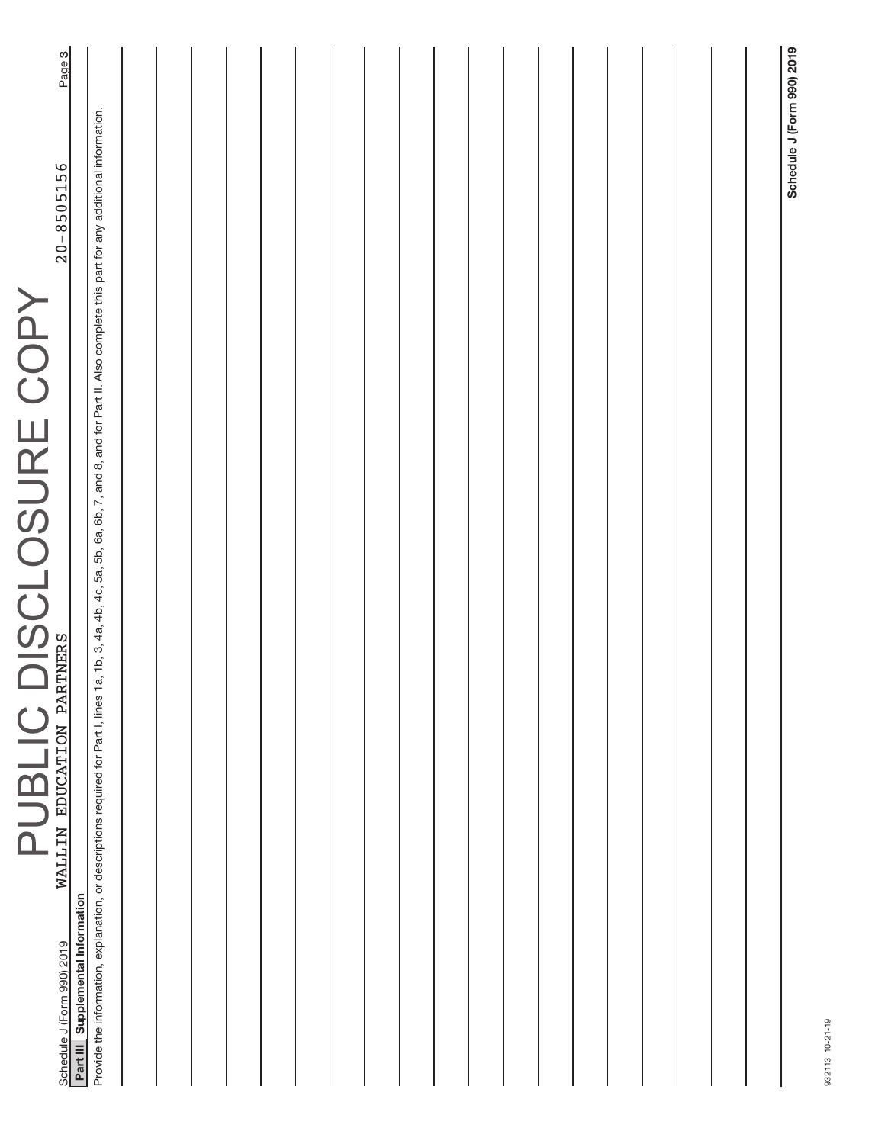| 1a, 1b, 3, 4a, 4b, 4c, 5a, 5b, 6a, 6b, 7, and 8, and for Part II. Also complete this part for any additional information. |  |  |  |  |  |  |  |  | Schedule J (Form 990) 2019                                                                                            |
|---------------------------------------------------------------------------------------------------------------------------|--|--|--|--|--|--|--|--|-----------------------------------------------------------------------------------------------------------------------|
|                                                                                                                           |  |  |  |  |  |  |  |  |                                                                                                                       |
|                                                                                                                           |  |  |  |  |  |  |  |  | Provide the information, explanation, or descriptions required for Part I, lines<br>Part III Supplemental Information |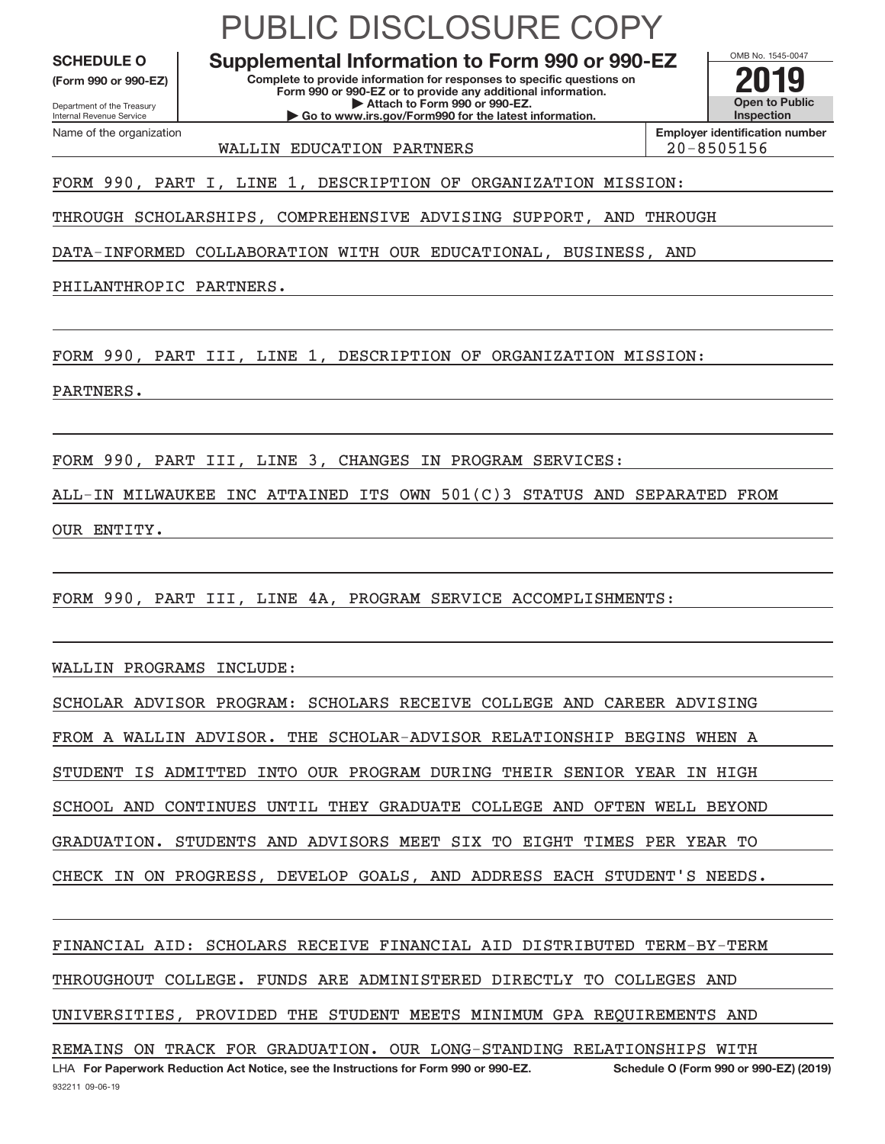**(Form 990 or 990‐EZ)**

Department of the Treasury Internal Revenue Service Name of the organization

## PUBLIC DISCLOSURE COPY

**Complete to provide information for responses to specific questions on Form 990 or 990‐EZ or to provide any additional information. | Attach to Form 990 or 990‐EZ. | Go to www.irs.gov/Form990 for the latest information.** SCHEDULE O **Supplemental Information to Form 990 or 990–EZ 2019**<br>(Form 990 or 990-EZ) Complete to provide information for responses to specific questions on

OMB No. 1545‐0047 **Open to Public Inspection Employer identification number**

WALLIN EDUCATION PARTNERS  $\vert$  20–8505156

FORM 990, PART I, LINE 1, DESCRIPTION OF ORGANIZATION MISSION:

THROUGH SCHOLARSHIPS, COMPREHENSIVE ADVISING SUPPORT, AND THROUGH

DATA‐INFORMED COLLABORATION WITH OUR EDUCATIONAL, BUSINESS, AND

PHILANTHROPIC PARTNERS.

FORM 990, PART III, LINE 1, DESCRIPTION OF ORGANIZATION MISSION:

PARTNERS.

FORM 990, PART III, LINE 3, CHANGES IN PROGRAM SERVICES:

ALL‐IN MILWAUKEE INC ATTAINED ITS OWN 501(C)3 STATUS AND SEPARATED FROM

OUR ENTITY.

FORM 990, PART III, LINE 4A, PROGRAM SERVICE ACCOMPLISHMENTS:

WALLIN PROGRAMS INCLUDE:

SCHOLAR ADVISOR PROGRAM: SCHOLARS RECEIVE COLLEGE AND CAREER ADVISING FROM A WALLIN ADVISOR. THE SCHOLAR‐ADVISOR RELATIONSHIP BEGINS WHEN A STUDENT IS ADMITTED INTO OUR PROGRAM DURING THEIR SENIOR YEAR IN HIGH SCHOOL AND CONTINUES UNTIL THEY GRADUATE COLLEGE AND OFTEN WELL BEYOND GRADUATION. STUDENTS AND ADVISORS MEET SIX TO EIGHT TIMES PER YEAR TO CHECK IN ON PROGRESS, DEVELOP GOALS, AND ADDRESS EACH STUDENT'S NEEDS.

932211 09‐06‐19 **For Paperwork Reduction Act Notice, see the Instructions for Form 990 or 990‐EZ. Schedule O (Form 990 or 990‐EZ) (2019)** LHA FINANCIAL AID: SCHOLARS RECEIVE FINANCIAL AID DISTRIBUTED TERM‐BY‐TERM THROUGHOUT COLLEGE. FUNDS ARE ADMINISTERED DIRECTLY TO COLLEGES AND UNIVERSITIES, PROVIDED THE STUDENT MEETS MINIMUM GPA REQUIREMENTS AND REMAINS ON TRACK FOR GRADUATION. OUR LONG‐STANDING RELATIONSHIPS WITH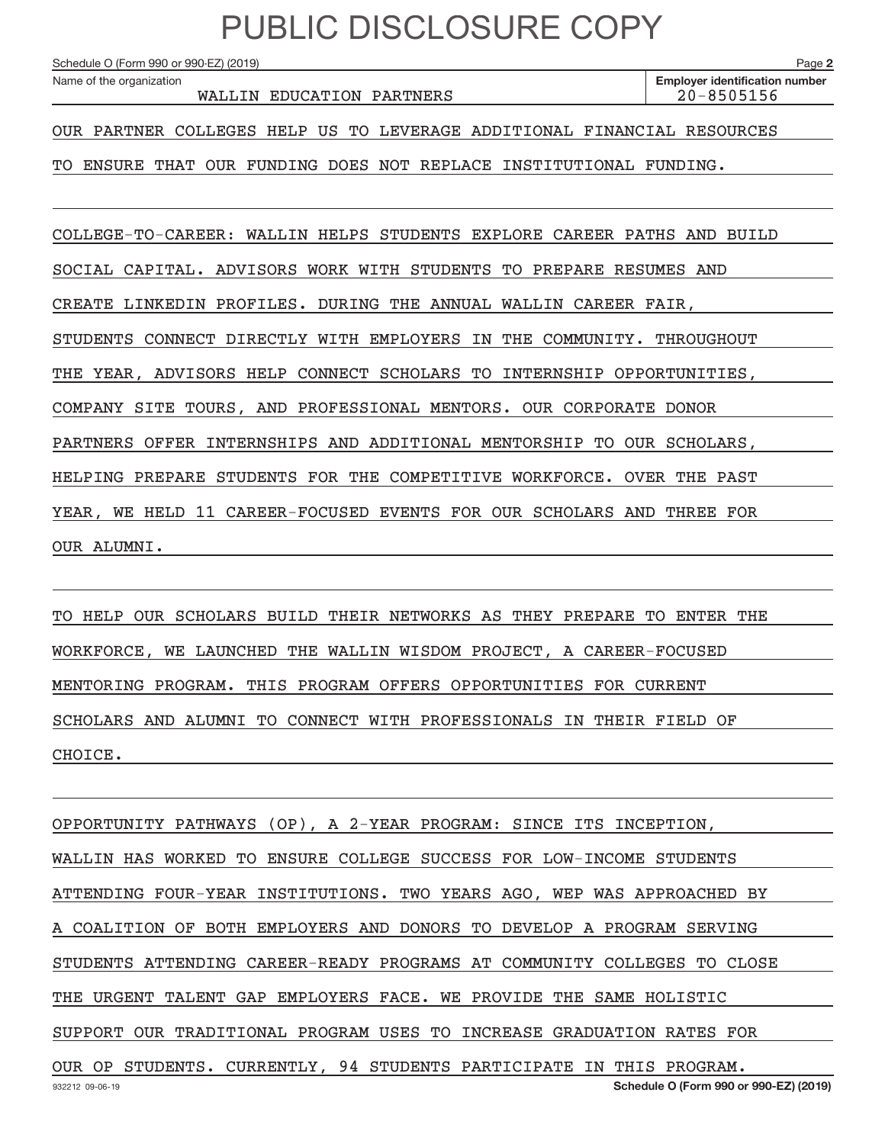Schedule O (Form 990 or 990-EZ) (2019)

Name of the organization

WALLIN EDUCATION PARTNERS 20–8505156

**2**

OUR PARTNER COLLEGES HELP US TO LEVERAGE ADDITIONAL FINANCIAL RESOURCES

TO ENSURE THAT OUR FUNDING DOES NOT REPLACE INSTITUTIONAL FUNDING.

COLLEGE‐TO‐CAREER: WALLIN HELPS STUDENTS EXPLORE CAREER PATHS AND BUILD SOCIAL CAPITAL. ADVISORS WORK WITH STUDENTS TO PREPARE RESUMES AND CREATE LINKEDIN PROFILES. DURING THE ANNUAL WALLIN CAREER FAIR, STUDENTS CONNECT DIRECTLY WITH EMPLOYERS IN THE COMMUNITY. THROUGHOUT THE YEAR, ADVISORS HELP CONNECT SCHOLARS TO INTERNSHIP OPPORTUNITIES, COMPANY SITE TOURS, AND PROFESSIONAL MENTORS. OUR CORPORATE DONOR PARTNERS OFFER INTERNSHIPS AND ADDITIONAL MENTORSHIP TO OUR SCHOLARS, HELPING PREPARE STUDENTS FOR THE COMPETITIVE WORKFORCE. OVER THE PAST YEAR, WE HELD 11 CAREER‐FOCUSED EVENTS FOR OUR SCHOLARS AND THREE FOR OUR ALUMNI.

TO HELP OUR SCHOLARS BUILD THEIR NETWORKS AS THEY PREPARE TO ENTER THE WORKFORCE, WE LAUNCHED THE WALLIN WISDOM PROJECT, A CAREER‐FOCUSED MENTORING PROGRAM. THIS PROGRAM OFFERS OPPORTUNITIES FOR CURRENT SCHOLARS AND ALUMNI TO CONNECT WITH PROFESSIONALS IN THEIR FIELD OF CHOICE.

932212 09‐06‐19 **Schedule O (Form 990 or 990‐EZ) (2019)** OPPORTUNITY PATHWAYS (OP), A 2‐YEAR PROGRAM: SINCE ITS INCEPTION, WALLIN HAS WORKED TO ENSURE COLLEGE SUCCESS FOR LOW‐INCOME STUDENTS ATTENDING FOUR‐YEAR INSTITUTIONS. TWO YEARS AGO, WEP WAS APPROACHED BY A COALITION OF BOTH EMPLOYERS AND DONORS TO DEVELOP A PROGRAM SERVING STUDENTS ATTENDING CAREER‐READY PROGRAMS AT COMMUNITY COLLEGES TO CLOSE THE URGENT TALENT GAP EMPLOYERS FACE. WE PROVIDE THE SAME HOLISTIC SUPPORT OUR TRADITIONAL PROGRAM USES TO INCREASE GRADUATION RATES FOR OUR OP STUDENTS. CURRENTLY, 94 STUDENTS PARTICIPATE IN THIS PROGRAM.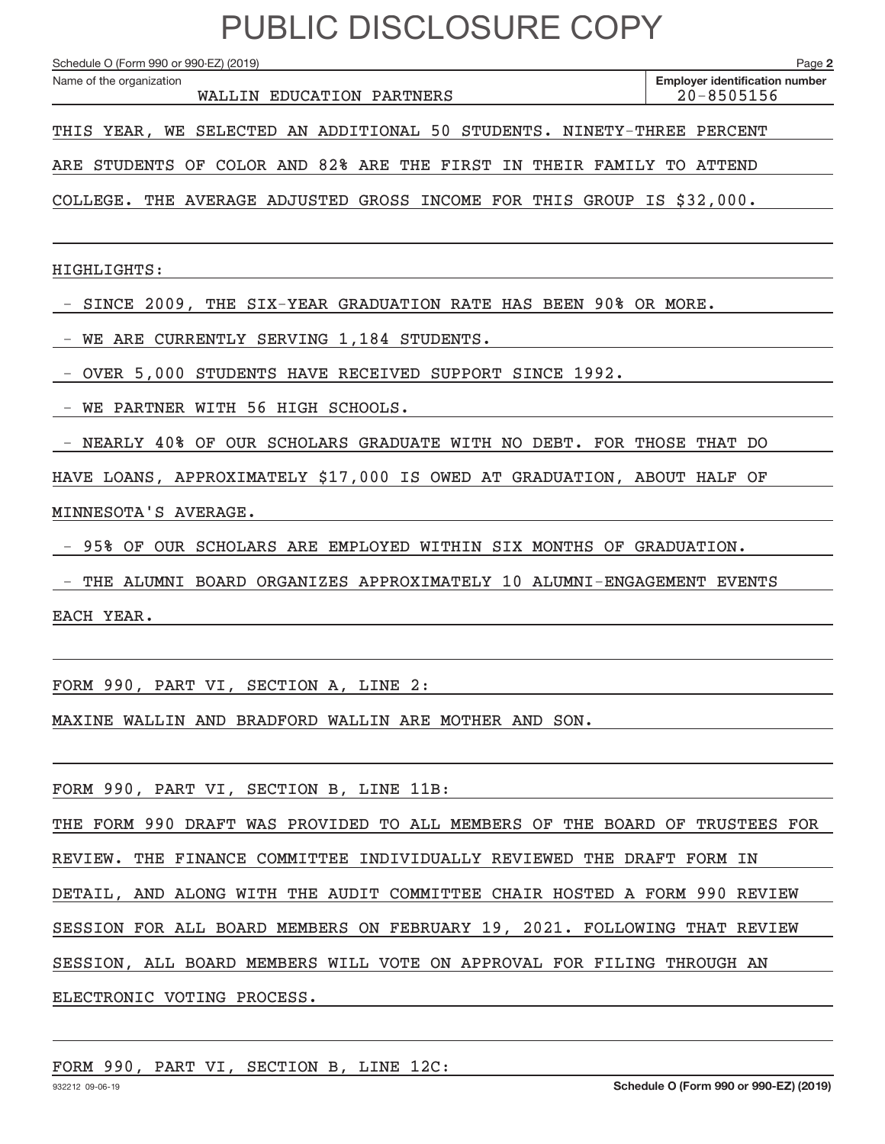Schedule O (Form 990 or 990-EZ) (2019)

Name of the organization

**2**

WALLIN EDUCATION PARTNERS 20–8505156

**Employer identification number**

THIS YEAR, WE SELECTED AN ADDITIONAL 50 STUDENTS. NINETY‐THREE PERCENT

ARE STUDENTS OF COLOR AND 82% ARE THE FIRST IN THEIR FAMILY TO ATTEND

COLLEGE. THE AVERAGE ADJUSTED GROSS INCOME FOR THIS GROUP IS \$32,000.

HIGHLIGHTS:

‐ SINCE 2009, THE SIX‐YEAR GRADUATION RATE HAS BEEN 90% OR MORE.

‐ WE ARE CURRENTLY SERVING 1,184 STUDENTS.

‐ OVER 5,000 STUDENTS HAVE RECEIVED SUPPORT SINCE 1992.

‐ WE PARTNER WITH 56 HIGH SCHOOLS.

‐ NEARLY 40% OF OUR SCHOLARS GRADUATE WITH NO DEBT. FOR THOSE THAT DO

HAVE LOANS, APPROXIMATELY \$17,000 IS OWED AT GRADUATION, ABOUT HALF OF

MINNESOTA'S AVERAGE.

‐ 95% OF OUR SCHOLARS ARE EMPLOYED WITHIN SIX MONTHS OF GRADUATION.

‐ THE ALUMNI BOARD ORGANIZES APPROXIMATELY 10 ALUMNI‐ENGAGEMENT EVENTS

EACH YEAR.

FORM 990, PART VI, SECTION A, LINE 2:

MAXINE WALLIN AND BRADFORD WALLIN ARE MOTHER AND SON.

FORM 990, PART VI, SECTION B, LINE 11B:

THE FORM 990 DRAFT WAS PROVIDED TO ALL MEMBERS OF THE BOARD OF TRUSTEES FOR

REVIEW. THE FINANCE COMMITTEE INDIVIDUALLY REVIEWED THE DRAFT FORM IN

DETAIL, AND ALONG WITH THE AUDIT COMMITTEE CHAIR HOSTED A FORM 990 REVIEW

SESSION FOR ALL BOARD MEMBERS ON FEBRUARY 19, 2021. FOLLOWING THAT REVIEW

SESSION, ALL BOARD MEMBERS WILL VOTE ON APPROVAL FOR FILING THROUGH AN

ELECTRONIC VOTING PROCESS.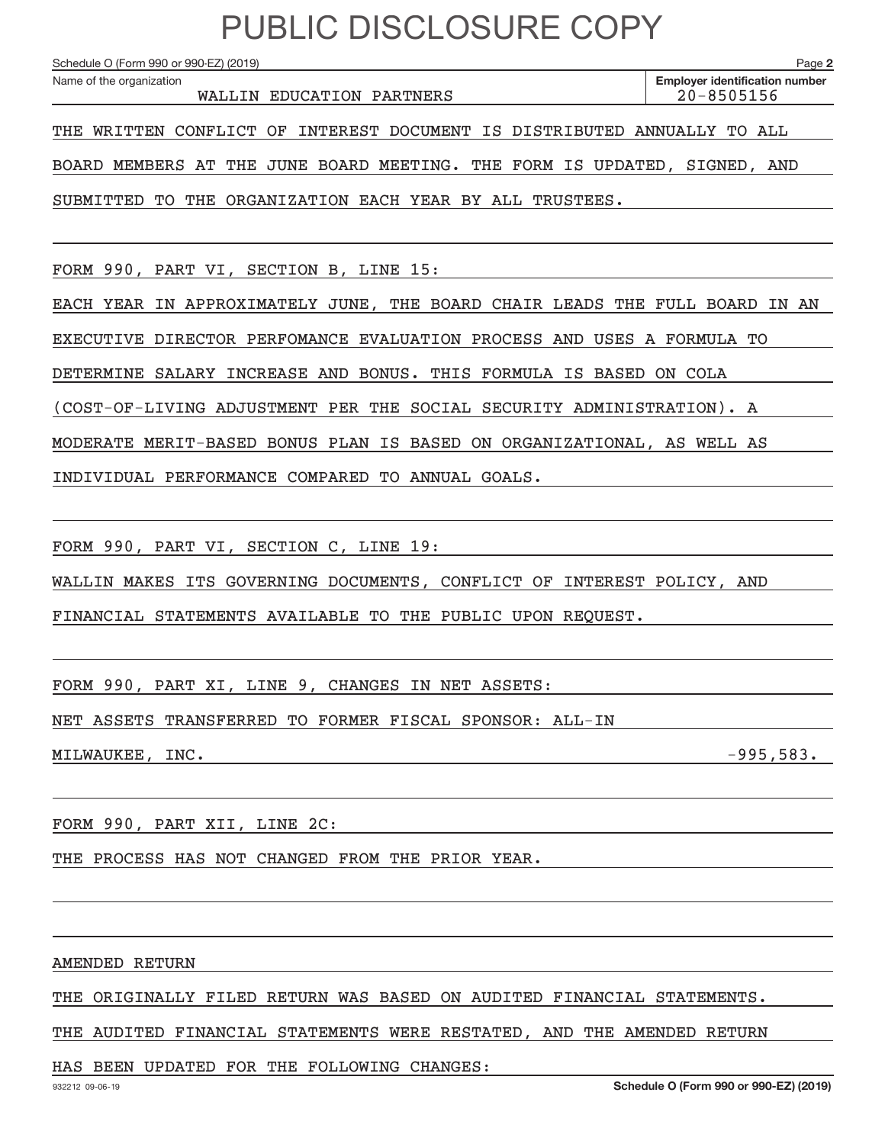Schedule O (Form 990 or 990-EZ) (2019)

Name of the organization

WALLIN EDUCATION PARTNERS 20–8505156

THE WRITTEN CONFLICT OF INTEREST DOCUMENT IS DISTRIBUTED ANNUALLY TO ALL

BOARD MEMBERS AT THE JUNE BOARD MEETING. THE FORM IS UPDATED, SIGNED, AND

SUBMITTED TO THE ORGANIZATION EACH YEAR BY ALL TRUSTEES.

FORM 990, PART VI, SECTION B, LINE 15:

EACH YEAR IN APPROXIMATELY JUNE, THE BOARD CHAIR LEADS THE FULL BOARD IN AN

EXECUTIVE DIRECTOR PERFOMANCE EVALUATION PROCESS AND USES A FORMULA TO

DETERMINE SALARY INCREASE AND BONUS. THIS FORMULA IS BASED ON COLA

(COST‐OF‐LIVING ADJUSTMENT PER THE SOCIAL SECURITY ADMINISTRATION). A

MODERATE MERIT‐BASED BONUS PLAN IS BASED ON ORGANIZATIONAL, AS WELL AS

INDIVIDUAL PERFORMANCE COMPARED TO ANNUAL GOALS.

FORM 990, PART VI, SECTION C, LINE 19:

WALLIN MAKES ITS GOVERNING DOCUMENTS, CONFLICT OF INTEREST POLICY, AND

FINANCIAL STATEMENTS AVAILABLE TO THE PUBLIC UPON REQUEST.

FORM 990, PART XI, LINE 9, CHANGES IN NET ASSETS:

NET ASSETS TRANSFERRED TO FORMER FISCAL SPONSOR: ALL‐IN

MILWAUKEE, INC. ‐995,583.

FORM 990, PART XII, LINE 2C:

THE PROCESS HAS NOT CHANGED FROM THE PRIOR YEAR.

AMENDED RETURN

THE ORIGINALLY FILED RETURN WAS BASED ON AUDITED FINANCIAL STATEMENTS.

THE AUDITED FINANCIAL STATEMENTS WERE RESTATED, AND THE AMENDED RETURN

HAS BEEN UPDATED FOR THE FOLLOWING CHANGES: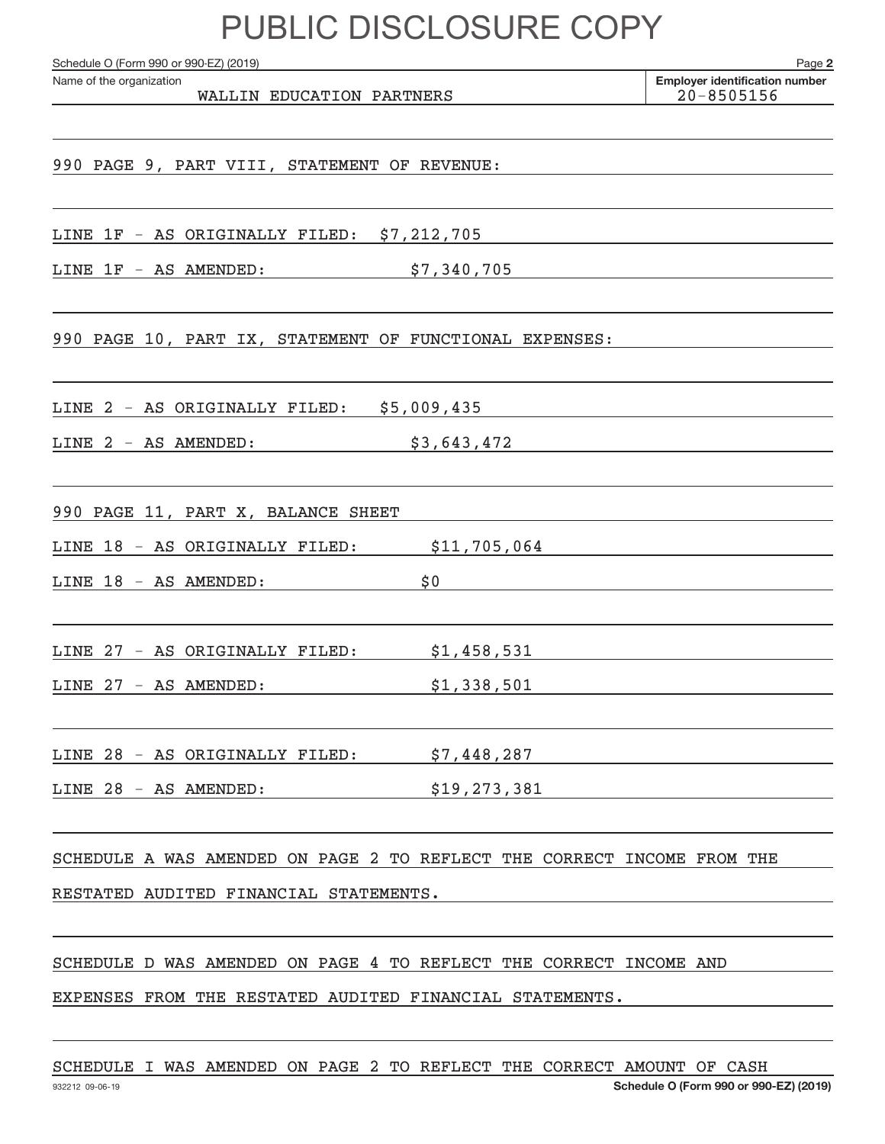Schedule O (Form 990 or 990-EZ) (2019)

Name of the organization

WALLIN EDUCATION PARTNERS 20–8505156

**2 Employer identification number**

990 PAGE 9, PART VIII, STATEMENT OF REVENUE:

LINE 1F ‐ AS ORIGINALLY FILED: \$7,212,705

LINE 1F ‐ AS AMENDED: \$7,340,705

990 PAGE 10, PART IX, STATEMENT OF FUNCTIONAL EXPENSES:

LINE 2 ‐ AS ORIGINALLY FILED: \$5,009,435

LINE 2 - AS AMENDED: \$3,643,472

990 PAGE 11, PART X, BALANCE SHEET

LINE 18 - AS ORIGINALLY FILED: \$11,705,064

LINE 18 – AS AMENDED: \$0

LINE 27 ‐ AS ORIGINALLY FILED: \$1,458,531

LINE 27 ‐ AS AMENDED: \$1,338,501

LINE 28 ‐ AS ORIGINALLY FILED: \$7,448,287

LINE 28 - AS AMENDED: \$19,273,381

SCHEDULE A WAS AMENDED ON PAGE 2 TO REFLECT THE CORRECT INCOME FROM THE

RESTATED AUDITED FINANCIAL STATEMENTS.

SCHEDULE D WAS AMENDED ON PAGE 4 TO REFLECT THE CORRECT INCOME AND

EXPENSES FROM THE RESTATED AUDITED FINANCIAL STATEMENTS.

SCHEDULE I WAS AMENDED ON PAGE 2 TO REFLECT THE CORRECT AMOUNT OF CASH